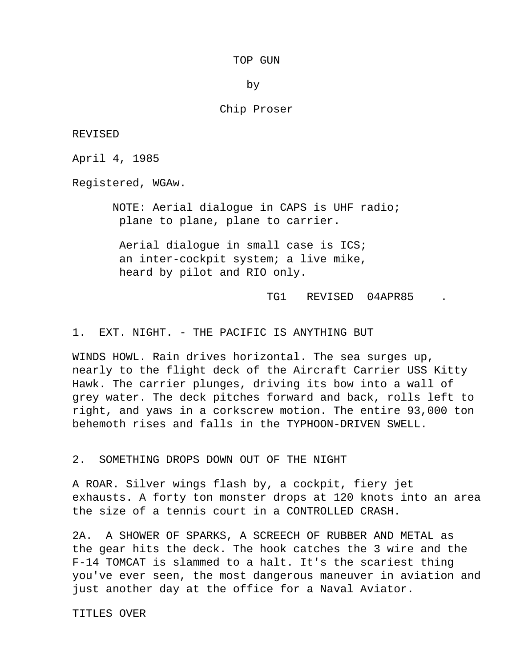## TOP GUN

by

# Chip Proser

REVISED

April 4, 1985

Registered, WGAw.

 NOTE: Aerial dialogue in CAPS is UHF radio; plane to plane, plane to carrier.

 Aerial dialogue in small case is ICS; an inter-cockpit system; a live mike, heard by pilot and RIO only.

TG1 REVISED 04APR85

1. EXT. NIGHT. - THE PACIFIC IS ANYTHING BUT

 WINDS HOWL. Rain drives horizontal. The sea surges up, nearly to the flight deck of the Aircraft Carrier USS Kitty Hawk. The carrier plunges, driving its bow into a wall of grey water. The deck pitches forward and back, rolls left to right, and yaws in a corkscrew motion. The entire 93,000 ton behemoth rises and falls in the TYPHOON-DRIVEN SWELL.

2. SOMETHING DROPS DOWN OUT OF THE NIGHT

 A ROAR. Silver wings flash by, a cockpit, fiery jet exhausts. A forty ton monster drops at 120 knots into an area the size of a tennis court in a CONTROLLED CRASH.

 2A. A SHOWER OF SPARKS, A SCREECH OF RUBBER AND METAL as the gear hits the deck. The hook catches the 3 wire and the F-14 TOMCAT is slammed to a halt. It's the scariest thing you've ever seen, the most dangerous maneuver in aviation and just another day at the office for a Naval Aviator.

TITLES OVER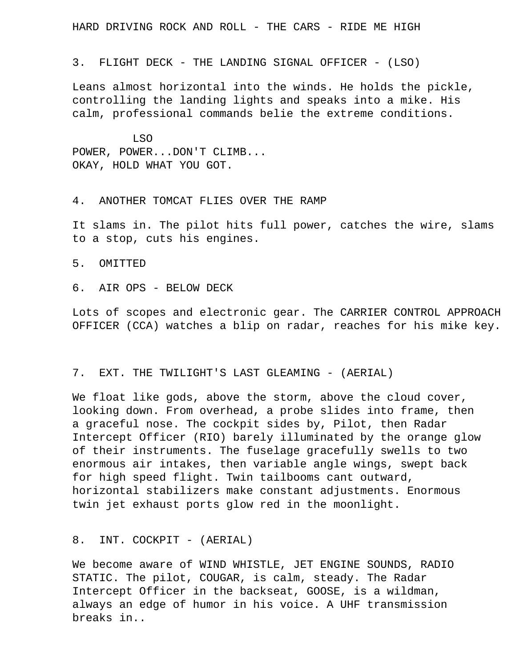HARD DRIVING ROCK AND ROLL - THE CARS - RIDE ME HIGH

3. FLIGHT DECK - THE LANDING SIGNAL OFFICER - (LSO)

 Leans almost horizontal into the winds. He holds the pickle, controlling the landing lights and speaks into a mike. His calm, professional commands belie the extreme conditions.

 LSO POWER, POWER...DON'T CLIMB... OKAY, HOLD WHAT YOU GOT.

4. ANOTHER TOMCAT FLIES OVER THE RAMP

 It slams in. The pilot hits full power, catches the wire, slams to a stop, cuts his engines.

5. OMITTED

6. AIR OPS - BELOW DECK

 Lots of scopes and electronic gear. The CARRIER CONTROL APPROACH OFFICER (CCA) watches a blip on radar, reaches for his mike key.

# 7. EXT. THE TWILIGHT'S LAST GLEAMING - (AERIAL)

 We float like gods, above the storm, above the cloud cover, looking down. From overhead, a probe slides into frame, then a graceful nose. The cockpit sides by, Pilot, then Radar Intercept Officer (RIO) barely illuminated by the orange glow of their instruments. The fuselage gracefully swells to two enormous air intakes, then variable angle wings, swept back for high speed flight. Twin tailbooms cant outward, horizontal stabilizers make constant adjustments. Enormous twin jet exhaust ports glow red in the moonlight.

8. INT. COCKPIT - (AERIAL)

 We become aware of WIND WHISTLE, JET ENGINE SOUNDS, RADIO STATIC. The pilot, COUGAR, is calm, steady. The Radar Intercept Officer in the backseat, GOOSE, is a wildman, always an edge of humor in his voice. A UHF transmission breaks in..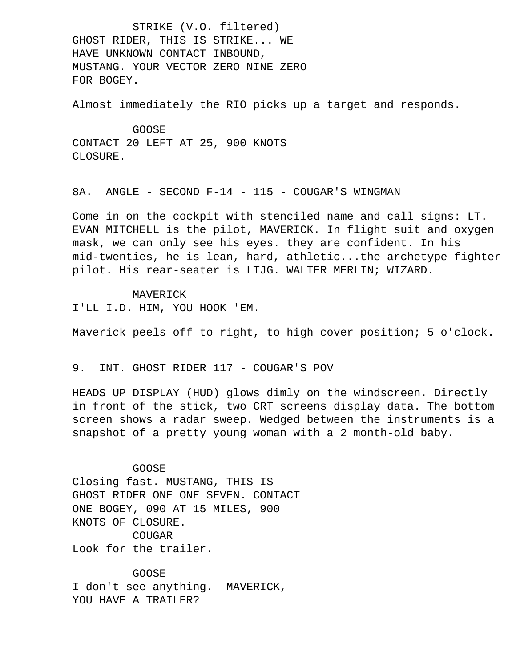STRIKE (V.O. filtered) GHOST RIDER, THIS IS STRIKE... WE HAVE UNKNOWN CONTACT INBOUND, MUSTANG. YOUR VECTOR ZERO NINE ZERO FOR BOGEY.

Almost immediately the RIO picks up a target and responds.

 GOOSE CONTACT 20 LEFT AT 25, 900 KNOTS CLOSURE.

8A. ANGLE - SECOND F-14 - 115 - COUGAR'S WINGMAN

 Come in on the cockpit with stenciled name and call signs: LT. EVAN MITCHELL is the pilot, MAVERICK. In flight suit and oxygen mask, we can only see his eyes. they are confident. In his mid-twenties, he is lean, hard, athletic...the archetype fighter pilot. His rear-seater is LTJG. WALTER MERLIN; WIZARD.

 MAVERICK I'LL I.D. HIM, YOU HOOK 'EM.

Maverick peels off to right, to high cover position; 5 o'clock.

9. INT. GHOST RIDER 117 - COUGAR'S POV

 HEADS UP DISPLAY (HUD) glows dimly on the windscreen. Directly in front of the stick, two CRT screens display data. The bottom screen shows a radar sweep. Wedged between the instruments is a snapshot of a pretty young woman with a 2 month-old baby.

GOOSE

 Closing fast. MUSTANG, THIS IS GHOST RIDER ONE ONE SEVEN. CONTACT ONE BOGEY, 090 AT 15 MILES, 900 KNOTS OF CLOSURE. COUGAR Look for the trailer.

 GOOSE I don't see anything. MAVERICK, YOU HAVE A TRAILER?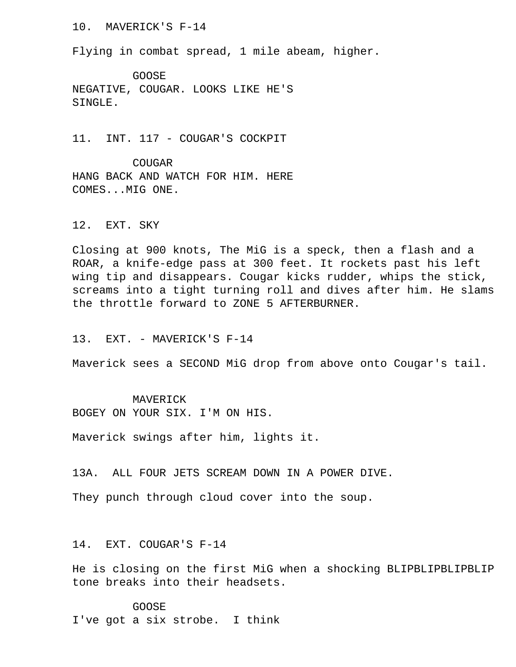# 10. MAVERICK'S F-14

Flying in combat spread, 1 mile abeam, higher.

 GOOSE NEGATIVE, COUGAR. LOOKS LIKE HE'S SINGLE.

11. INT. 117 - COUGAR'S COCKPIT

 COUGAR HANG BACK AND WATCH FOR HIM. HERE COMES...MIG ONE.

# 12. EXT. SKY

 Closing at 900 knots, The MiG is a speck, then a flash and a ROAR, a knife-edge pass at 300 feet. It rockets past his left wing tip and disappears. Cougar kicks rudder, whips the stick, screams into a tight turning roll and dives after him. He slams the throttle forward to ZONE 5 AFTERBURNER.

### 13. EXT. - MAVERICK'S F-14

Maverick sees a SECOND MiG drop from above onto Cougar's tail.

#### MAVERICK

BOGEY ON YOUR SIX. I'M ON HIS.

Maverick swings after him, lights it.

13A. ALL FOUR JETS SCREAM DOWN IN A POWER DIVE.

They punch through cloud cover into the soup.

#### 14. EXT. COUGAR'S F-14

 He is closing on the first MiG when a shocking BLIPBLIPBLIPBLIP tone breaks into their headsets.

 GOOSE I've got a six strobe. I think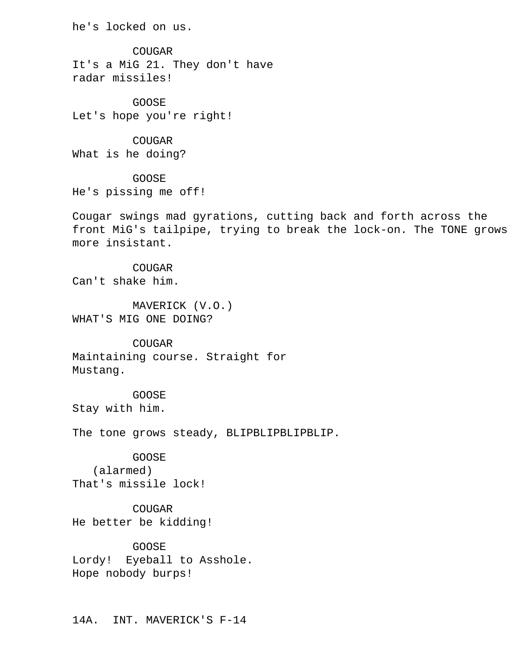he's locked on us.

 COUGAR It's a MiG 21. They don't have radar missiles!

 GOOSE Let's hope you're right!

 COUGAR What is he doing?

 GOOSE He's pissing me off!

 Cougar swings mad gyrations, cutting back and forth across the front MiG's tailpipe, trying to break the lock-on. The TONE grows more insistant.

 COUGAR Can't shake him.

 MAVERICK (V.O.) WHAT'S MIG ONE DOING?

 COUGAR Maintaining course. Straight for Mustang.

 GOOSE Stay with him.

The tone grows steady, BLIPBLIPBLIPBLIP.

GOOSE

 (alarmed) That's missile lock!

 COUGAR He better be kidding!

 GOOSE Lordy! Eyeball to Asshole. Hope nobody burps!

14A. INT. MAVERICK'S F-14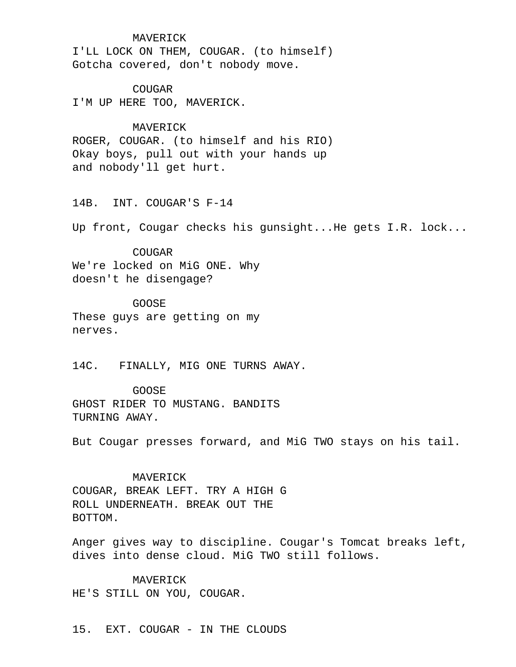#### MAVERICK

 I'LL LOCK ON THEM, COUGAR. (to himself) Gotcha covered, don't nobody move.

 COUGAR I'M UP HERE TOO, MAVERICK.

# MAVERICK

 ROGER, COUGAR. (to himself and his RIO) Okay boys, pull out with your hands up and nobody'll get hurt.

14B. INT. COUGAR'S F-14

Up front, Cougar checks his gunsight...He gets I.R. lock...

 COUGAR We're locked on MiG ONE. Why doesn't he disengage?

 GOOSE These guys are getting on my nerves.

14C. FINALLY, MIG ONE TURNS AWAY.

 GOOSE GHOST RIDER TO MUSTANG. BANDITS TURNING AWAY.

But Cougar presses forward, and MiG TWO stays on his tail.

 MAVERICK COUGAR, BREAK LEFT. TRY A HIGH G ROLL UNDERNEATH. BREAK OUT THE BOTTOM.

 Anger gives way to discipline. Cougar's Tomcat breaks left, dives into dense cloud. MiG TWO still follows.

 MAVERICK HE'S STILL ON YOU, COUGAR.

15. EXT. COUGAR - IN THE CLOUDS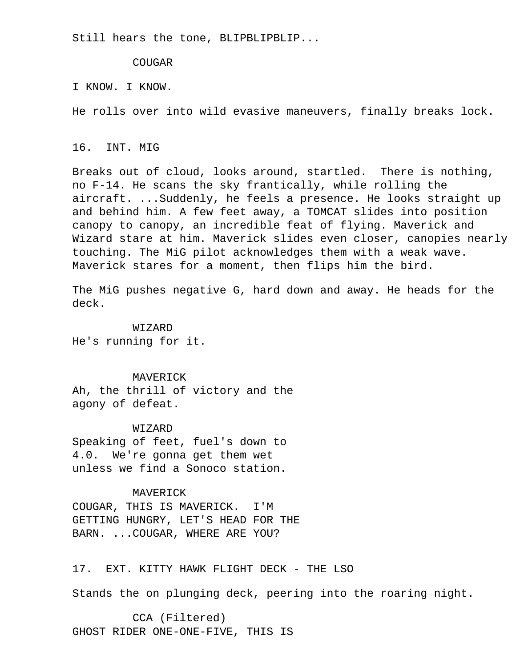Still hears the tone, BLIPBLIPBLIP...

COUGAR

I KNOW. I KNOW.

He rolls over into wild evasive maneuvers, finally breaks lock.

# 16. INT. MIG

 Breaks out of cloud, looks around, startled. There is nothing, no F-14. He scans the sky frantically, while rolling the aircraft. ...Suddenly, he feels a presence. He looks straight up and behind him. A few feet away, a TOMCAT slides into position canopy to canopy, an incredible feat of flying. Maverick and Wizard stare at him. Maverick slides even closer, canopies nearly touching. The MiG pilot acknowledges them with a weak wave. Maverick stares for a moment, then flips him the bird.

 The MiG pushes negative G, hard down and away. He heads for the deck.

 WIZARD He's running for it.

 MAVERICK Ah, the thrill of victory and the agony of defeat.

 WIZARD Speaking of feet, fuel's down to 4.0. We're gonna get them wet unless we find a Sonoco station.

## MAVERICK

 COUGAR, THIS IS MAVERICK. I'M GETTING HUNGRY, LET'S HEAD FOR THE BARN. ...COUGAR, WHERE ARE YOU?

17. EXT. KITTY HAWK FLIGHT DECK - THE LSO

Stands the on plunging deck, peering into the roaring night.

 CCA (Filtered) GHOST RIDER ONE-ONE-FIVE, THIS IS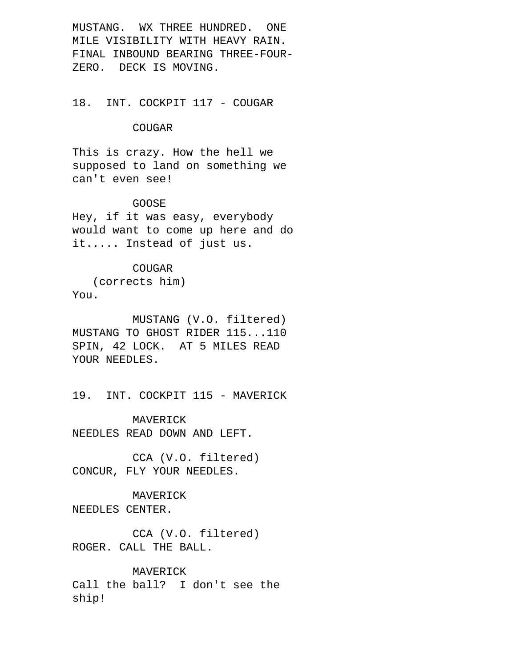MUSTANG. WX THREE HUNDRED. ONE MILE VISIBILITY WITH HEAVY RAIN. FINAL INBOUND BEARING THREE-FOUR- ZERO. DECK IS MOVING.

# 18. INT. COCKPIT 117 - COUGAR

# COUGAR

 This is crazy. How the hell we supposed to land on something we can't even see!

# GOOSE

 Hey, if it was easy, everybody would want to come up here and do it..... Instead of just us.

# COUGAR

 (corrects him) You.

 MUSTANG (V.O. filtered) MUSTANG TO GHOST RIDER 115...110 SPIN, 42 LOCK. AT 5 MILES READ YOUR NEEDLES.

19. INT. COCKPIT 115 - MAVERICK

 MAVERICK NEEDLES READ DOWN AND LEFT.

 CCA (V.O. filtered) CONCUR, FLY YOUR NEEDLES.

# MAVERICK NEEDLES CENTER.

 CCA (V.O. filtered) ROGER. CALL THE BALL.

 MAVERICK Call the ball? I don't see the ship!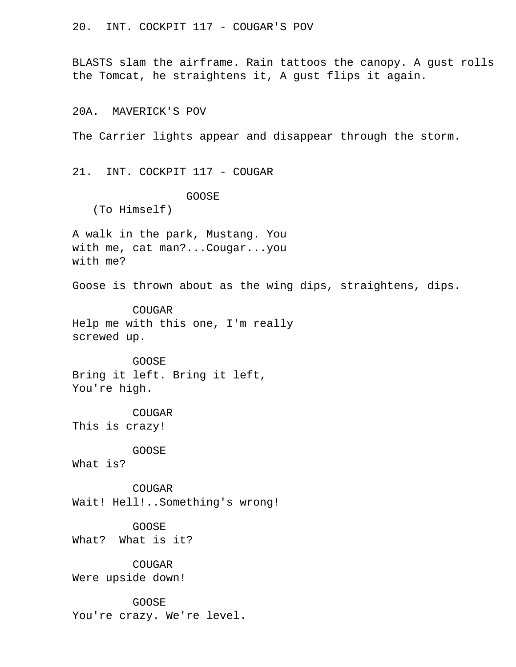20. INT. COCKPIT 117 - COUGAR'S POV

 BLASTS slam the airframe. Rain tattoos the canopy. A gust rolls the Tomcat, he straightens it, A gust flips it again.

20A. MAVERICK'S POV

The Carrier lights appear and disappear through the storm.

21. INT. COCKPIT 117 - COUGAR

GOOSE

(To Himself)

 A walk in the park, Mustang. You with me, cat man?...Cougar...you with me?

Goose is thrown about as the wing dips, straightens, dips.

 COUGAR Help me with this one, I'm really screwed up.

 GOOSE Bring it left. Bring it left, You're high.

 COUGAR This is crazy!

GOOSE

What is?

 COUGAR Wait! Hell!..Something's wrong!

 GOOSE What? What is it?

COUGAR

Were upside down!

GOOSE

You're crazy. We're level.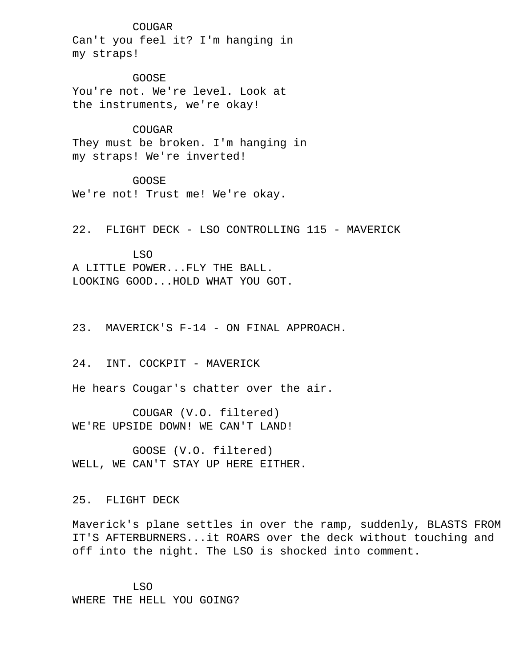#### COUGAR

 Can't you feel it? I'm hanging in my straps!

 GOOSE You're not. We're level. Look at the instruments, we're okay!

 COUGAR They must be broken. I'm hanging in my straps! We're inverted!

 GOOSE We're not! Trust me! We're okay.

22. FLIGHT DECK - LSO CONTROLLING 115 - MAVERICK

 LSO A LITTLE POWER...FLY THE BALL. LOOKING GOOD...HOLD WHAT YOU GOT.

23. MAVERICK'S F-14 - ON FINAL APPROACH.

24. INT. COCKPIT - MAVERICK

He hears Cougar's chatter over the air.

 COUGAR (V.O. filtered) WE'RE UPSIDE DOWN! WE CAN'T LAND!

 GOOSE (V.O. filtered) WELL, WE CAN'T STAY UP HERE EITHER.

25. FLIGHT DECK

 Maverick's plane settles in over the ramp, suddenly, BLASTS FROM IT'S AFTERBURNERS...it ROARS over the deck without touching and off into the night. The LSO is shocked into comment.

 LSO WHERE THE HELL YOU GOING?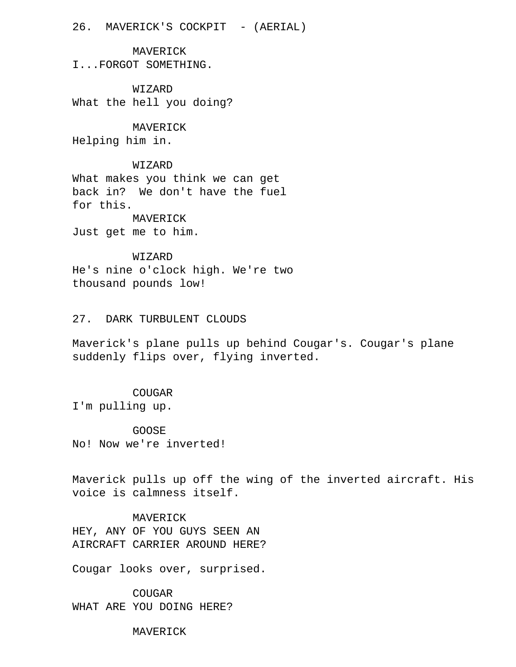26. MAVERICK'S COCKPIT - (AERIAL)

 MAVERICK I...FORGOT SOMETHING.

 WIZARD What the hell you doing?

 MAVERICK Helping him in.

#### WIZARD

 What makes you think we can get back in? We don't have the fuel for this. MAVERICK

Just get me to him.

# WIZARD

 He's nine o'clock high. We're two thousand pounds low!

# 27. DARK TURBULENT CLOUDS

 Maverick's plane pulls up behind Cougar's. Cougar's plane suddenly flips over, flying inverted.

# COUGAR

I'm pulling up.

 GOOSE No! Now we're inverted!

 Maverick pulls up off the wing of the inverted aircraft. His voice is calmness itself.

 MAVERICK HEY, ANY OF YOU GUYS SEEN AN AIRCRAFT CARRIER AROUND HERE?

Cougar looks over, surprised.

 COUGAR WHAT ARE YOU DOING HERE?

MAVERICK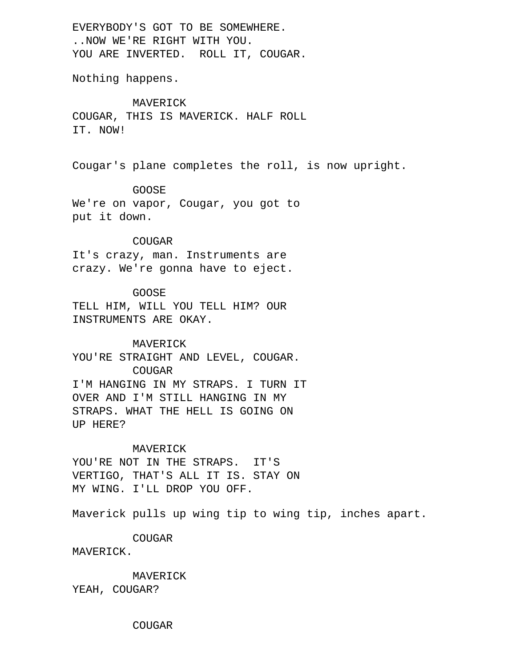EVERYBODY'S GOT TO BE SOMEWHERE. ..NOW WE'RE RIGHT WITH YOU. YOU ARE INVERTED. ROLL IT, COUGAR.

Nothing happens.

 MAVERICK COUGAR, THIS IS MAVERICK. HALF ROLL IT. NOW!

Cougar's plane completes the roll, is now upright.

#### GOOSE

 We're on vapor, Cougar, you got to put it down.

#### COUGAR

 It's crazy, man. Instruments are crazy. We're gonna have to eject.

# GOOSE

 TELL HIM, WILL YOU TELL HIM? OUR INSTRUMENTS ARE OKAY.

#### MAVERICK

 YOU'RE STRAIGHT AND LEVEL, COUGAR. COUGAR I'M HANGING IN MY STRAPS. I TURN IT OVER AND I'M STILL HANGING IN MY STRAPS. WHAT THE HELL IS GOING ON UP HERE?

#### MAVERICK

YOU'RE NOT IN THE STRAPS. IT'S VERTIGO, THAT'S ALL IT IS. STAY ON MY WING. I'LL DROP YOU OFF.

Maverick pulls up wing tip to wing tip, inches apart.

COUGAR

MAVERICK.

MAVERICK

YEAH, COUGAR?

COUGAR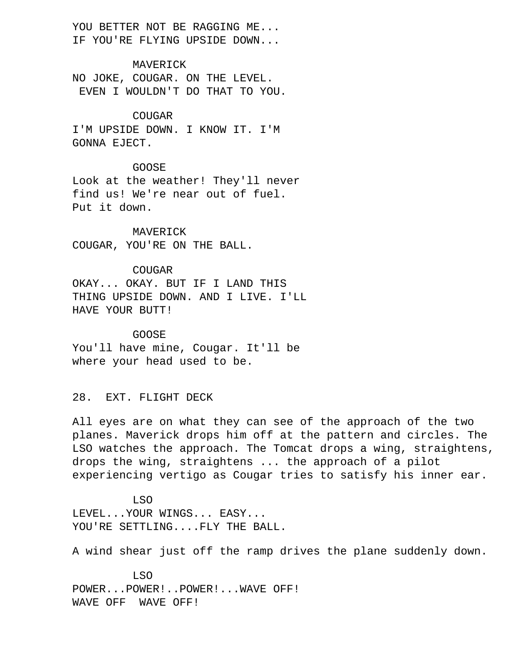YOU BETTER NOT BE RAGGING ME... IF YOU'RE FLYING UPSIDE DOWN...

 MAVERICK NO JOKE, COUGAR. ON THE LEVEL. EVEN I WOULDN'T DO THAT TO YOU.

# COUGAR

 I'M UPSIDE DOWN. I KNOW IT. I'M GONNA EJECT.

# GOOSE

 Look at the weather! They'll never find us! We're near out of fuel. Put it down.

 MAVERICK COUGAR, YOU'RE ON THE BALL.

 COUGAR OKAY... OKAY. BUT IF I LAND THIS THING UPSIDE DOWN. AND I LIVE. I'LL HAVE YOUR BUTT!

# GOOSE You'll have mine, Cougar. It'll be where your head used to be.

28. EXT. FLIGHT DECK

 All eyes are on what they can see of the approach of the two planes. Maverick drops him off at the pattern and circles. The LSO watches the approach. The Tomcat drops a wing, straightens, drops the wing, straightens ... the approach of a pilot experiencing vertigo as Cougar tries to satisfy his inner ear.

 LSO LEVEL...YOUR WINGS... EASY... YOU'RE SETTLING....FLY THE BALL.

A wind shear just off the ramp drives the plane suddenly down.

 LSO POWER...POWER!..POWER!...WAVE OFF! WAVE OFF WAVE OFF!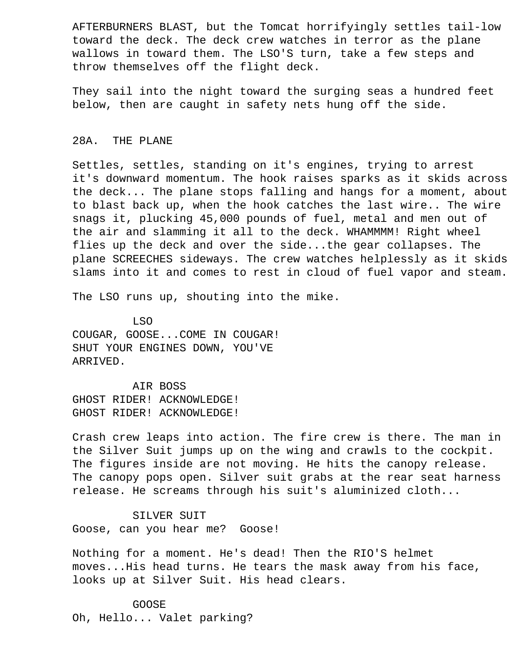AFTERBURNERS BLAST, but the Tomcat horrifyingly settles tail-low toward the deck. The deck crew watches in terror as the plane wallows in toward them. The LSO'S turn, take a few steps and throw themselves off the flight deck.

 They sail into the night toward the surging seas a hundred feet below, then are caught in safety nets hung off the side.

# 28A. THE PLANE

 Settles, settles, standing on it's engines, trying to arrest it's downward momentum. The hook raises sparks as it skids across the deck... The plane stops falling and hangs for a moment, about to blast back up, when the hook catches the last wire.. The wire snags it, plucking 45,000 pounds of fuel, metal and men out of the air and slamming it all to the deck. WHAMMMM! Right wheel flies up the deck and over the side...the gear collapses. The plane SCREECHES sideways. The crew watches helplessly as it skids slams into it and comes to rest in cloud of fuel vapor and steam.

The LSO runs up, shouting into the mike.

 LSO COUGAR, GOOSE...COME IN COUGAR! SHUT YOUR ENGINES DOWN, YOU'VE ARRIVED.

 AIR BOSS GHOST RIDER! ACKNOWLEDGE! GHOST RIDER! ACKNOWLEDGE!

 Crash crew leaps into action. The fire crew is there. The man in the Silver Suit jumps up on the wing and crawls to the cockpit. The figures inside are not moving. He hits the canopy release. The canopy pops open. Silver suit grabs at the rear seat harness release. He screams through his suit's aluminized cloth...

 SILVER SUIT Goose, can you hear me? Goose!

 Nothing for a moment. He's dead! Then the RIO'S helmet moves...His head turns. He tears the mask away from his face, looks up at Silver Suit. His head clears.

 GOOSE Oh, Hello... Valet parking?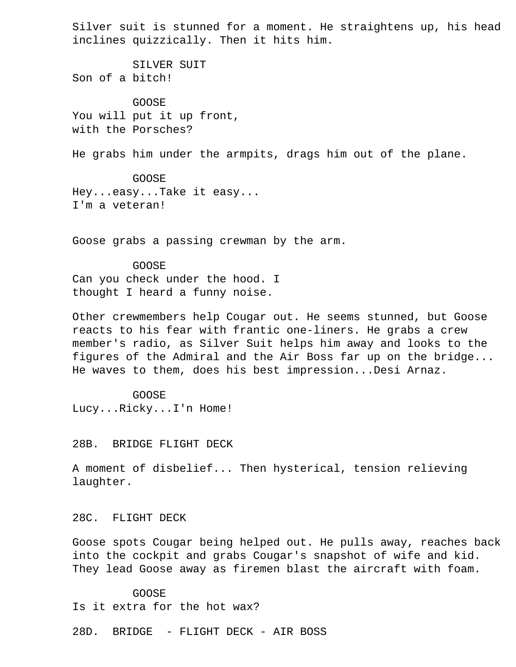Silver suit is stunned for a moment. He straightens up, his head inclines quizzically. Then it hits him.

 SILVER SUIT Son of a bitch!

 GOOSE You will put it up front, with the Porsches?

He grabs him under the armpits, drags him out of the plane.

 GOOSE Hey...easy...Take it easy... I'm a veteran!

Goose grabs a passing crewman by the arm.

 GOOSE Can you check under the hood. I thought I heard a funny noise.

 Other crewmembers help Cougar out. He seems stunned, but Goose reacts to his fear with frantic one-liners. He grabs a crew member's radio, as Silver Suit helps him away and looks to the figures of the Admiral and the Air Boss far up on the bridge... He waves to them, does his best impression...Desi Arnaz.

 GOOSE Lucy...Ricky...I'n Home!

28B. BRIDGE FLIGHT DECK

 A moment of disbelief... Then hysterical, tension relieving laughter.

28C. FLIGHT DECK

 Goose spots Cougar being helped out. He pulls away, reaches back into the cockpit and grabs Cougar's snapshot of wife and kid. They lead Goose away as firemen blast the aircraft with foam.

 GOOSE Is it extra for the hot wax?

28D. BRIDGE - FLIGHT DECK - AIR BOSS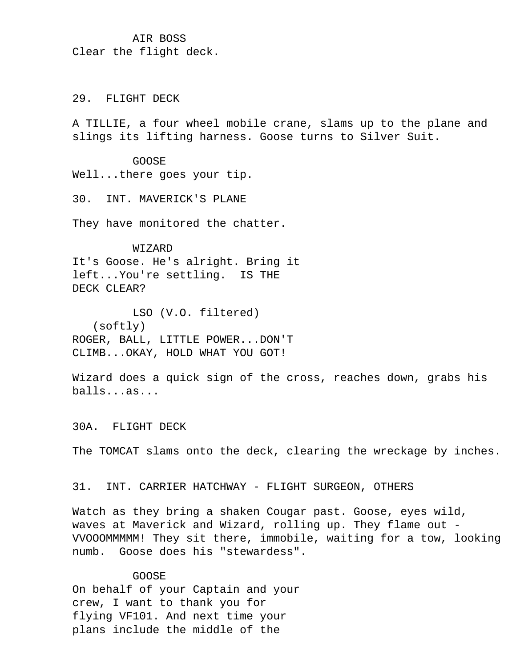# AIR BOSS Clear the flight deck.

# 29. FLIGHT DECK

 A TILLIE, a four wheel mobile crane, slams up to the plane and slings its lifting harness. Goose turns to Silver Suit.

GOOSE

Well...there goes your tip.

30. INT. MAVERICK'S PLANE

They have monitored the chatter.

WIZARD

 It's Goose. He's alright. Bring it left...You're settling. IS THE DECK CLEAR?

 LSO (V.O. filtered) (softly) ROGER, BALL, LITTLE POWER...DON'T CLIMB...OKAY, HOLD WHAT YOU GOT!

 Wizard does a quick sign of the cross, reaches down, grabs his balls...as...

30A. FLIGHT DECK

The TOMCAT slams onto the deck, clearing the wreckage by inches.

31. INT. CARRIER HATCHWAY - FLIGHT SURGEON, OTHERS

 Watch as they bring a shaken Cougar past. Goose, eyes wild, waves at Maverick and Wizard, rolling up. They flame out - VVOOOMMMMM! They sit there, immobile, waiting for a tow, looking numb. Goose does his "stewardess".

## GOOSE

 On behalf of your Captain and your crew, I want to thank you for flying VF101. And next time your plans include the middle of the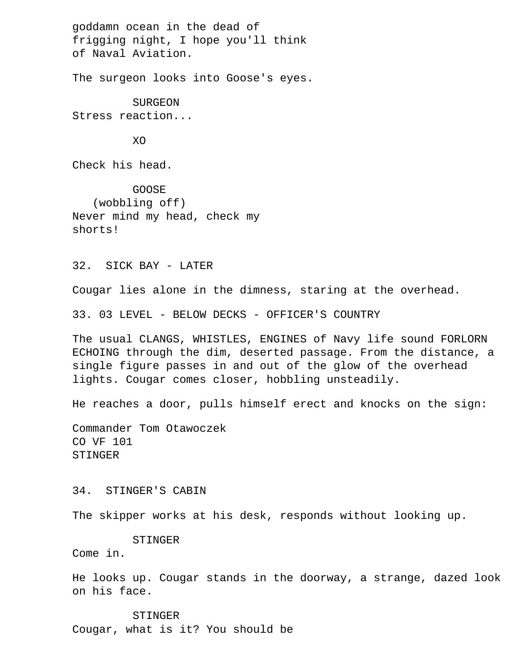goddamn ocean in the dead of frigging night, I hope you'll think of Naval Aviation.

The surgeon looks into Goose's eyes.

 SURGEON Stress reaction...

**XO** 

Check his head.

 GOOSE (wobbling off) Never mind my head, check my shorts!

32. SICK BAY - LATER

Cougar lies alone in the dimness, staring at the overhead.

33. 03 LEVEL - BELOW DECKS - OFFICER'S COUNTRY

 The usual CLANGS, WHISTLES, ENGINES of Navy life sound FORLORN ECHOING through the dim, deserted passage. From the distance, a single figure passes in and out of the glow of the overhead lights. Cougar comes closer, hobbling unsteadily.

He reaches a door, pulls himself erect and knocks on the sign:

 Commander Tom Otawoczek CO VF 101 STINGER

34. STINGER'S CABIN

The skipper works at his desk, responds without looking up.

# STINGER

Come in.

 He looks up. Cougar stands in the doorway, a strange, dazed look on his face.

#### STINGER

Cougar, what is it? You should be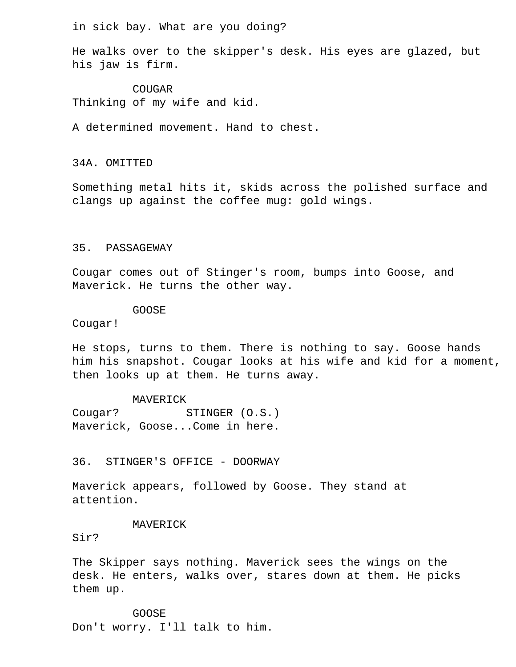in sick bay. What are you doing?

 He walks over to the skipper's desk. His eyes are glazed, but his jaw is firm.

COUGAR Thinking of my wife and kid.

A determined movement. Hand to chest.

34A. OMITTED

 Something metal hits it, skids across the polished surface and clangs up against the coffee mug: gold wings.

# 35. PASSAGEWAY

 Cougar comes out of Stinger's room, bumps into Goose, and Maverick. He turns the other way.

GOOSE

Cougar!

 He stops, turns to them. There is nothing to say. Goose hands him his snapshot. Cougar looks at his wife and kid for a moment, then looks up at them. He turns away.

MAVERICK

Cougar? STINGER (O.S.) Maverick, Goose...Come in here.

36. STINGER'S OFFICE - DOORWAY

 Maverick appears, followed by Goose. They stand at attention.

#### MAVERICK

Sir?

 The Skipper says nothing. Maverick sees the wings on the desk. He enters, walks over, stares down at them. He picks them up.

 GOOSE Don't worry. I'll talk to him.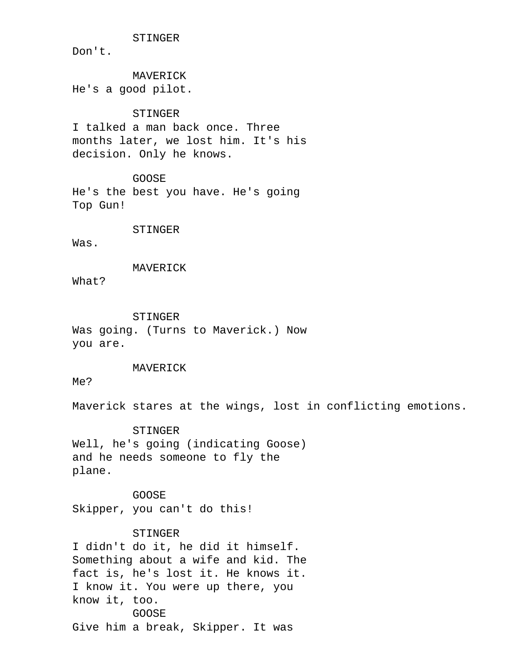STINGER

Don't.

 MAVERICK He's a good pilot.

# STINGER

 I talked a man back once. Three months later, we lost him. It's his decision. Only he knows.

 GOOSE He's the best you have. He's going Top Gun!

#### STINGER

Was.

#### MAVERICK

What?

#### STINGER

 Was going. (Turns to Maverick.) Now you are.

#### MAVERICK

Me?

Maverick stares at the wings, lost in conflicting emotions.

 STINGER Well, he's going (indicating Goose) and he needs someone to fly the plane.

 GOOSE Skipper, you can't do this!

# STINGER

 I didn't do it, he did it himself. Something about a wife and kid. The fact is, he's lost it. He knows it. I know it. You were up there, you know it, too. GOOSE Give him a break, Skipper. It was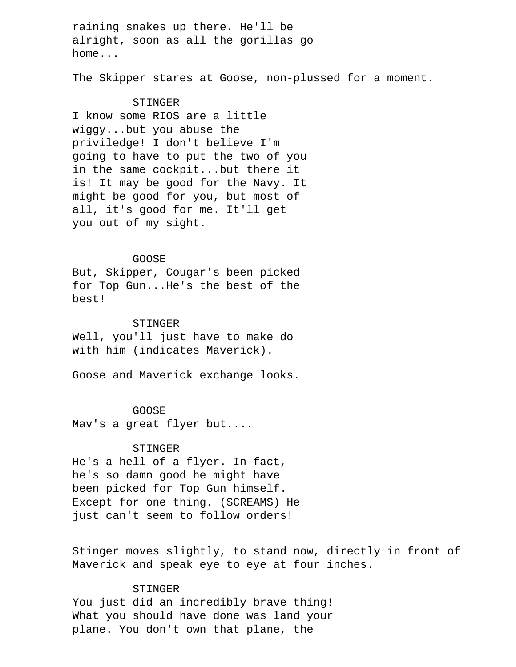raining snakes up there. He'll be alright, soon as all the gorillas go home...

The Skipper stares at Goose, non-plussed for a moment.

### STINGER

 I know some RIOS are a little wiggy...but you abuse the priviledge! I don't believe I'm going to have to put the two of you in the same cockpit...but there it is! It may be good for the Navy. It might be good for you, but most of all, it's good for me. It'll get you out of my sight.

## GOOSE

 But, Skipper, Cougar's been picked for Top Gun...He's the best of the best!

### STINGER

 Well, you'll just have to make do with him (indicates Maverick).

Goose and Maverick exchange looks.

#### GOOSE

Mav's a great flyer but....

#### STINGER

 He's a hell of a flyer. In fact, he's so damn good he might have been picked for Top Gun himself. Except for one thing. (SCREAMS) He just can't seem to follow orders!

 Stinger moves slightly, to stand now, directly in front of Maverick and speak eye to eye at four inches.

# STINGER

 You just did an incredibly brave thing! What you should have done was land your plane. You don't own that plane, the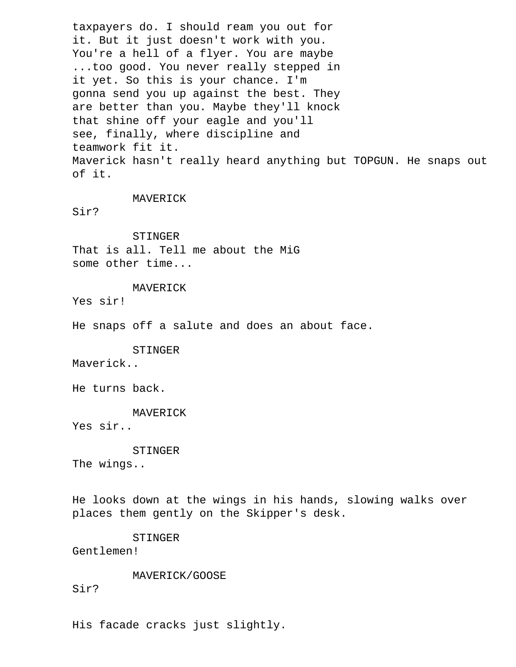taxpayers do. I should ream you out for it. But it just doesn't work with you. You're a hell of a flyer. You are maybe ...too good. You never really stepped in it yet. So this is your chance. I'm gonna send you up against the best. They are better than you. Maybe they'll knock that shine off your eagle and you'll see, finally, where discipline and teamwork fit it. Maverick hasn't really heard anything but TOPGUN. He snaps out of it.

# MAVERICK

Sir?

 STINGER That is all. Tell me about the MiG some other time...

MAVERICK

Yes sir!

He snaps off a salute and does an about face.

 STINGER Maverick..

He turns back.

 MAVERICK Yes sir..

 STINGER The wings..

 He looks down at the wings in his hands, slowing walks over places them gently on the Skipper's desk.

 STINGER Gentlemen!

MAVERICK/GOOSE

Sir?

His facade cracks just slightly.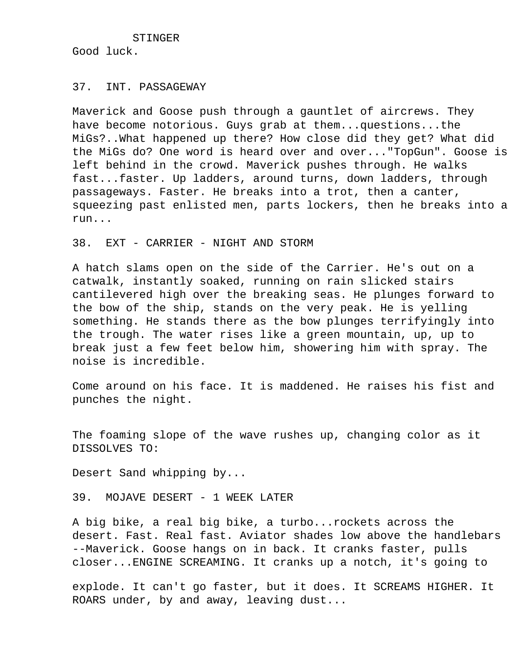STINGER Good luck.

### 37. INT. PASSAGEWAY

 Maverick and Goose push through a gauntlet of aircrews. They have become notorious. Guys grab at them...questions...the MiGs?..What happened up there? How close did they get? What did the MiGs do? One word is heard over and over..."TopGun". Goose is left behind in the crowd. Maverick pushes through. He walks fast...faster. Up ladders, around turns, down ladders, through passageways. Faster. He breaks into a trot, then a canter, squeezing past enlisted men, parts lockers, then he breaks into a run...

38. EXT - CARRIER - NIGHT AND STORM

 A hatch slams open on the side of the Carrier. He's out on a catwalk, instantly soaked, running on rain slicked stairs cantilevered high over the breaking seas. He plunges forward to the bow of the ship, stands on the very peak. He is yelling something. He stands there as the bow plunges terrifyingly into the trough. The water rises like a green mountain, up, up to break just a few feet below him, showering him with spray. The noise is incredible.

 Come around on his face. It is maddened. He raises his fist and punches the night.

 The foaming slope of the wave rushes up, changing color as it DISSOLVES TO:

Desert Sand whipping by...

39. MOJAVE DESERT - 1 WEEK LATER

 A big bike, a real big bike, a turbo...rockets across the desert. Fast. Real fast. Aviator shades low above the handlebars --Maverick. Goose hangs on in back. It cranks faster, pulls closer...ENGINE SCREAMING. It cranks up a notch, it's going to

 explode. It can't go faster, but it does. It SCREAMS HIGHER. It ROARS under, by and away, leaving dust...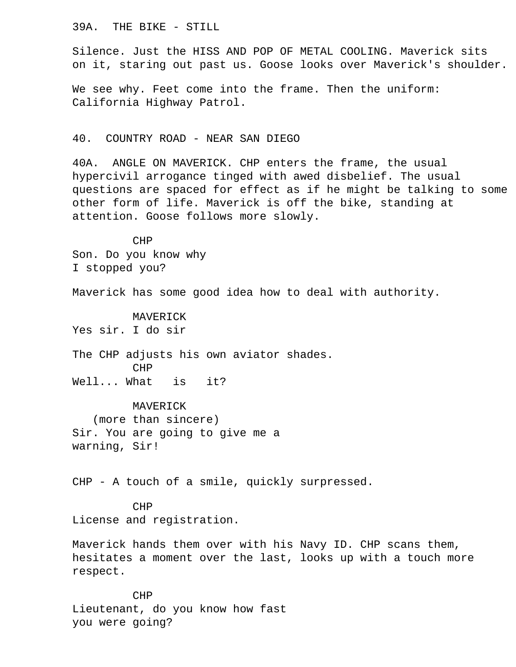### 39A. THE BIKE - STILL

 Silence. Just the HISS AND POP OF METAL COOLING. Maverick sits on it, staring out past us. Goose looks over Maverick's shoulder.

 We see why. Feet come into the frame. Then the uniform: California Highway Patrol.

# 40. COUNTRY ROAD - NEAR SAN DIEGO

 40A. ANGLE ON MAVERICK. CHP enters the frame, the usual hypercivil arrogance tinged with awed disbelief. The usual questions are spaced for effect as if he might be talking to some other form of life. Maverick is off the bike, standing at attention. Goose follows more slowly.

 CHP Son. Do you know why I stopped you?

Maverick has some good idea how to deal with authority.

 MAVERICK Yes sir. I do sir

 The CHP adjusts his own aviator shades. CHP Well... What is it?

 MAVERICK (more than sincere) Sir. You are going to give me a warning, Sir!

CHP - A touch of a smile, quickly surpressed.

 CHP License and registration.

 Maverick hands them over with his Navy ID. CHP scans them, hesitates a moment over the last, looks up with a touch more respect.

 CHP Lieutenant, do you know how fast you were going?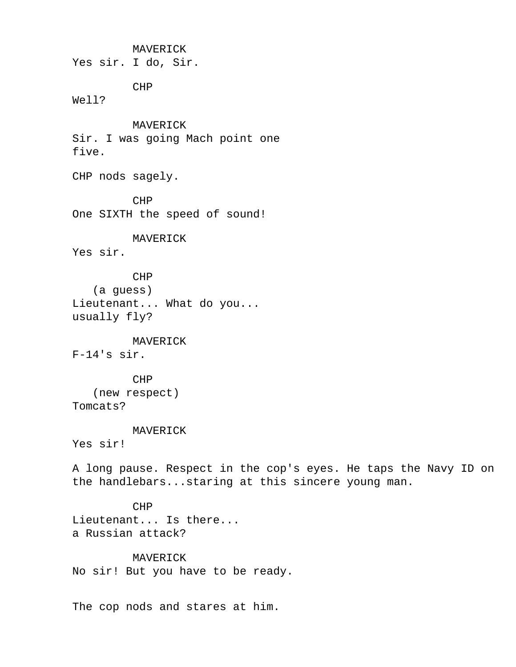MAVERICK

Yes sir. I do, Sir.

CHP

Well?

 MAVERICK Sir. I was going Mach point one five.

CHP nods sagely.

 CHP One SIXTH the speed of sound!

 MAVERICK Yes sir.

 CHP (a guess) Lieutenant... What do you... usually fly?

 MAVERICK F-14's sir.

 CHP (new respect) Tomcats?

MAVERICK

Yes sir!

 A long pause. Respect in the cop's eyes. He taps the Navy ID on the handlebars...staring at this sincere young man.

 CHP Lieutenant... Is there... a Russian attack?

 MAVERICK No sir! But you have to be ready.

The cop nods and stares at him.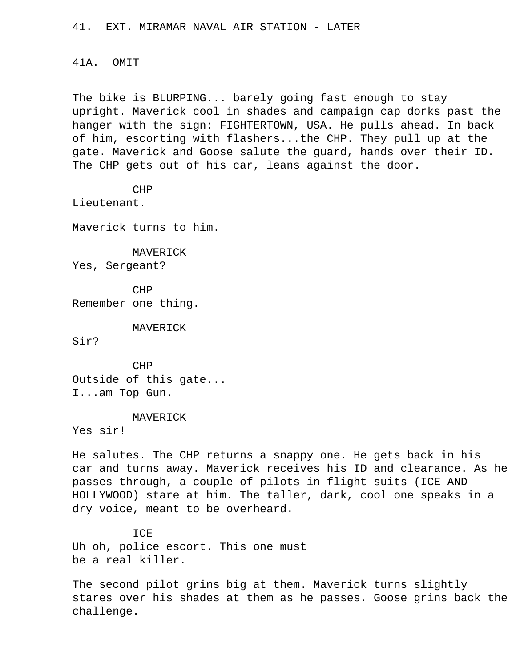41. EXT. MIRAMAR NAVAL AIR STATION - LATER

#### 41A. OMIT

 The bike is BLURPING... barely going fast enough to stay upright. Maverick cool in shades and campaign cap dorks past the hanger with the sign: FIGHTERTOWN, USA. He pulls ahead. In back of him, escorting with flashers...the CHP. They pull up at the gate. Maverick and Goose salute the guard, hands over their ID. The CHP gets out of his car, leans against the door.

#### CHP

Lieutenant.

Maverick turns to him.

 MAVERICK Yes, Sergeant?

 CHP Remember one thing.

MAVERICK

Sir?

 CHP Outside of this gate... I...am Top Gun.

#### MAVERICK

Yes sir!

 He salutes. The CHP returns a snappy one. He gets back in his car and turns away. Maverick receives his ID and clearance. As he passes through, a couple of pilots in flight suits (ICE AND HOLLYWOOD) stare at him. The taller, dark, cool one speaks in a dry voice, meant to be overheard.

 ICE Uh oh, police escort. This one must be a real killer.

 The second pilot grins big at them. Maverick turns slightly stares over his shades at them as he passes. Goose grins back the challenge.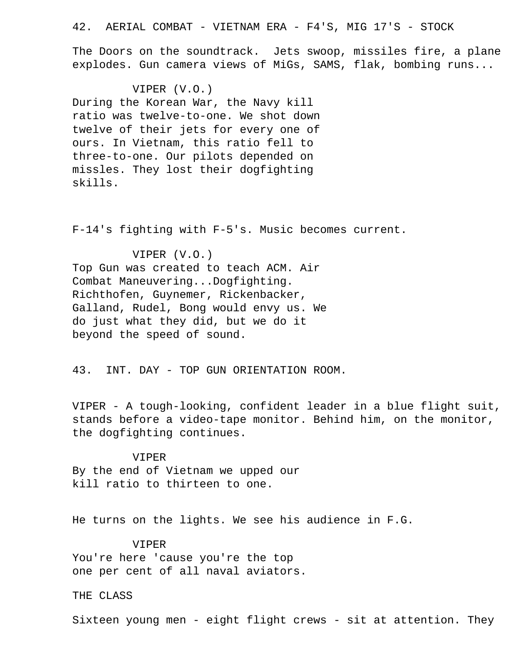### 42. AERIAL COMBAT - VIETNAM ERA - F4'S, MIG 17'S - STOCK

 The Doors on the soundtrack. Jets swoop, missiles fire, a plane explodes. Gun camera views of MiGs, SAMS, flak, bombing runs...

#### VIPER (V.O.)

 During the Korean War, the Navy kill ratio was twelve-to-one. We shot down twelve of their jets for every one of ours. In Vietnam, this ratio fell to three-to-one. Our pilots depended on missles. They lost their dogfighting skills.

F-14's fighting with F-5's. Music becomes current.

 VIPER (V.O.) Top Gun was created to teach ACM. Air Combat Maneuvering...Dogfighting. Richthofen, Guynemer, Rickenbacker, Galland, Rudel, Bong would envy us. We do just what they did, but we do it beyond the speed of sound.

43. INT. DAY - TOP GUN ORIENTATION ROOM.

 VIPER - A tough-looking, confident leader in a blue flight suit, stands before a video-tape monitor. Behind him, on the monitor, the dogfighting continues.

# VIPER By the end of Vietnam we upped our kill ratio to thirteen to one.

He turns on the lights. We see his audience in F.G.

# VIPER You're here 'cause you're the top

one per cent of all naval aviators.

## THE CLASS

Sixteen young men - eight flight crews - sit at attention. They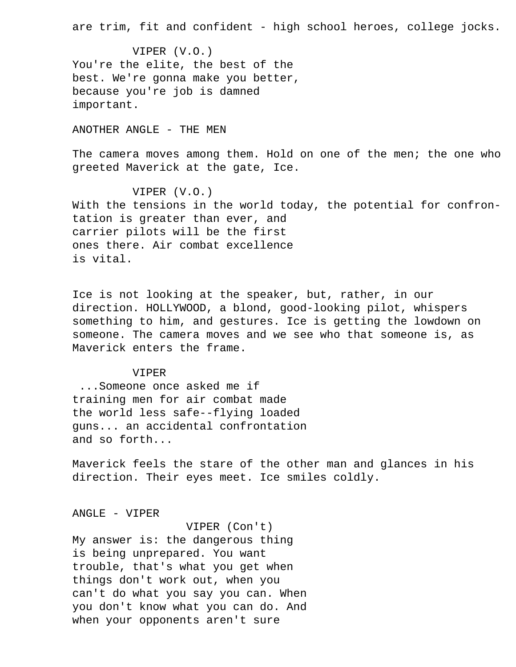are trim, fit and confident - high school heroes, college jocks.

 VIPER (V.O.) You're the elite, the best of the best. We're gonna make you better, because you're job is damned important.

ANOTHER ANGLE - THE MEN

The camera moves among them. Hold on one of the men; the one who greeted Maverick at the gate, Ice.

 VIPER (V.O.) With the tensions in the world today, the potential for confron tation is greater than ever, and carrier pilots will be the first ones there. Air combat excellence is vital.

 Ice is not looking at the speaker, but, rather, in our direction. HOLLYWOOD, a blond, good-looking pilot, whispers something to him, and gestures. Ice is getting the lowdown on someone. The camera moves and we see who that someone is, as Maverick enters the frame.

#### VIPER

 ...Someone once asked me if training men for air combat made the world less safe--flying loaded guns... an accidental confrontation and so forth...

 Maverick feels the stare of the other man and glances in his direction. Their eyes meet. Ice smiles coldly.

#### ANGLE - VIPER

 VIPER (Con't) My answer is: the dangerous thing is being unprepared. You want trouble, that's what you get when things don't work out, when you can't do what you say you can. When you don't know what you can do. And when your opponents aren't sure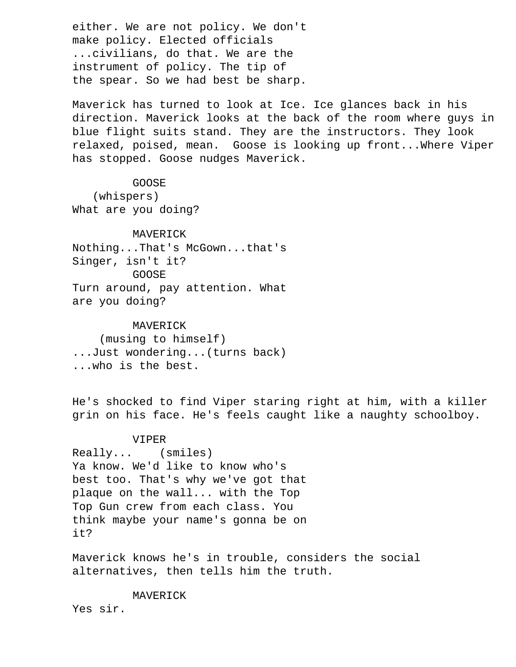either. We are not policy. We don't make policy. Elected officials ...civilians, do that. We are the instrument of policy. The tip of the spear. So we had best be sharp.

 Maverick has turned to look at Ice. Ice glances back in his direction. Maverick looks at the back of the room where guys in blue flight suits stand. They are the instructors. They look relaxed, poised, mean. Goose is looking up front...Where Viper has stopped. Goose nudges Maverick.

### GOOSE

 (whispers) What are you doing?

 MAVERICK Nothing...That's McGown...that's Singer, isn't it? GOOSE Turn around, pay attention. What are you doing?

 MAVERICK (musing to himself) ...Just wondering...(turns back) ...who is the best.

 He's shocked to find Viper staring right at him, with a killer grin on his face. He's feels caught like a naughty schoolboy.

# VIPER

 Really... (smiles) Ya know. We'd like to know who's best too. That's why we've got that plaque on the wall... with the Top Top Gun crew from each class. You think maybe your name's gonna be on it?

 Maverick knows he's in trouble, considers the social alternatives, then tells him the truth.

MAVERICK

Yes sir.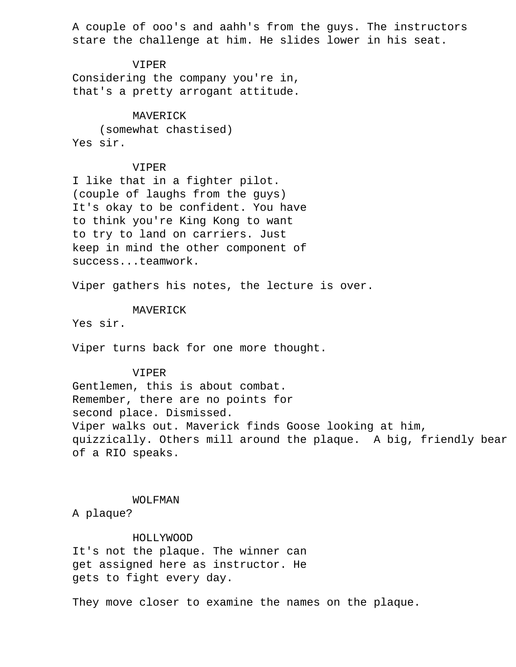A couple of ooo's and aahh's from the guys. The instructors stare the challenge at him. He slides lower in his seat.

# VIPER

 Considering the company you're in, that's a pretty arrogant attitude.

# MAVERICK

 (somewhat chastised) Yes sir.

# VIPER

 I like that in a fighter pilot. (couple of laughs from the guys) It's okay to be confident. You have to think you're King Kong to want to try to land on carriers. Just keep in mind the other component of success...teamwork.

Viper gathers his notes, the lecture is over.

# MAVERICK

Yes sir.

Viper turns back for one more thought.

# VIPER

 Gentlemen, this is about combat. Remember, there are no points for second place. Dismissed. Viper walks out. Maverick finds Goose looking at him, quizzically. Others mill around the plaque. A big, friendly bear of a RIO speaks.

# WOLFMAN

A plaque?

# HOLLYWOOD

 It's not the plaque. The winner can get assigned here as instructor. He gets to fight every day.

They move closer to examine the names on the plaque.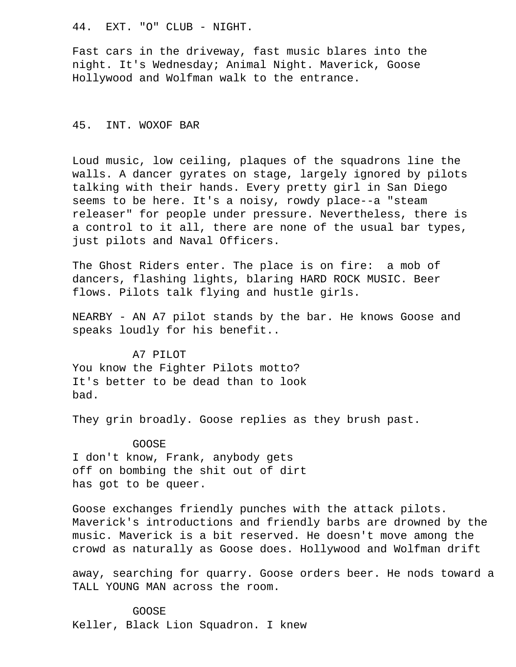44. EXT. "O" CLUB - NIGHT.

 Fast cars in the driveway, fast music blares into the night. It's Wednesday; Animal Night. Maverick, Goose Hollywood and Wolfman walk to the entrance.

# 45. INT. WOXOF BAR

 Loud music, low ceiling, plaques of the squadrons line the walls. A dancer gyrates on stage, largely ignored by pilots talking with their hands. Every pretty girl in San Diego seems to be here. It's a noisy, rowdy place--a "steam releaser" for people under pressure. Nevertheless, there is a control to it all, there are none of the usual bar types, just pilots and Naval Officers.

The Ghost Riders enter. The place is on fire: a mob of dancers, flashing lights, blaring HARD ROCK MUSIC. Beer flows. Pilots talk flying and hustle girls.

 NEARBY - AN A7 pilot stands by the bar. He knows Goose and speaks loudly for his benefit..

A7 PILOT

 You know the Fighter Pilots motto? It's better to be dead than to look bad.

They grin broadly. Goose replies as they brush past.

# GOOSE

 I don't know, Frank, anybody gets off on bombing the shit out of dirt has got to be queer.

 Goose exchanges friendly punches with the attack pilots. Maverick's introductions and friendly barbs are drowned by the music. Maverick is a bit reserved. He doesn't move among the crowd as naturally as Goose does. Hollywood and Wolfman drift

 away, searching for quarry. Goose orders beer. He nods toward a TALL YOUNG MAN across the room.

# GOOSE

Keller, Black Lion Squadron. I knew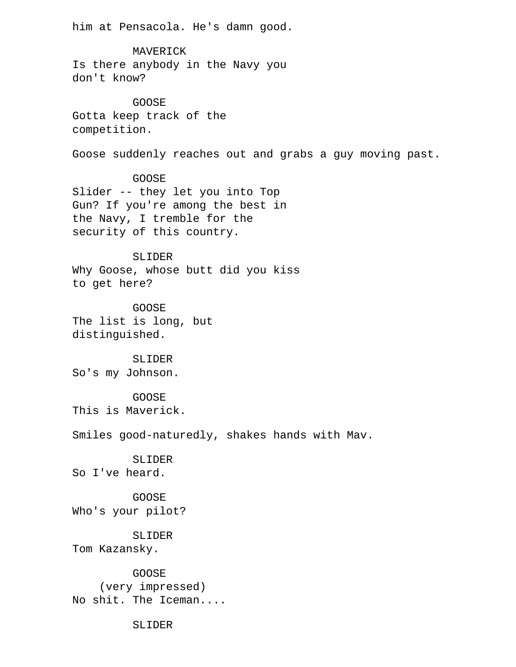him at Pensacola. He's damn good.

 MAVERICK Is there anybody in the Navy you don't know?

 GOOSE Gotta keep track of the competition.

Goose suddenly reaches out and grabs a guy moving past.

 GOOSE Slider -- they let you into Top Gun? If you're among the best in the Navy, I tremble for the security of this country.

 SLIDER Why Goose, whose butt did you kiss to get here?

 GOOSE The list is long, but distinguished.

 SLIDER So's my Johnson.

 GOOSE This is Maverick.

Smiles good-naturedly, shakes hands with Mav.

 SLIDER So I've heard.

 GOOSE Who's your pilot?

 SLIDER Tom Kazansky.

 GOOSE (very impressed) No shit. The Iceman....

SLIDER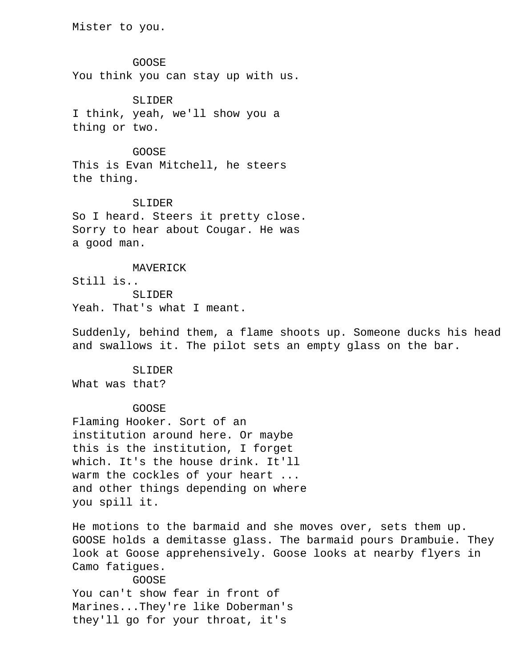Mister to you.

 GOOSE You think you can stay up with us.

 SLIDER I think, yeah, we'll show you a thing or two.

 GOOSE This is Evan Mitchell, he steers the thing.

 SLIDER So I heard. Steers it pretty close. Sorry to hear about Cougar. He was a good man.

 MAVERICK Still is.. SLIDER Yeah. That's what I meant.

 Suddenly, behind them, a flame shoots up. Someone ducks his head and swallows it. The pilot sets an empty glass on the bar.

 SLIDER What was that?

GOOSE

 Flaming Hooker. Sort of an institution around here. Or maybe this is the institution, I forget which. It's the house drink. It'll warm the cockles of your heart ... and other things depending on where you spill it.

 He motions to the barmaid and she moves over, sets them up. GOOSE holds a demitasse glass. The barmaid pours Drambuie. They look at Goose apprehensively. Goose looks at nearby flyers in Camo fatigues. GOOSE You can't show fear in front of Marines...They're like Doberman's

they'll go for your throat, it's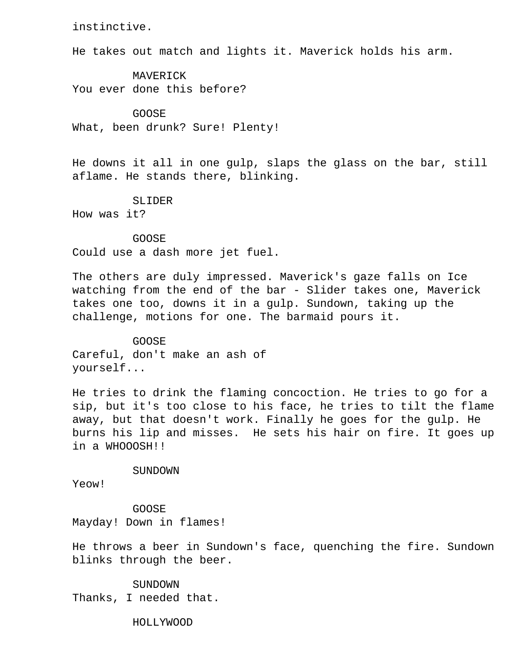instinctive.

He takes out match and lights it. Maverick holds his arm.

 MAVERICK You ever done this before?

 GOOSE What, been drunk? Sure! Plenty!

 He downs it all in one gulp, slaps the glass on the bar, still aflame. He stands there, blinking.

SLIDER

How was it?

 GOOSE Could use a dash more jet fuel.

 The others are duly impressed. Maverick's gaze falls on Ice watching from the end of the bar - Slider takes one, Maverick takes one too, downs it in a gulp. Sundown, taking up the challenge, motions for one. The barmaid pours it.

 GOOSE Careful, don't make an ash of yourself...

 He tries to drink the flaming concoction. He tries to go for a sip, but it's too close to his face, he tries to tilt the flame away, but that doesn't work. Finally he goes for the gulp. He burns his lip and misses. He sets his hair on fire. It goes up in a WHOOOSH!!

SUNDOWN

Yeow!

 GOOSE Mayday! Down in flames!

 He throws a beer in Sundown's face, quenching the fire. Sundown blinks through the beer.

 SUNDOWN Thanks, I needed that.

HOLLYWOOD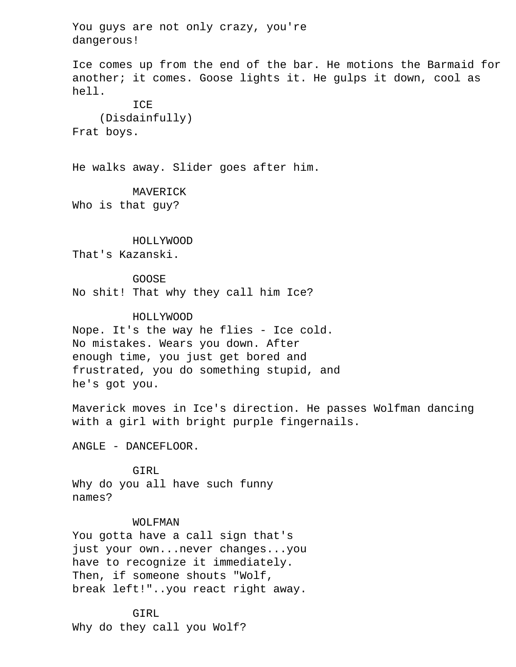You guys are not only crazy, you're dangerous! Ice comes up from the end of the bar. He motions the Barmaid for another; it comes. Goose lights it. He gulps it down, cool as hell. ICE (Disdainfully) Frat boys. He walks away. Slider goes after him. MAVERICK Who is that guy? HOLLYWOOD That's Kazanski. GOOSE No shit! That why they call him Ice? HOLLYWOOD Nope. It's the way he flies - Ice cold. No mistakes. Wears you down. After enough time, you just get bored and frustrated, you do something stupid, and he's got you. Maverick moves in Ice's direction. He passes Wolfman dancing with a girl with bright purple fingernails. ANGLE - DANCEFLOOR. GIRL Why do you all have such funny names? WOLFMAN You gotta have a call sign that's just your own...never changes...you have to recognize it immediately. Then, if someone shouts "Wolf, break left!"..you react right away. GIRL

Why do they call you Wolf?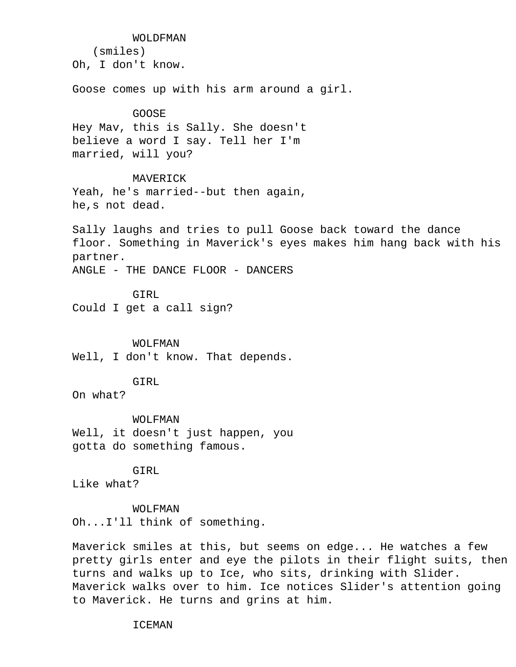WOLDFMAN (smiles) Oh, I don't know. Goose comes up with his arm around a girl. GOOSE Hey Mav, this is Sally. She doesn't believe a word I say. Tell her I'm married, will you? MAVERICK Yeah, he's married--but then again, he,s not dead. Sally laughs and tries to pull Goose back toward the dance floor. Something in Maverick's eyes makes him hang back with his partner. ANGLE - THE DANCE FLOOR - DANCERS GIRL Could I get a call sign? WOLFMAN Well, I don't know. That depends. GIRL On what? WOLFMAN Well, it doesn't just happen, you gotta do something famous. GIRL Like what? WOLFMAN Oh...I'll think of something.

 Maverick smiles at this, but seems on edge... He watches a few pretty girls enter and eye the pilots in their flight suits, then turns and walks up to Ice, who sits, drinking with Slider. Maverick walks over to him. Ice notices Slider's attention going to Maverick. He turns and grins at him.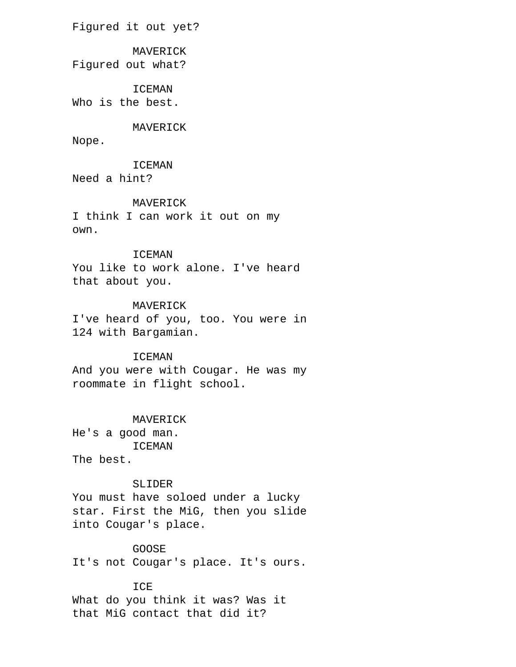Figured it out yet?

# MAVERICK

Figured out what?

ICEMAN

Who is the best.

# MAVERICK

Nope.

 ICEMAN Need a hint?

#### MAVERICK

 I think I can work it out on my own.

# ICEMAN

 You like to work alone. I've heard that about you.

# MAVERICK

 I've heard of you, too. You were in 124 with Bargamian.

# ICEMAN

 And you were with Cougar. He was my roommate in flight school.

# MAVERICK

 He's a good man. ICEMAN The best.

# SLIDER

 You must have soloed under a lucky star. First the MiG, then you slide into Cougar's place.

# GOOSE

It's not Cougar's place. It's ours.

# ICE

 What do you think it was? Was it that MiG contact that did it?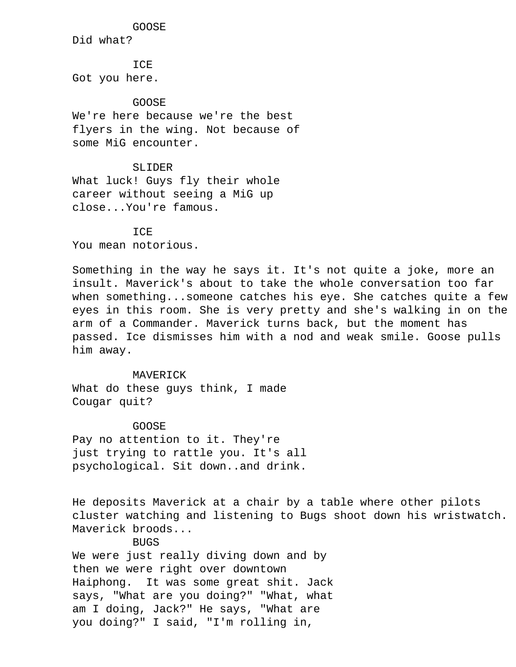## GOOSE

Did what?

**TCE** Got you here.

### GOOSE

 We're here because we're the best flyers in the wing. Not because of some MiG encounter.

# SLIDER

 What luck! Guys fly their whole career without seeing a MiG up close...You're famous.

# **TCE**

You mean notorious.

 Something in the way he says it. It's not quite a joke, more an insult. Maverick's about to take the whole conversation too far when something...someone catches his eye. She catches quite a few eyes in this room. She is very pretty and she's walking in on the arm of a Commander. Maverick turns back, but the moment has passed. Ice dismisses him with a nod and weak smile. Goose pulls him away.

 MAVERICK What do these guys think, I made Cougar quit?

### GOOSE

 Pay no attention to it. They're just trying to rattle you. It's all psychological. Sit down..and drink.

 He deposits Maverick at a chair by a table where other pilots cluster watching and listening to Bugs shoot down his wristwatch. Maverick broods...

# **BUGS**

 We were just really diving down and by then we were right over downtown Haiphong. It was some great shit. Jack says, "What are you doing?" "What, what am I doing, Jack?" He says, "What are you doing?" I said, "I'm rolling in,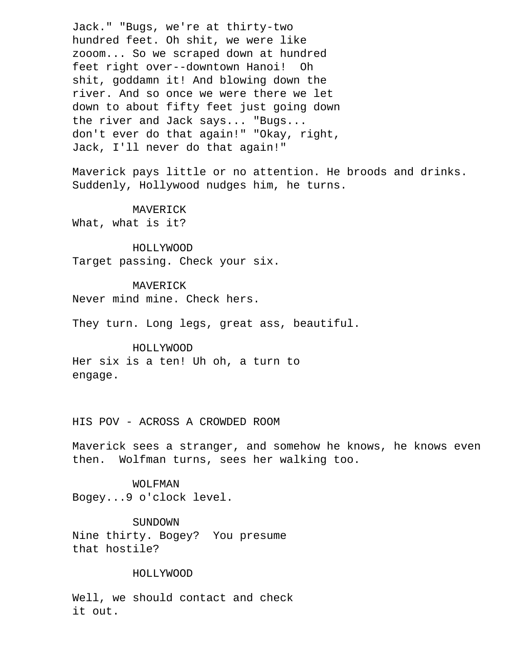Jack." "Bugs, we're at thirty-two hundred feet. Oh shit, we were like zooom... So we scraped down at hundred feet right over--downtown Hanoi! Oh shit, goddamn it! And blowing down the river. And so once we were there we let down to about fifty feet just going down the river and Jack says... "Bugs... don't ever do that again!" "Okay, right, Jack, I'll never do that again!"

 Maverick pays little or no attention. He broods and drinks. Suddenly, Hollywood nudges him, he turns.

 MAVERICK What, what is it?

 HOLLYWOOD Target passing. Check your six.

 MAVERICK Never mind mine. Check hers.

They turn. Long legs, great ass, beautiful.

 HOLLYWOOD Her six is a ten! Uh oh, a turn to engage.

HIS POV - ACROSS A CROWDED ROOM

 Maverick sees a stranger, and somehow he knows, he knows even then. Wolfman turns, sees her walking too.

 WOLFMAN Bogey...9 o'clock level.

 SUNDOWN Nine thirty. Bogey? You presume that hostile?

# HOLLYWOOD

 Well, we should contact and check it out.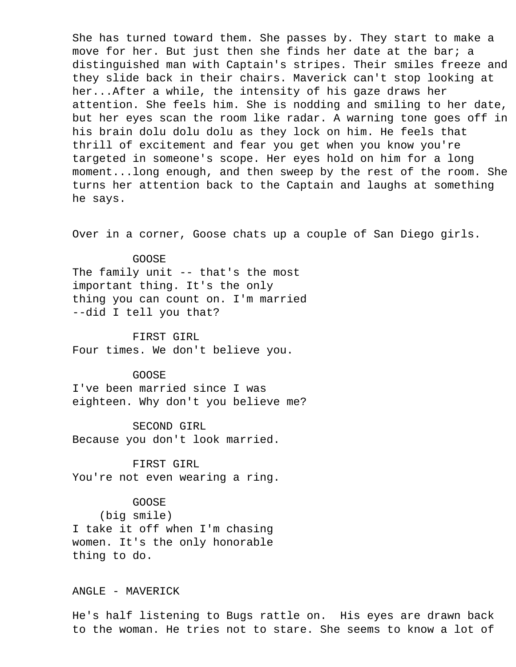She has turned toward them. She passes by. They start to make a move for her. But just then she finds her date at the bar; a distinguished man with Captain's stripes. Their smiles freeze and they slide back in their chairs. Maverick can't stop looking at her...After a while, the intensity of his gaze draws her attention. She feels him. She is nodding and smiling to her date, but her eyes scan the room like radar. A warning tone goes off in his brain dolu dolu dolu as they lock on him. He feels that thrill of excitement and fear you get when you know you're targeted in someone's scope. Her eyes hold on him for a long moment...long enough, and then sweep by the rest of the room. She turns her attention back to the Captain and laughs at something he says.

Over in a corner, Goose chats up a couple of San Diego girls.

#### GOOSE

 The family unit -- that's the most important thing. It's the only thing you can count on. I'm married --did I tell you that?

 FIRST GIRL Four times. We don't believe you.

GOOSE

 I've been married since I was eighteen. Why don't you believe me?

 SECOND GIRL Because you don't look married.

 FIRST GIRL You're not even wearing a ring.

GOOSE

 (big smile) I take it off when I'm chasing women. It's the only honorable thing to do.

ANGLE - MAVERICK

 He's half listening to Bugs rattle on. His eyes are drawn back to the woman. He tries not to stare. She seems to know a lot of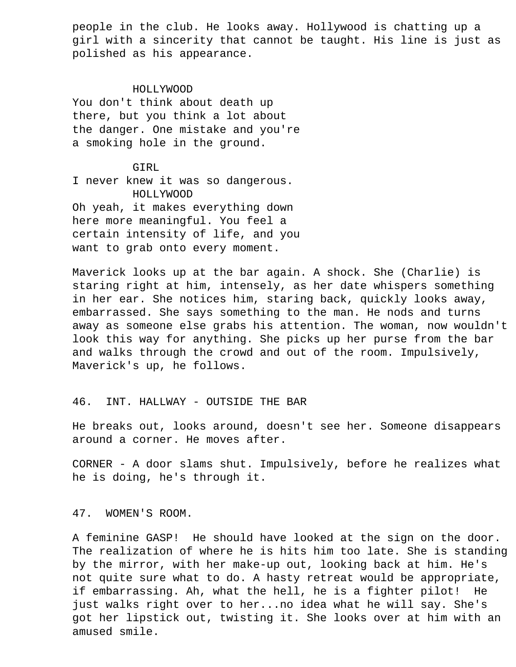people in the club. He looks away. Hollywood is chatting up a girl with a sincerity that cannot be taught. His line is just as polished as his appearance.

#### HOLLYWOOD

 You don't think about death up there, but you think a lot about the danger. One mistake and you're a smoking hole in the ground.

# GIRL

 I never knew it was so dangerous. HOLLYWOOD Oh yeah, it makes everything down here more meaningful. You feel a certain intensity of life, and you want to grab onto every moment.

 Maverick looks up at the bar again. A shock. She (Charlie) is staring right at him, intensely, as her date whispers something in her ear. She notices him, staring back, quickly looks away, embarrassed. She says something to the man. He nods and turns away as someone else grabs his attention. The woman, now wouldn't look this way for anything. She picks up her purse from the bar and walks through the crowd and out of the room. Impulsively, Maverick's up, he follows.

# 46. INT. HALLWAY - OUTSIDE THE BAR

 He breaks out, looks around, doesn't see her. Someone disappears around a corner. He moves after.

 CORNER - A door slams shut. Impulsively, before he realizes what he is doing, he's through it.

47. WOMEN'S ROOM.

 A feminine GASP! He should have looked at the sign on the door. The realization of where he is hits him too late. She is standing by the mirror, with her make-up out, looking back at him. He's not quite sure what to do. A hasty retreat would be appropriate, if embarrassing. Ah, what the hell, he is a fighter pilot! He just walks right over to her...no idea what he will say. She's got her lipstick out, twisting it. She looks over at him with an amused smile.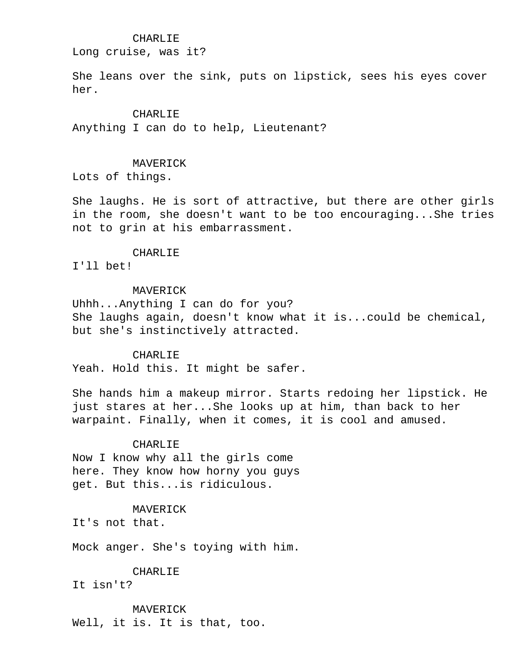# CHARLIE

Long cruise, was it?

 She leans over the sink, puts on lipstick, sees his eyes cover her.

#### CHARLIE

Anything I can do to help, Lieutenant?

# MAVERICK

Lots of things.

 She laughs. He is sort of attractive, but there are other girls in the room, she doesn't want to be too encouraging...She tries not to grin at his embarrassment.

#### CHARLIE

I'll bet!

# MAVERICK

 Uhhh...Anything I can do for you? She laughs again, doesn't know what it is...could be chemical, but she's instinctively attracted.

#### CHARLIE

Yeah. Hold this. It might be safer.

 She hands him a makeup mirror. Starts redoing her lipstick. He just stares at her...She looks up at him, than back to her warpaint. Finally, when it comes, it is cool and amused.

## CHARLIE

 Now I know why all the girls come here. They know how horny you guys get. But this...is ridiculous.

# MAVERICK

It's not that.

Mock anger. She's toying with him.

#### CHARLIE

It isn't?

#### MAVERICK

Well, it is. It is that, too.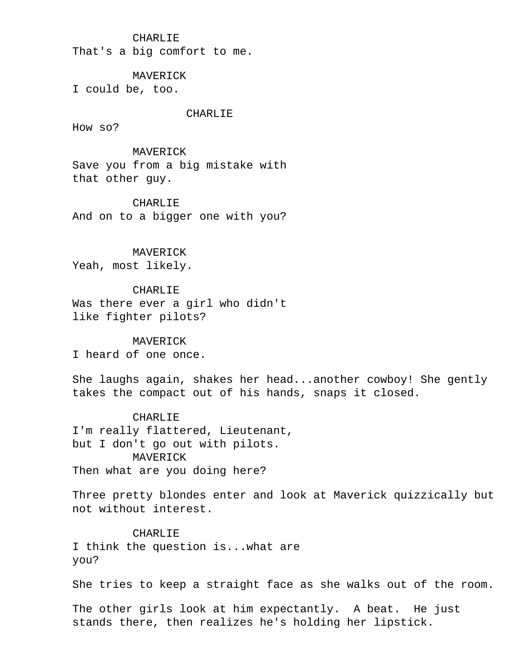# CHARLIE

That's a big comfort to me.

#### MAVERICK

I could be, too.

#### CHARLIE

How so?

# MAVERICK

 Save you from a big mistake with that other guy.

### CHARLIE

And on to a bigger one with you?

# MAVERICK

Yeah, most likely.

# CHARLIE

 Was there ever a girl who didn't like fighter pilots?

#### MAVERICK

I heard of one once.

 She laughs again, shakes her head...another cowboy! She gently takes the compact out of his hands, snaps it closed.

# CHARLIE

 I'm really flattered, Lieutenant, but I don't go out with pilots. MAVERICK Then what are you doing here?

 Three pretty blondes enter and look at Maverick quizzically but not without interest.

# CHARLIE

 I think the question is...what are you?

She tries to keep a straight face as she walks out of the room.

 The other girls look at him expectantly. A beat. He just stands there, then realizes he's holding her lipstick.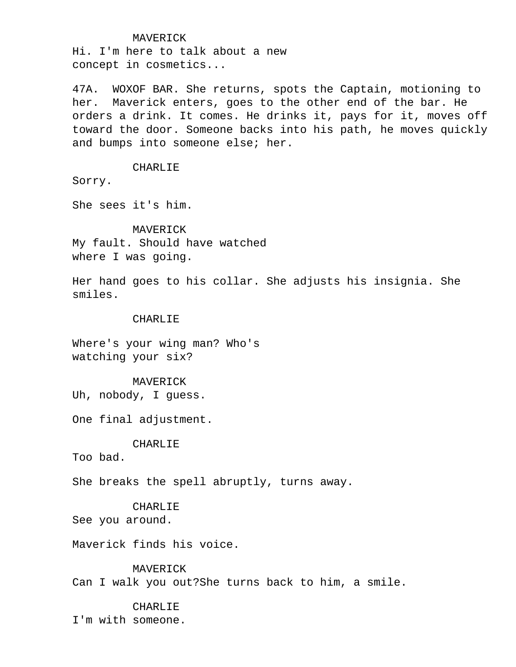#### MAVERICK

 Hi. I'm here to talk about a new concept in cosmetics...

 47A. WOXOF BAR. She returns, spots the Captain, motioning to her. Maverick enters, goes to the other end of the bar. He orders a drink. It comes. He drinks it, pays for it, moves off toward the door. Someone backs into his path, he moves quickly and bumps into someone else; her.

#### CHARLIE

Sorry.

She sees it's him.

 MAVERICK My fault. Should have watched where I was going.

 Her hand goes to his collar. She adjusts his insignia. She smiles.

# CHARLIE

 Where's your wing man? Who's watching your six?

# MAVERICK

Uh, nobody, I guess.

One final adjustment.

# CHARLIE

Too bad.

She breaks the spell abruptly, turns away.

# CHARLIE

See you around.

Maverick finds his voice.

# MAVERICK

Can I walk you out?She turns back to him, a smile.

# CHARLIE

I'm with someone.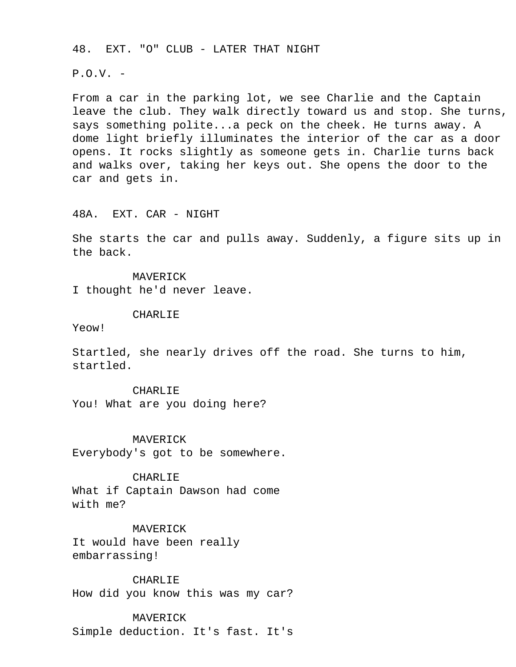48. EXT. "O" CLUB - LATER THAT NIGHT

 $P.0.V. -$ 

 From a car in the parking lot, we see Charlie and the Captain leave the club. They walk directly toward us and stop. She turns, says something polite...a peck on the cheek. He turns away. A dome light briefly illuminates the interior of the car as a door opens. It rocks slightly as someone gets in. Charlie turns back and walks over, taking her keys out. She opens the door to the car and gets in.

#### 48A. EXT. CAR - NIGHT

 She starts the car and pulls away. Suddenly, a figure sits up in the back.

 MAVERICK I thought he'd never leave.

### CHARLIE

Yeow!

 Startled, she nearly drives off the road. She turns to him, startled.

CHARLIE

You! What are you doing here?

MAVERICK

Everybody's got to be somewhere.

CHARLIE

 What if Captain Dawson had come with me?

 MAVERICK It would have been really embarrassing!

CHARLIF.

How did you know this was my car?

#### MAVERICK

Simple deduction. It's fast. It's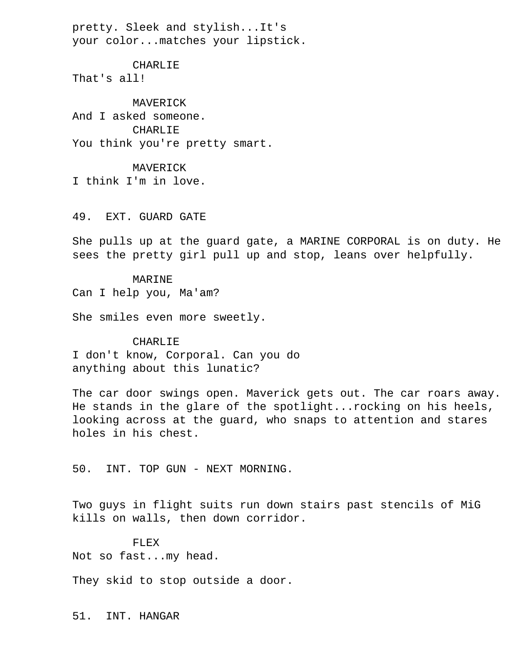pretty. Sleek and stylish...It's your color...matches your lipstick.

 CHARLIE That's all!

 MAVERICK And I asked someone. CHARLIE You think you're pretty smart.

 MAVERICK I think I'm in love.

49. EXT. GUARD GATE

 She pulls up at the guard gate, a MARINE CORPORAL is on duty. He sees the pretty girl pull up and stop, leans over helpfully.

 MARINE Can I help you, Ma'am?

She smiles even more sweetly.

 CHARLIE I don't know, Corporal. Can you do anything about this lunatic?

 The car door swings open. Maverick gets out. The car roars away. He stands in the glare of the spotlight...rocking on his heels, looking across at the guard, who snaps to attention and stares holes in his chest.

50. INT. TOP GUN - NEXT MORNING.

 Two guys in flight suits run down stairs past stencils of MiG kills on walls, then down corridor.

 FLEX Not so fast...my head.

They skid to stop outside a door.

51. INT. HANGAR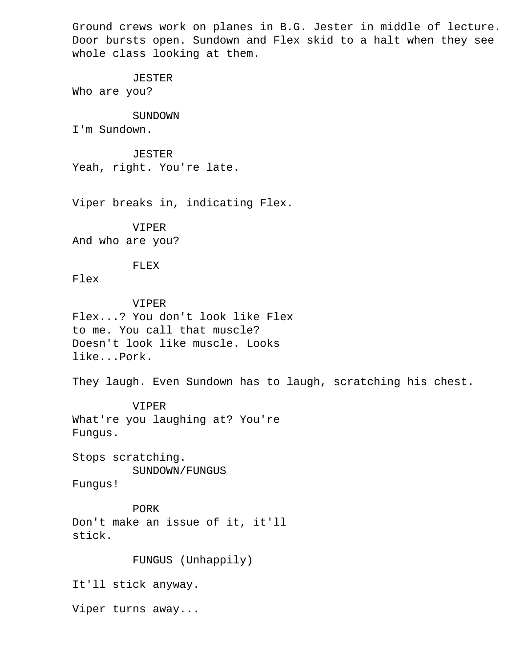Ground crews work on planes in B.G. Jester in middle of lecture. Door bursts open. Sundown and Flex skid to a halt when they see whole class looking at them.

### JESTER

Who are you?

# SUNDOWN

I'm Sundown.

# JESTER

Yeah, right. You're late.

Viper breaks in, indicating Flex.

# VIPER And who are you?

# FLEX

Flex

# VIPER

 Flex...? You don't look like Flex to me. You call that muscle? Doesn't look like muscle. Looks like...Pork.

They laugh. Even Sundown has to laugh, scratching his chest.

# VIPER

 What're you laughing at? You're Fungus.

 Stops scratching. SUNDOWN/FUNGUS

Fungus!

# PORK Don't make an issue of it, it'll stick.

# FUNGUS (Unhappily)

It'll stick anyway.

Viper turns away...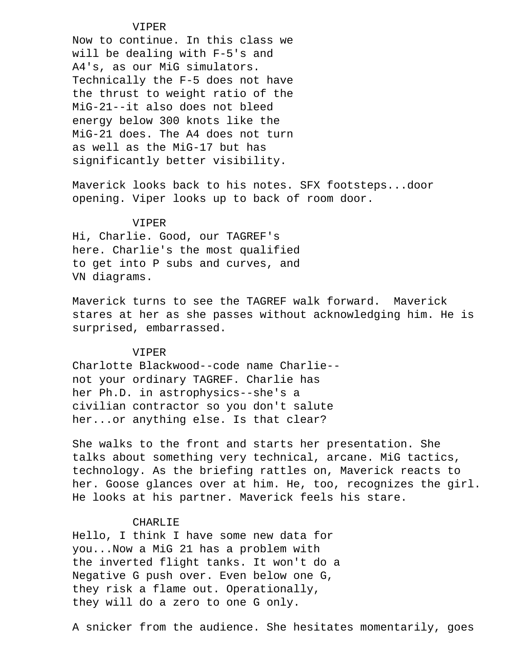# VIPER

 Now to continue. In this class we will be dealing with F-5's and A4's, as our MiG simulators. Technically the F-5 does not have the thrust to weight ratio of the MiG-21--it also does not bleed energy below 300 knots like the MiG-21 does. The A4 does not turn as well as the MiG-17 but has significantly better visibility.

 Maverick looks back to his notes. SFX footsteps...door opening. Viper looks up to back of room door.

#### VIPER

 Hi, Charlie. Good, our TAGREF's here. Charlie's the most qualified to get into P subs and curves, and VN diagrams.

 Maverick turns to see the TAGREF walk forward. Maverick stares at her as she passes without acknowledging him. He is surprised, embarrassed.

# VIPER

 Charlotte Blackwood--code name Charlie- not your ordinary TAGREF. Charlie has her Ph.D. in astrophysics--she's a civilian contractor so you don't salute her...or anything else. Is that clear?

 She walks to the front and starts her presentation. She talks about something very technical, arcane. MiG tactics, technology. As the briefing rattles on, Maverick reacts to her. Goose glances over at him. He, too, recognizes the girl. He looks at his partner. Maverick feels his stare.

#### CHARLIE

 Hello, I think I have some new data for you...Now a MiG 21 has a problem with the inverted flight tanks. It won't do a Negative G push over. Even below one G, they risk a flame out. Operationally, they will do a zero to one G only.

A snicker from the audience. She hesitates momentarily, goes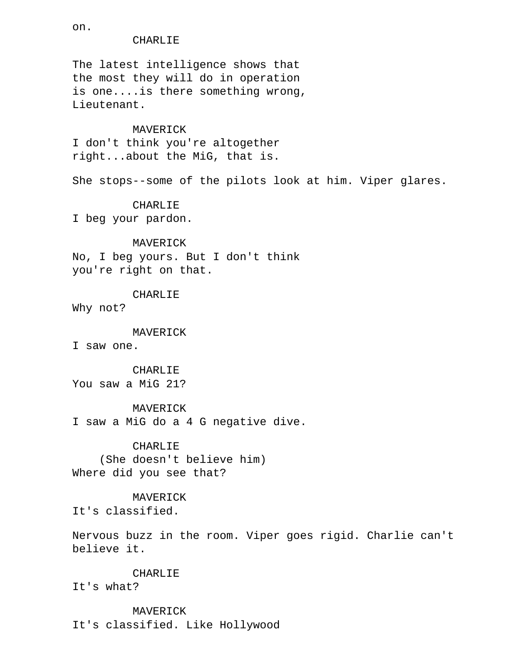CHARLIE The latest intelligence shows that the most they will do in operation is one....is there something wrong, Lieutenant. MAVERICK I don't think you're altogether right...about the MiG, that is. She stops--some of the pilots look at him. Viper glares. CHARLIE I beg your pardon. MAVERICK No, I beg yours. But I don't think you're right on that. CHARLIE Why not? MAVERICK I saw one. CHARLIE You saw a MiG 21? MAVERICK I saw a MiG do a 4 G negative dive.

 CHARLIE (She doesn't believe him) Where did you see that?

 MAVERICK It's classified.

 Nervous buzz in the room. Viper goes rigid. Charlie can't believe it.

#### CHARLIE

It's what?

#### MAVERICK

It's classified. Like Hollywood

on.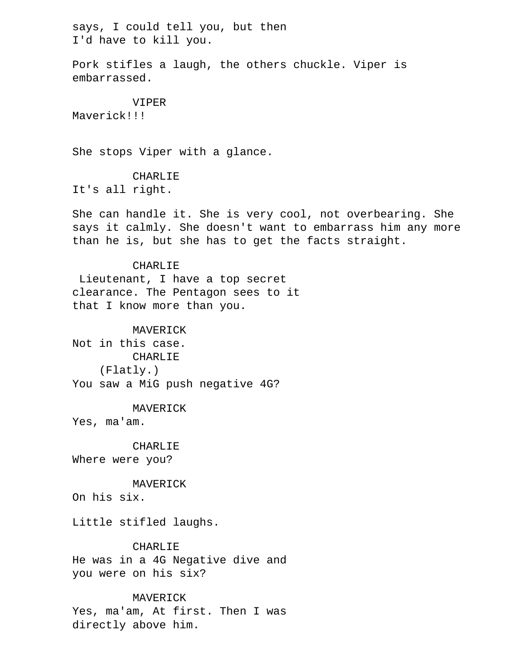says, I could tell you, but then I'd have to kill you.

 Pork stifles a laugh, the others chuckle. Viper is embarrassed.

 VIPER Maverick!!!

She stops Viper with a glance.

CHARLIE

It's all right.

 She can handle it. She is very cool, not overbearing. She says it calmly. She doesn't want to embarrass him any more than he is, but she has to get the facts straight.

# CHARLIE

 Lieutenant, I have a top secret clearance. The Pentagon sees to it that I know more than you.

# MAVERICK

 Not in this case. CHARLIE (Flatly.) You saw a MiG push negative 4G?

 MAVERICK Yes, ma'am.

 CHARLIE Where were you?

MAVERICK

On his six.

Little stifled laughs.

 CHARLIE He was in a 4G Negative dive and you were on his six?

# MAVERICK

 Yes, ma'am, At first. Then I was directly above him.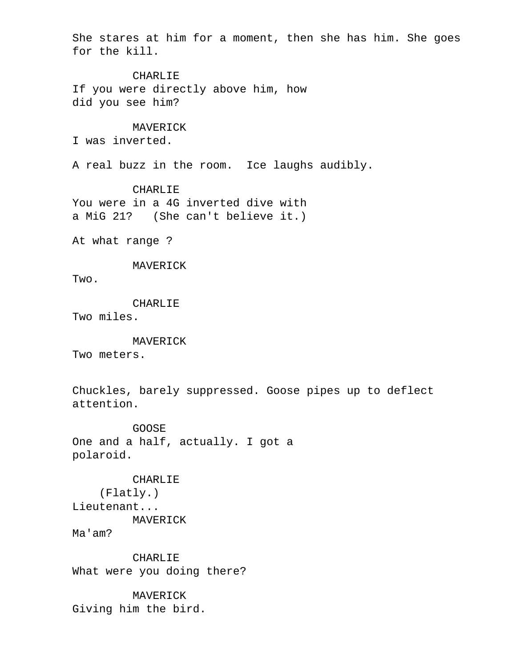She stares at him for a moment, then she has him. She goes for the kill.

**CHARLIE**  If you were directly above him, how did you see him?

# MAVERICK

I was inverted.

A real buzz in the room. Ice laughs audibly.

CHARLIE

 You were in a 4G inverted dive with a MiG 21? (She can't believe it.)

At what range ?

MAVERICK

Two.

CHARLIE

Two miles.

 MAVERICK Two meters.

 Chuckles, barely suppressed. Goose pipes up to deflect attention.

 GOOSE One and a half, actually. I got a polaroid.

 CHARLIE (Flatly.) Lieutenant... MAVERICK Ma'am?

 CHARLIE What were you doing there?

 MAVERICK Giving him the bird.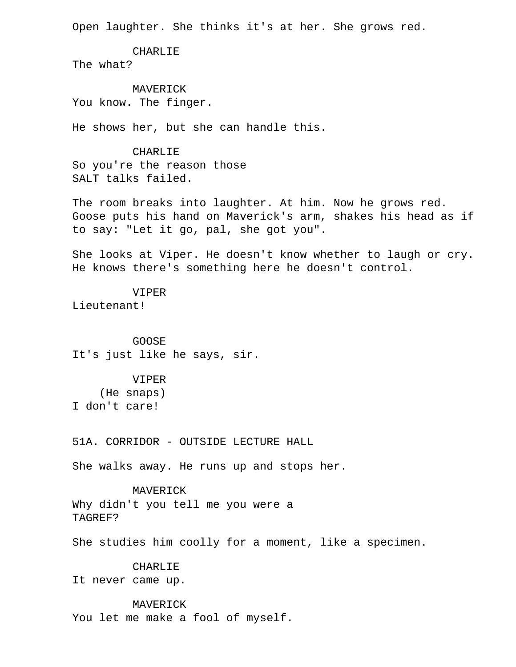Open laughter. She thinks it's at her. She grows red.

CHARLIE

The what?

 MAVERICK You know. The finger.

He shows her, but she can handle this.

# CHARLIE

 So you're the reason those SALT talks failed.

 The room breaks into laughter. At him. Now he grows red. Goose puts his hand on Maverick's arm, shakes his head as if to say: "Let it go, pal, she got you".

 She looks at Viper. He doesn't know whether to laugh or cry. He knows there's something here he doesn't control.

# VIPER

Lieutenant!

 GOOSE It's just like he says, sir.

 VIPER (He snaps) I don't care!

51A. CORRIDOR - OUTSIDE LECTURE HALL

She walks away. He runs up and stops her.

 MAVERICK Why didn't you tell me you were a TAGREF?

She studies him coolly for a moment, like a specimen.

# CHARLIF.

It never came up.

#### MAVERICK

You let me make a fool of myself.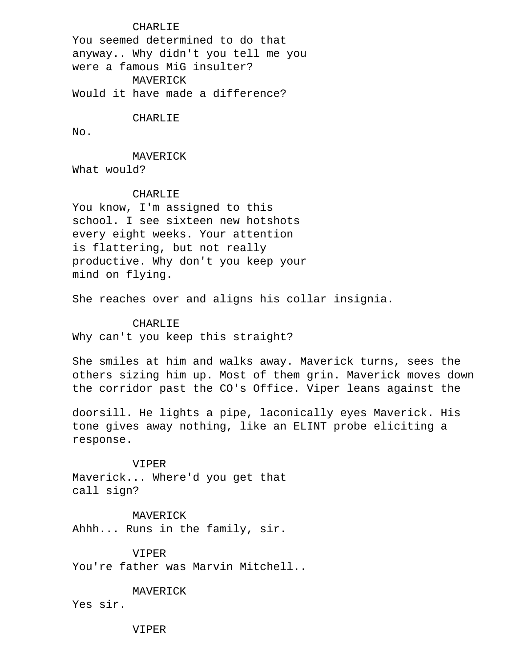# **CHARLIE**

 You seemed determined to do that anyway.. Why didn't you tell me you were a famous MiG insulter? MAVERICK Would it have made a difference?

#### CHARLIE

No.

MAVERICK

What would?

# CHARLIE

 You know, I'm assigned to this school. I see sixteen new hotshots every eight weeks. Your attention is flattering, but not really productive. Why don't you keep your mind on flying.

She reaches over and aligns his collar insignia.

# CHARLIE

Why can't you keep this straight?

 She smiles at him and walks away. Maverick turns, sees the others sizing him up. Most of them grin. Maverick moves down the corridor past the CO's Office. Viper leans against the

 doorsill. He lights a pipe, laconically eyes Maverick. His tone gives away nothing, like an ELINT probe eliciting a response.

 VIPER Maverick... Where'd you get that call sign?

 MAVERICK Ahhh... Runs in the family, sir.

 VIPER You're father was Marvin Mitchell..

 MAVERICK Yes sir.

VIPER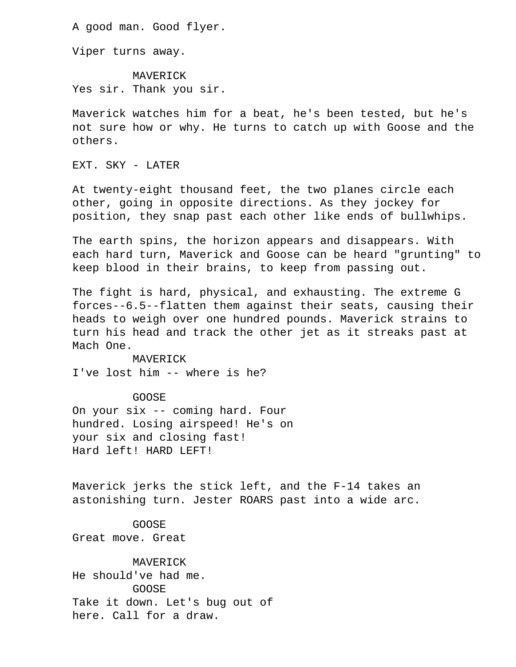A good man. Good flyer.

Viper turns away.

 MAVERICK Yes sir. Thank you sir.

 Maverick watches him for a beat, he's been tested, but he's not sure how or why. He turns to catch up with Goose and the others.

EXT. SKY - LATER

 At twenty-eight thousand feet, the two planes circle each other, going in opposite directions. As they jockey for position, they snap past each other like ends of bullwhips.

 The earth spins, the horizon appears and disappears. With each hard turn, Maverick and Goose can be heard "grunting" to keep blood in their brains, to keep from passing out.

 The fight is hard, physical, and exhausting. The extreme G forces--6.5--flatten them against their seats, causing their heads to weigh over one hundred pounds. Maverick strains to turn his head and track the other jet as it streaks past at Mach One.

 MAVERICK I've lost him -- where is he?

GOOSE

 On your six -- coming hard. Four hundred. Losing airspeed! He's on your six and closing fast! Hard left! HARD LEFT!

 Maverick jerks the stick left, and the F-14 takes an astonishing turn. Jester ROARS past into a wide arc.

 GOOSE Great move. Great

 MAVERICK He should've had me. GOOSE Take it down. Let's bug out of here. Call for a draw.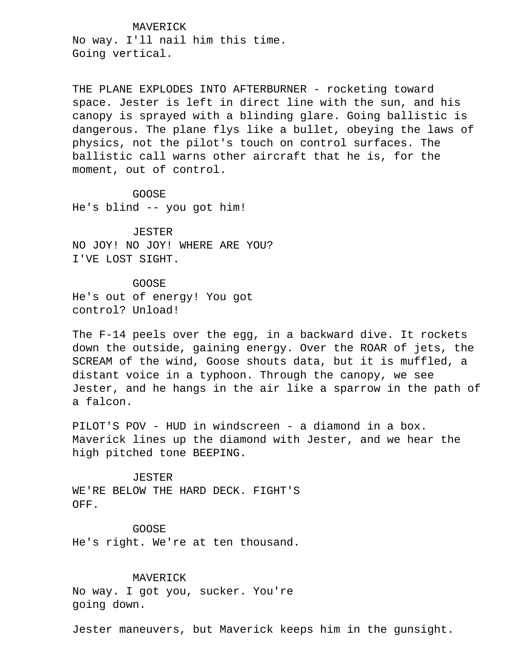MAVERICK No way. I'll nail him this time. Going vertical.

THE PLANE EXPLODES INTO AFTERBURNER - rocketing toward space. Jester is left in direct line with the sun, and his canopy is sprayed with a blinding glare. Going ballistic is dangerous. The plane flys like a bullet, obeying the laws of physics, not the pilot's touch on control surfaces. The ballistic call warns other aircraft that he is, for the moment, out of control.

GOOSE

He's blind -- you got him!

 JESTER NO JOY! NO JOY! WHERE ARE YOU? I'VE LOST SIGHT.

 GOOSE He's out of energy! You got control? Unload!

 The F-14 peels over the egg, in a backward dive. It rockets down the outside, gaining energy. Over the ROAR of jets, the SCREAM of the wind, Goose shouts data, but it is muffled, a distant voice in a typhoon. Through the canopy, we see Jester, and he hangs in the air like a sparrow in the path of a falcon.

 PILOT'S POV - HUD in windscreen - a diamond in a box. Maverick lines up the diamond with Jester, and we hear the high pitched tone BEEPING.

 JESTER WE'RE BELOW THE HARD DECK. FIGHT'S OFF.

 GOOSE He's right. We're at ten thousand.

 MAVERICK No way. I got you, sucker. You're going down.

Jester maneuvers, but Maverick keeps him in the gunsight.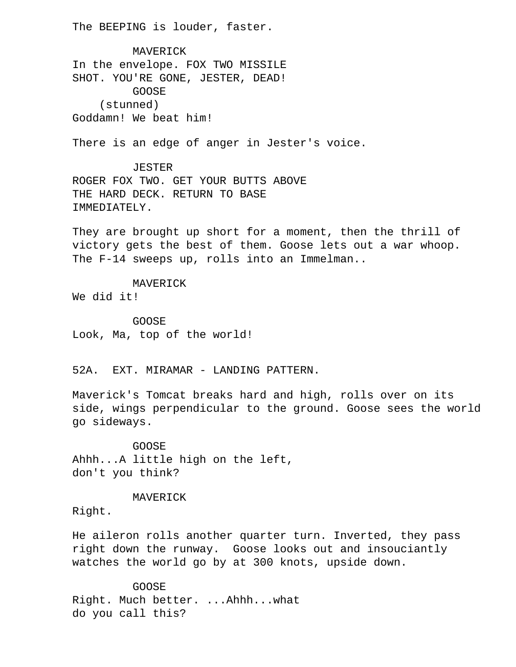The BEEPING is louder, faster.

 MAVERICK In the envelope. FOX TWO MISSILE SHOT. YOU'RE GONE, JESTER, DEAD! GOOSE (stunned) Goddamn! We beat him!

There is an edge of anger in Jester's voice.

 JESTER ROGER FOX TWO. GET YOUR BUTTS ABOVE THE HARD DECK. RETURN TO BASE IMMEDIATELY.

 They are brought up short for a moment, then the thrill of victory gets the best of them. Goose lets out a war whoop. The F-14 sweeps up, rolls into an Immelman..

MAVERICK

We did it!

 GOOSE Look, Ma, top of the world!

52A. EXT. MIRAMAR - LANDING PATTERN.

 Maverick's Tomcat breaks hard and high, rolls over on its side, wings perpendicular to the ground. Goose sees the world go sideways.

 GOOSE Ahhh...A little high on the left, don't you think?

#### MAVERICK

Right.

 He aileron rolls another quarter turn. Inverted, they pass right down the runway. Goose looks out and insouciantly watches the world go by at 300 knots, upside down.

 GOOSE Right. Much better. ...Ahhh...what do you call this?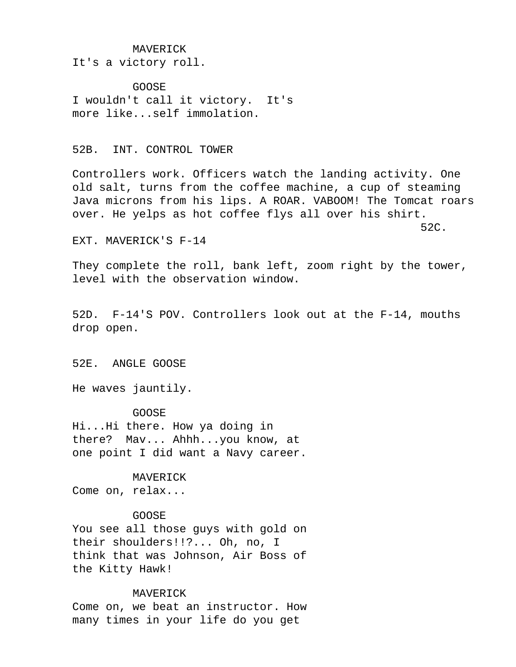#### MAVERICK

It's a victory roll.

 GOOSE I wouldn't call it victory. It's more like...self immolation.

### 52B. INT. CONTROL TOWER

 Controllers work. Officers watch the landing activity. One old salt, turns from the coffee machine, a cup of steaming Java microns from his lips. A ROAR. VABOOM! The Tomcat roars over. He yelps as hot coffee flys all over his shirt.

 $52C$ .

#### EXT. MAVERICK'S F-14

 They complete the roll, bank left, zoom right by the tower, level with the observation window.

 52D. F-14'S POV. Controllers look out at the F-14, mouths drop open.

# 52E. ANGLE GOOSE

He waves jauntily.

#### GOOSE

 Hi...Hi there. How ya doing in there? Mav... Ahhh...you know, at one point I did want a Navy career.

#### MAVERICK

Come on, relax...

#### GOOSE

 You see all those guys with gold on their shoulders!!?... Oh, no, I think that was Johnson, Air Boss of the Kitty Hawk!

#### MAVERICK

 Come on, we beat an instructor. How many times in your life do you get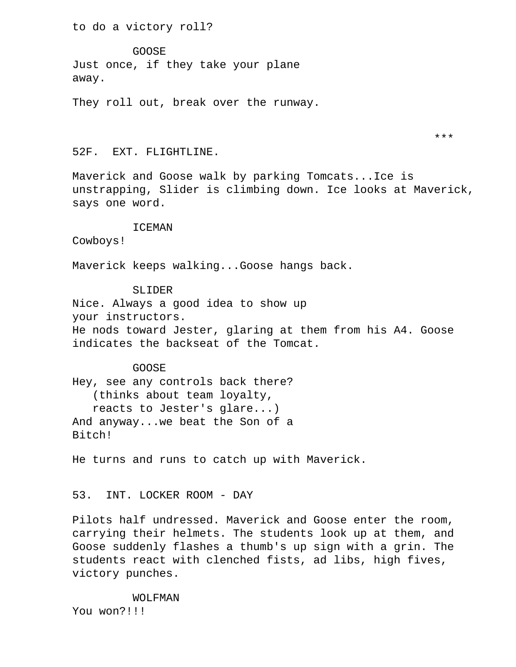to do a victory roll?

 GOOSE Just once, if they take your plane away.

They roll out, break over the runway.

52F. EXT. FLIGHTLINE.

 Maverick and Goose walk by parking Tomcats...Ice is unstrapping, Slider is climbing down. Ice looks at Maverick, says one word.

\*\*\*

# ICEMAN

Cowboys!

Maverick keeps walking...Goose hangs back.

SLIDER

 Nice. Always a good idea to show up your instructors. He nods toward Jester, glaring at them from his A4. Goose indicates the backseat of the Tomcat.

 GOOSE Hey, see any controls back there? (thinks about team loyalty, reacts to Jester's glare...) And anyway...we beat the Son of a Bitch!

He turns and runs to catch up with Maverick.

53. INT. LOCKER ROOM - DAY

 Pilots half undressed. Maverick and Goose enter the room, carrying their helmets. The students look up at them, and Goose suddenly flashes a thumb's up sign with a grin. The students react with clenched fists, ad libs, high fives, victory punches.

WOLFMAN

You won?!!!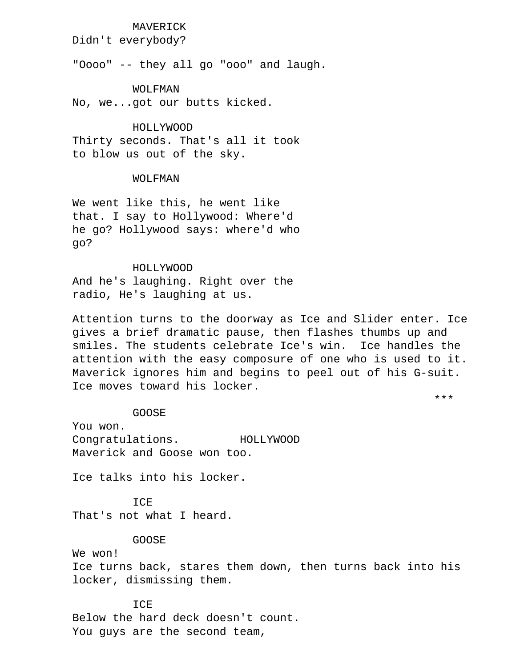# MAVERICK

Didn't everybody?

"Oooo" -- they all go "ooo" and laugh.

WOLFMAN

No, we...got our butts kicked.

 HOLLYWOOD Thirty seconds. That's all it took to blow us out of the sky.

# WOLFMAN

 We went like this, he went like that. I say to Hollywood: Where'd he go? Hollywood says: where'd who go?

 HOLLYWOOD And he's laughing. Right over the radio, He's laughing at us.

 Attention turns to the doorway as Ice and Slider enter. Ice gives a brief dramatic pause, then flashes thumbs up and smiles. The students celebrate Ice's win. Ice handles the attention with the easy composure of one who is used to it. Maverick ignores him and begins to peel out of his G-suit. Ice moves toward his locker.

\*\*\*

GOOSE

 You won. Congratulations. HOLLYWOOD Maverick and Goose won too.

Ice talks into his locker.

TCE. That's not what I heard.

GOOSE

We won!

 Ice turns back, stares them down, then turns back into his locker, dismissing them.

**TCE**  Below the hard deck doesn't count. You guys are the second team,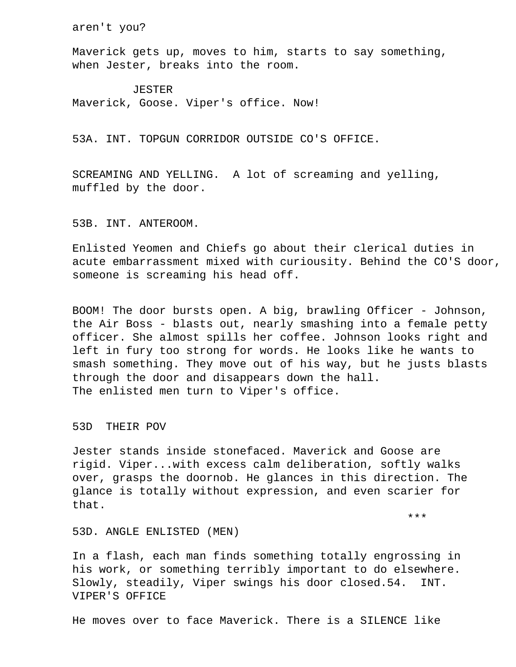aren't you?

 Maverick gets up, moves to him, starts to say something, when Jester, breaks into the room.

 JESTER Maverick, Goose. Viper's office. Now!

53A. INT. TOPGUN CORRIDOR OUTSIDE CO'S OFFICE.

 SCREAMING AND YELLING. A lot of screaming and yelling, muffled by the door.

# 53B. INT. ANTEROOM.

 Enlisted Yeomen and Chiefs go about their clerical duties in acute embarrassment mixed with curiousity. Behind the CO'S door, someone is screaming his head off.

 BOOM! The door bursts open. A big, brawling Officer - Johnson, the Air Boss - blasts out, nearly smashing into a female petty officer. She almost spills her coffee. Johnson looks right and left in fury too strong for words. He looks like he wants to smash something. They move out of his way, but he justs blasts through the door and disappears down the hall. The enlisted men turn to Viper's office.

53D THEIR POV

 Jester stands inside stonefaced. Maverick and Goose are rigid. Viper...with excess calm deliberation, softly walks over, grasps the doornob. He glances in this direction. The glance is totally without expression, and even scarier for that.

\*\*\*

#### 53D. ANGLE ENLISTED (MEN)

 In a flash, each man finds something totally engrossing in his work, or something terribly important to do elsewhere. Slowly, steadily, Viper swings his door closed.54. INT. VIPER'S OFFICE

He moves over to face Maverick. There is a SILENCE like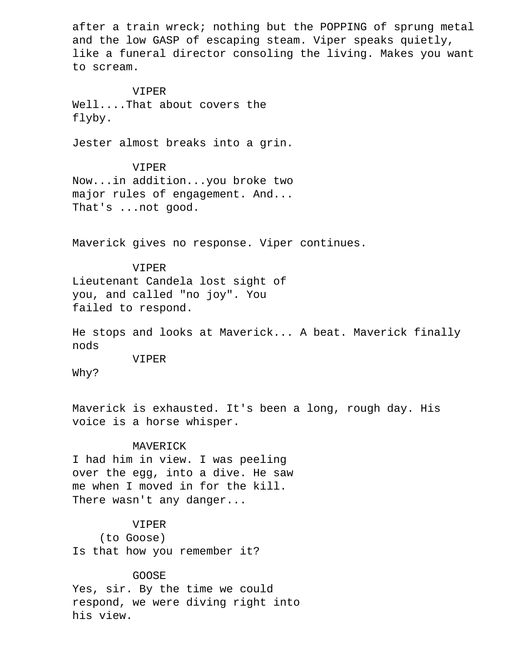after a train wreck; nothing but the POPPING of sprung metal and the low GASP of escaping steam. Viper speaks quietly, like a funeral director consoling the living. Makes you want to scream.

#### VIPER

 Well....That about covers the flyby.

Jester almost breaks into a grin.

 VIPER Now...in addition...you broke two major rules of engagement. And... That's ...not good.

Maverick gives no response. Viper continues.

# VIPER Lieutenant Candela lost sight of you, and called "no joy". You failed to respond.

 He stops and looks at Maverick... A beat. Maverick finally nods

VIPER

Why?

 Maverick is exhausted. It's been a long, rough day. His voice is a horse whisper.

#### MAVERICK

 I had him in view. I was peeling over the egg, into a dive. He saw me when I moved in for the kill. There wasn't any danger...

### VIPER

 (to Goose) Is that how you remember it?

# GOOSE

 Yes, sir. By the time we could respond, we were diving right into his view.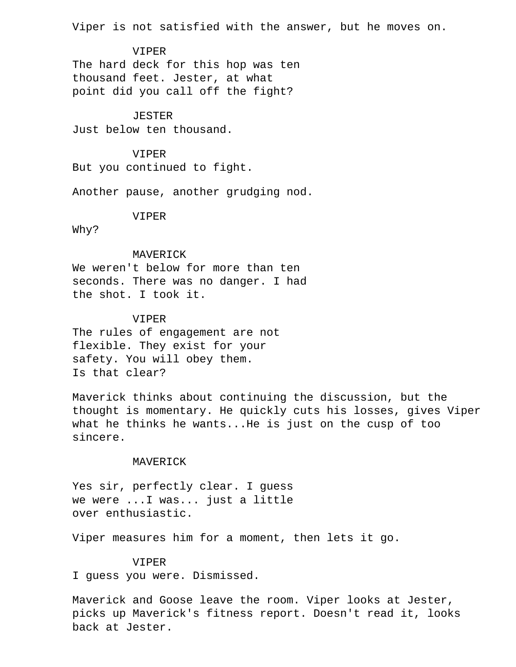Viper is not satisfied with the answer, but he moves on.

 VIPER The hard deck for this hop was ten thousand feet. Jester, at what point did you call off the fight?

# JESTER

Just below ten thousand.

#### VIPER

But you continued to fight.

Another pause, another grudging nod.

#### VIPER

Why?

# MAVERICK

 We weren't below for more than ten seconds. There was no danger. I had the shot. I took it.

# VIPER

 The rules of engagement are not flexible. They exist for your safety. You will obey them. Is that clear?

 Maverick thinks about continuing the discussion, but the thought is momentary. He quickly cuts his losses, gives Viper what he thinks he wants...He is just on the cusp of too sincere.

#### MAVERICK

 Yes sir, perfectly clear. I guess we were ...I was... just a little over enthusiastic.

Viper measures him for a moment, then lets it go.

#### VIPER

I guess you were. Dismissed.

 Maverick and Goose leave the room. Viper looks at Jester, picks up Maverick's fitness report. Doesn't read it, looks back at Jester.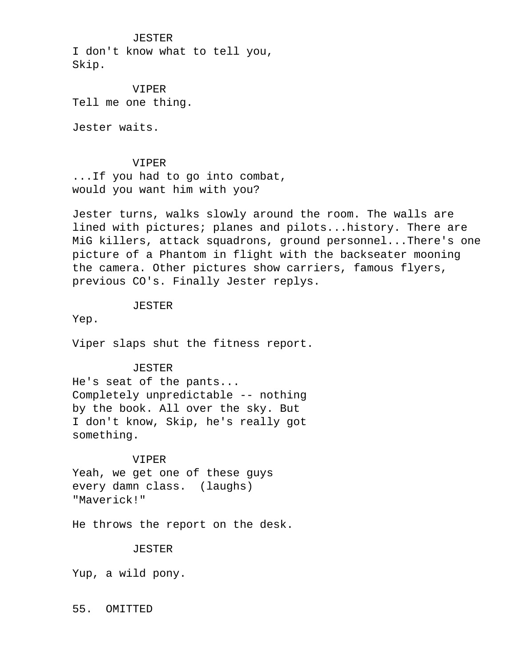JESTER I don't know what to tell you, Skip.

 VIPER Tell me one thing.

Jester waits.

#### VIPER

 ...If you had to go into combat, would you want him with you?

 Jester turns, walks slowly around the room. The walls are lined with pictures; planes and pilots...history. There are MiG killers, attack squadrons, ground personnel...There's one picture of a Phantom in flight with the backseater mooning the camera. Other pictures show carriers, famous flyers, previous CO's. Finally Jester replys.

JESTER

Yep.

Viper slaps shut the fitness report.

### JESTER

 He's seat of the pants... Completely unpredictable -- nothing by the book. All over the sky. But I don't know, Skip, he's really got something.

#### VIPER

 Yeah, we get one of these guys every damn class. (laughs) "Maverick!"

He throws the report on the desk.

#### JESTER

Yup, a wild pony.

### 55. OMITTED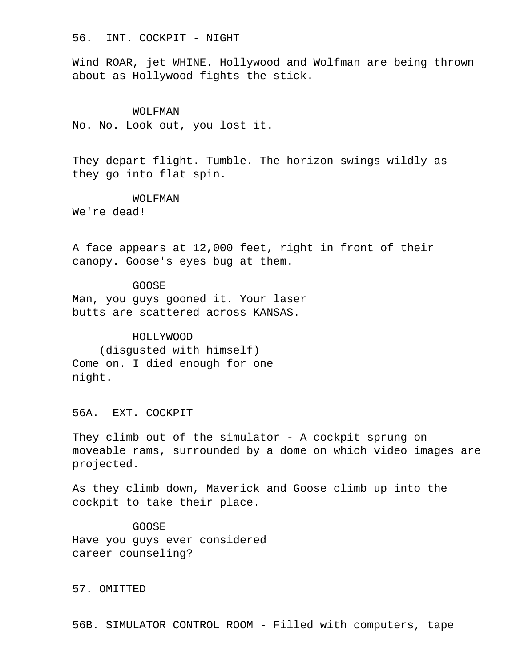56. INT. COCKPIT - NIGHT

 Wind ROAR, jet WHINE. Hollywood and Wolfman are being thrown about as Hollywood fights the stick.

#### WOLFMAN

No. No. Look out, you lost it.

 They depart flight. Tumble. The horizon swings wildly as they go into flat spin.

# WOLFMAN

We're dead!

 A face appears at 12,000 feet, right in front of their canopy. Goose's eyes bug at them.

#### GOOSE

 Man, you guys gooned it. Your laser butts are scattered across KANSAS.

 HOLLYWOOD (disgusted with himself) Come on. I died enough for one night.

56A. EXT. COCKPIT

 They climb out of the simulator - A cockpit sprung on moveable rams, surrounded by a dome on which video images are projected.

 As they climb down, Maverick and Goose climb up into the cockpit to take their place.

 GOOSE Have you guys ever considered career counseling?

57. OMITTED

56B. SIMULATOR CONTROL ROOM - Filled with computers, tape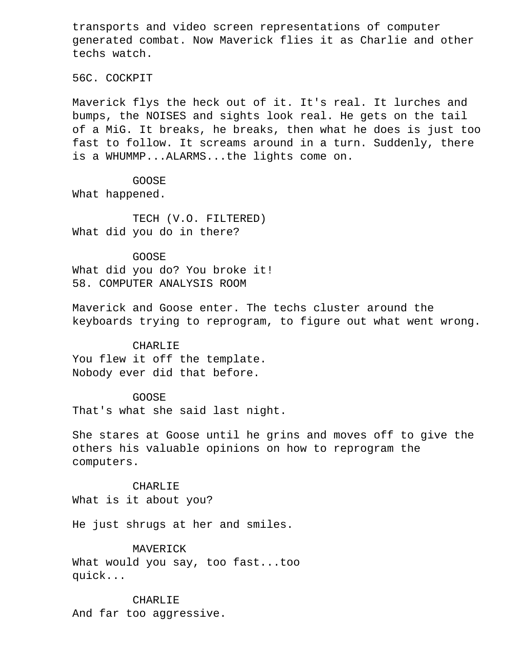transports and video screen representations of computer generated combat. Now Maverick flies it as Charlie and other techs watch.

56C. COCKPIT

 Maverick flys the heck out of it. It's real. It lurches and bumps, the NOISES and sights look real. He gets on the tail of a MiG. It breaks, he breaks, then what he does is just too fast to follow. It screams around in a turn. Suddenly, there is a WHUMMP...ALARMS...the lights come on.

 GOOSE What happened.

 TECH (V.O. FILTERED) What did you do in there?

 GOOSE What did you do? You broke it! 58. COMPUTER ANALYSIS ROOM

 Maverick and Goose enter. The techs cluster around the keyboards trying to reprogram, to figure out what went wrong.

# CHARLIE

 You flew it off the template. Nobody ever did that before.

### GOOSE

That's what she said last night.

 She stares at Goose until he grins and moves off to give the others his valuable opinions on how to reprogram the computers.

### CHARLIE

What is it about you?

He just shrugs at her and smiles.

# MAVERICK

 What would you say, too fast...too quick...

 CHARLIE And far too aggressive.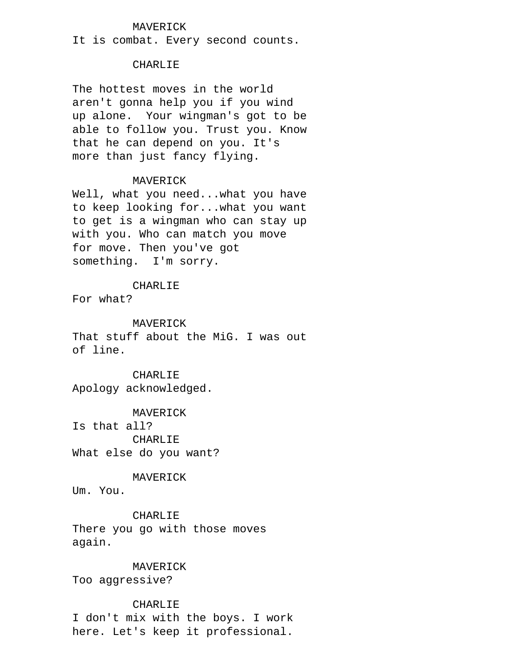# MAVERICK

It is combat. Every second counts.

# CHARLIE

 The hottest moves in the world aren't gonna help you if you wind up alone. Your wingman's got to be able to follow you. Trust you. Know that he can depend on you. It's more than just fancy flying.

# MAVERICK

 Well, what you need...what you have to keep looking for...what you want to get is a wingman who can stay up with you. Who can match you move for move. Then you've got something. I'm sorry.

### CHARLIE

For what?

# MAVERICK

 That stuff about the MiG. I was out of line.

# CHARLIE

Apology acknowledged.

 MAVERICK Is that all? CHARLIE What else do you want?

MAVERICK

Um. You.

 CHARLIE There you go with those moves again.

# MAVERICK

Too aggressive?

# CHARLIE

 I don't mix with the boys. I work here. Let's keep it professional.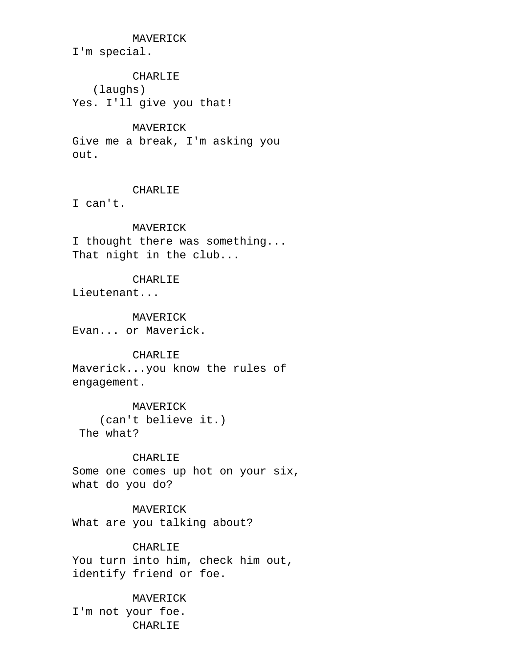MAVERICK

I'm special.

# CHARLIE

 (laughs) Yes. I'll give you that!

# MAVERICK

 Give me a break, I'm asking you out.

# CHARLIE

I can't.

# MAVERICK

 I thought there was something... That night in the club...

# CHARLIE

Lieutenant...

# MAVERICK Evan... or Maverick.

# CHARLIE

 Maverick...you know the rules of engagement.

# MAVERICK

 (can't believe it.) The what?

# CHARLIE

 Some one comes up hot on your six, what do you do?

# MAVERICK

What are you talking about?

# CHARLIE

 You turn into him, check him out, identify friend or foe.

# MAVERICK

 I'm not your foe. CHARLIE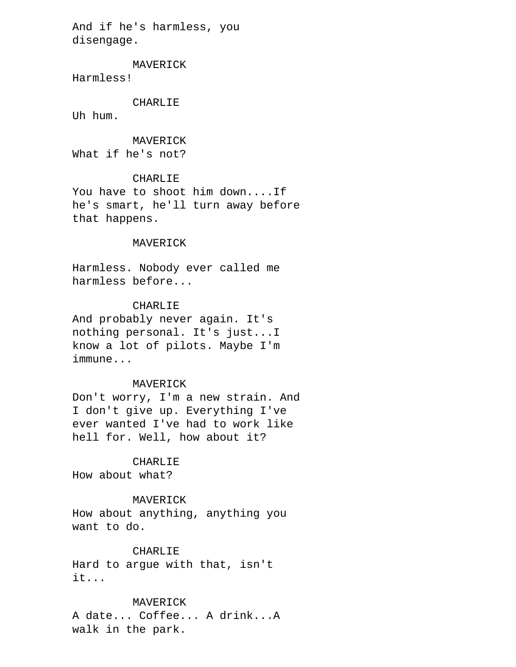And if he's harmless, you disengage.

MAVERICK

Harmless!

CHARLIE

Uh hum.

MAVERICK

What if he's not?

# CHARLIE

 You have to shoot him down....If he's smart, he'll turn away before that happens.

#### MAVERICK

 Harmless. Nobody ever called me harmless before...

# CHARLIE

 And probably never again. It's nothing personal. It's just...I know a lot of pilots. Maybe I'm immune...

# MAVERICK

 Don't worry, I'm a new strain. And I don't give up. Everything I've ever wanted I've had to work like hell for. Well, how about it?

#### CHARLIE

How about what?

# MAVERICK

 How about anything, anything you want to do.

# CHARLIE

 Hard to argue with that, isn't it...

# MAVERICK

 A date... Coffee... A drink...A walk in the park.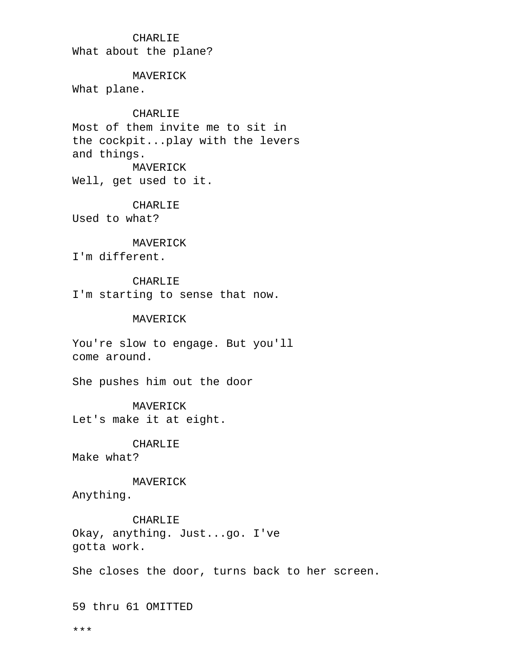# CHARLIE

What about the plane?

### MAVERICK

What plane.

# CHARLIE

 Most of them invite me to sit in the cockpit...play with the levers and things. MAVERICK

Well, get used to it.

### CHARLIE

Used to what?

# MAVERICK

I'm different.

# CHARLIE

I'm starting to sense that now.

# MAVERICK

 You're slow to engage. But you'll come around.

She pushes him out the door

 MAVERICK Let's make it at eight.

 CHARLIE Make what?

# MAVERICK

Anything.

 CHARLIE Okay, anything. Just...go. I've gotta work.

She closes the door, turns back to her screen.

59 thru 61 OMITTED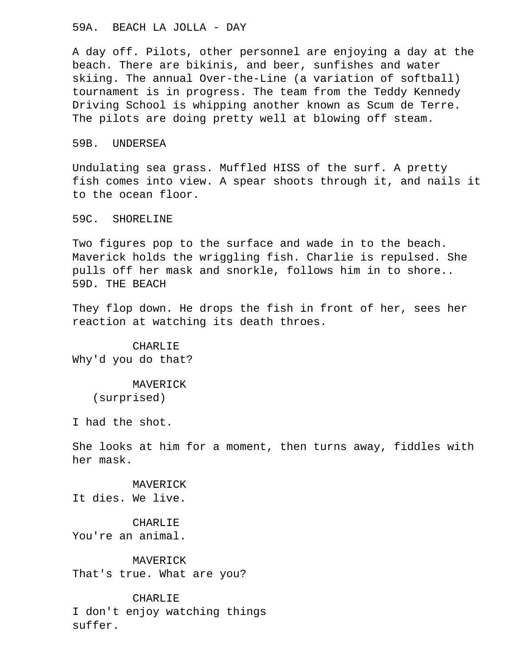# 59A. BEACH LA JOLLA - DAY

 A day off. Pilots, other personnel are enjoying a day at the beach. There are bikinis, and beer, sunfishes and water skiing. The annual Over-the-Line (a variation of softball) tournament is in progress. The team from the Teddy Kennedy Driving School is whipping another known as Scum de Terre. The pilots are doing pretty well at blowing off steam.

# 59B. UNDERSEA

 Undulating sea grass. Muffled HISS of the surf. A pretty fish comes into view. A spear shoots through it, and nails it to the ocean floor.

# 59C. SHORELINE

 Two figures pop to the surface and wade in to the beach. Maverick holds the wriggling fish. Charlie is repulsed. She pulls off her mask and snorkle, follows him in to shore.. 59D. THE BEACH

 They flop down. He drops the fish in front of her, sees her reaction at watching its death throes.

 CHARLIE Why'd you do that?

> MAVERICK (surprised)

I had the shot.

 She looks at him for a moment, then turns away, fiddles with her mask.

# MAVERICK

It dies. We live.

# CHARLIE

You're an animal.

# MAVERICK

That's true. What are you?

 CHARLIE I don't enjoy watching things suffer.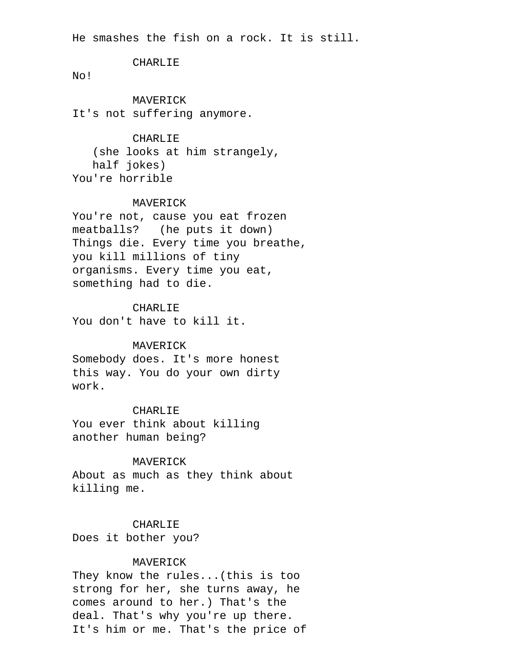He smashes the fish on a rock. It is still.

# CHARLIE

No!

 MAVERICK It's not suffering anymore.

# CHARLIE

 (she looks at him strangely, half jokes) You're horrible

# MAVERICK

 You're not, cause you eat frozen meatballs? (he puts it down) Things die. Every time you breathe, you kill millions of tiny organisms. Every time you eat, something had to die.

# CHARLIE

You don't have to kill it.

#### MAVERICK

 Somebody does. It's more honest this way. You do your own dirty work.

#### CHARLIE

 You ever think about killing another human being?

#### MAVERICK

 About as much as they think about killing me.

# CHARLIE

Does it bother you?

# MAVERICK

 They know the rules...(this is too strong for her, she turns away, he comes around to her.) That's the deal. That's why you're up there. It's him or me. That's the price of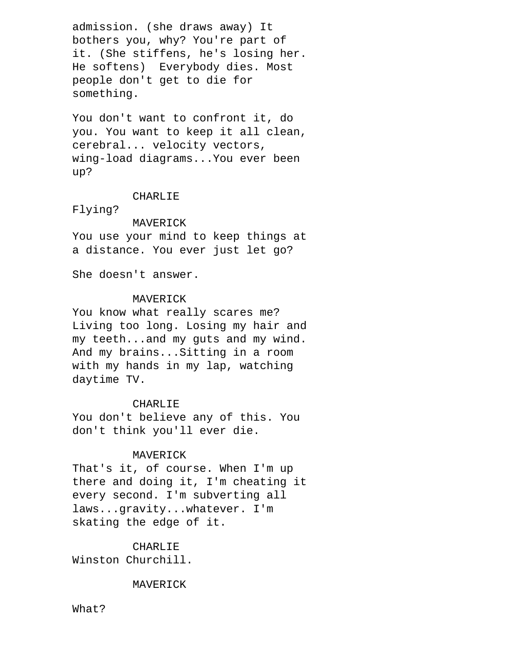admission. (she draws away) It bothers you, why? You're part of it. (She stiffens, he's losing her. He softens) Everybody dies. Most people don't get to die for something.

 You don't want to confront it, do you. You want to keep it all clean, cerebral... velocity vectors, wing-load diagrams...You ever been up?

### CHARLIE

Flying?

#### MAVERICK

 You use your mind to keep things at a distance. You ever just let go?

She doesn't answer.

# MAVERICK

 You know what really scares me? Living too long. Losing my hair and my teeth...and my guts and my wind. And my brains...Sitting in a room with my hands in my lap, watching daytime TV.

# CHARLIE

 You don't believe any of this. You don't think you'll ever die.

# MAVERICK

 That's it, of course. When I'm up there and doing it, I'm cheating it every second. I'm subverting all laws...gravity...whatever. I'm skating the edge of it.

### CHARLIE

Winston Churchill.

# MAVERICK

What?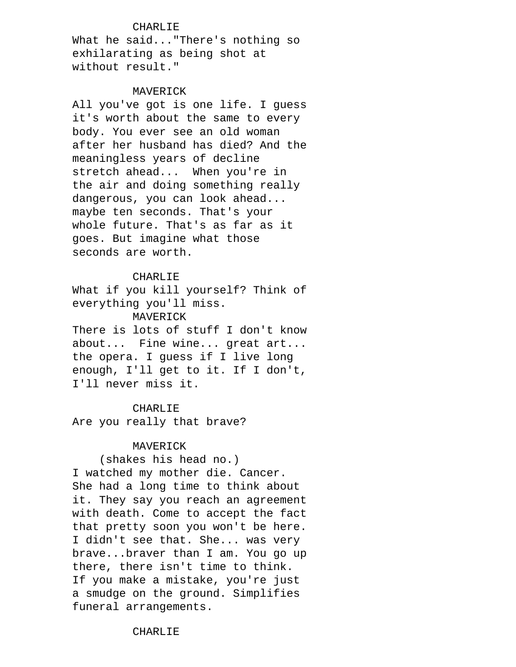# CHARLIE

 What he said..."There's nothing so exhilarating as being shot at without result."

#### MAVERICK

 All you've got is one life. I guess it's worth about the same to every body. You ever see an old woman after her husband has died? And the meaningless years of decline stretch ahead... When you're in the air and doing something really dangerous, you can look ahead... maybe ten seconds. That's your whole future. That's as far as it goes. But imagine what those seconds are worth.

# CHARLIE

 What if you kill yourself? Think of everything you'll miss. MAVERICK

There is lots of stuff I don't know about... Fine wine... great art... the opera. I guess if I live long enough, I'll get to it. If I don't, I'll never miss it.

# CHARLIE

Are you really that brave?

# MAVERICK

 (shakes his head no.) I watched my mother die. Cancer. She had a long time to think about it. They say you reach an agreement with death. Come to accept the fact that pretty soon you won't be here. I didn't see that. She... was very brave...braver than I am. You go up there, there isn't time to think. If you make a mistake, you're just a smudge on the ground. Simplifies funeral arrangements.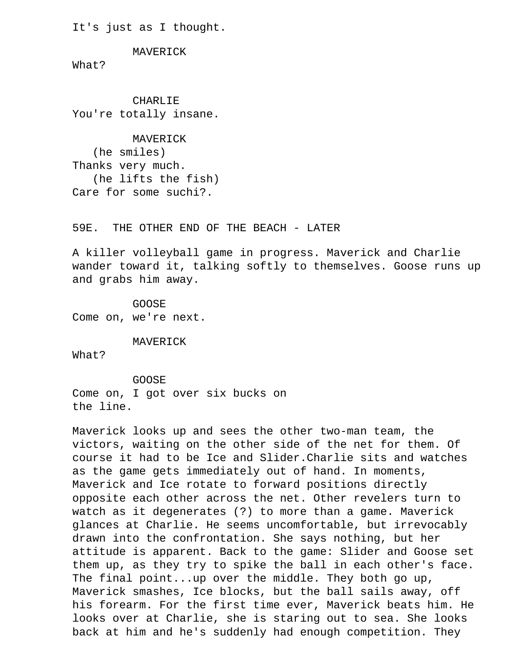It's just as I thought.

MAVERICK

What?

 CHARLIE You're totally insane.

 MAVERICK (he smiles) Thanks very much. (he lifts the fish) Care for some suchi?.

59E. THE OTHER END OF THE BEACH - LATER

 A killer volleyball game in progress. Maverick and Charlie wander toward it, talking softly to themselves. Goose runs up and grabs him away.

 GOOSE Come on, we're next.

MAVERICK

What?

 GOOSE Come on, I got over six bucks on the line.

 Maverick looks up and sees the other two-man team, the victors, waiting on the other side of the net for them. Of course it had to be Ice and Slider.Charlie sits and watches as the game gets immediately out of hand. In moments, Maverick and Ice rotate to forward positions directly opposite each other across the net. Other revelers turn to watch as it degenerates (?) to more than a game. Maverick glances at Charlie. He seems uncomfortable, but irrevocably drawn into the confrontation. She says nothing, but her attitude is apparent. Back to the game: Slider and Goose set them up, as they try to spike the ball in each other's face. The final point...up over the middle. They both go up, Maverick smashes, Ice blocks, but the ball sails away, off his forearm. For the first time ever, Maverick beats him. He looks over at Charlie, she is staring out to sea. She looks back at him and he's suddenly had enough competition. They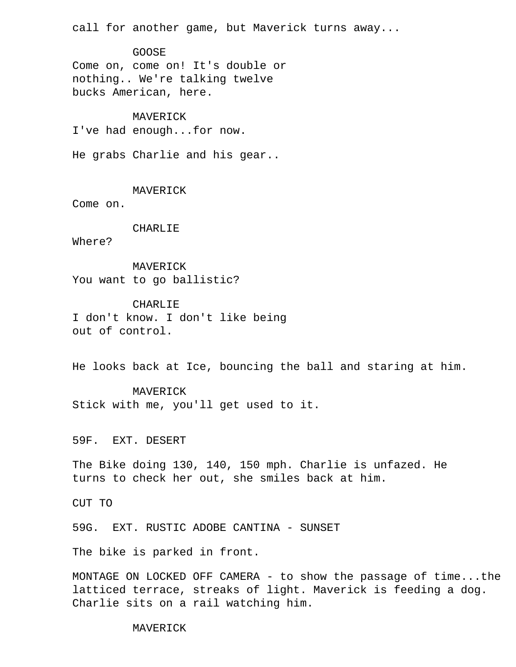call for another game, but Maverick turns away...

 GOOSE Come on, come on! It's double or nothing.. We're talking twelve bucks American, here.

 MAVERICK I've had enough...for now.

He grabs Charlie and his gear..

MAVERICK

Come on.

### CHARLIE

Where?

 MAVERICK You want to go ballistic?

 CHARLIE I don't know. I don't like being out of control.

He looks back at Ice, bouncing the ball and staring at him.

 MAVERICK Stick with me, you'll get used to it.

59F. EXT. DESERT

 The Bike doing 130, 140, 150 mph. Charlie is unfazed. He turns to check her out, she smiles back at him.

CUT TO

59G. EXT. RUSTIC ADOBE CANTINA - SUNSET

The bike is parked in front.

 MONTAGE ON LOCKED OFF CAMERA - to show the passage of time...the latticed terrace, streaks of light. Maverick is feeding a dog. Charlie sits on a rail watching him.

MAVERICK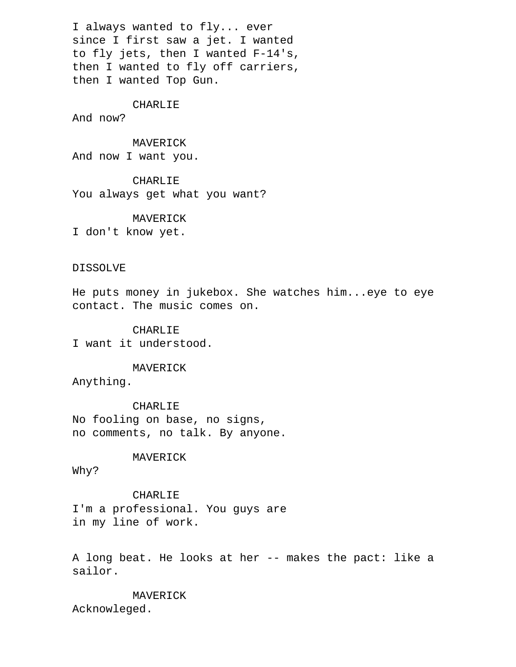I always wanted to fly... ever since I first saw a jet. I wanted to fly jets, then I wanted F-14's, then I wanted to fly off carriers, then I wanted Top Gun.

### CHARLIE

And now?

 MAVERICK And now I want you.

 CHARLIE You always get what you want?

MAVERICK

I don't know yet.

## DISSOLVE

 He puts money in jukebox. She watches him...eye to eye contact. The music comes on.

### CHARLIE

I want it understood.

MAVERICK

Anything.

 CHARLIE No fooling on base, no signs, no comments, no talk. By anyone.

### MAVERICK

Why?

 CHARLIE I'm a professional. You guys are in my line of work.

 A long beat. He looks at her -- makes the pact: like a sailor.

 MAVERICK Acknowleged.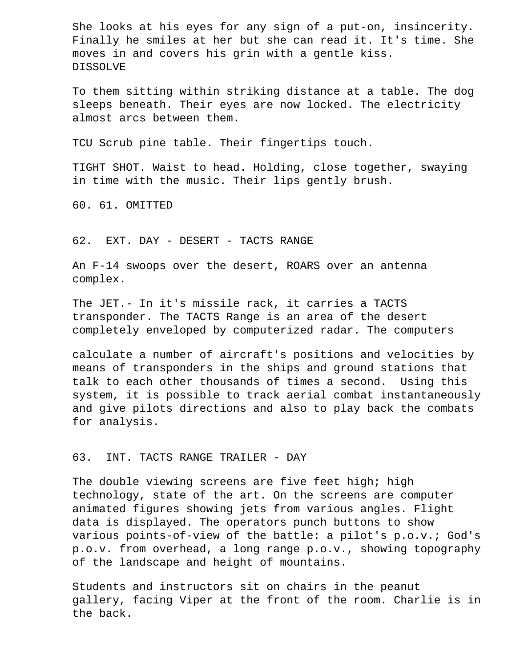She looks at his eyes for any sign of a put-on, insincerity. Finally he smiles at her but she can read it. It's time. She moves in and covers his grin with a gentle kiss. DISSOLVE

 To them sitting within striking distance at a table. The dog sleeps beneath. Their eyes are now locked. The electricity almost arcs between them.

TCU Scrub pine table. Their fingertips touch.

 TIGHT SHOT. Waist to head. Holding, close together, swaying in time with the music. Their lips gently brush.

60. 61. OMITTED

62. EXT. DAY - DESERT - TACTS RANGE

 An F-14 swoops over the desert, ROARS over an antenna complex.

 The JET.- In it's missile rack, it carries a TACTS transponder. The TACTS Range is an area of the desert completely enveloped by computerized radar. The computers

 calculate a number of aircraft's positions and velocities by means of transponders in the ships and ground stations that talk to each other thousands of times a second. Using this system, it is possible to track aerial combat instantaneously and give pilots directions and also to play back the combats for analysis.

## 63. INT. TACTS RANGE TRAILER - DAY

 The double viewing screens are five feet high; high technology, state of the art. On the screens are computer animated figures showing jets from various angles. Flight data is displayed. The operators punch buttons to show various points-of-view of the battle: a pilot's p.o.v.; God's p.o.v. from overhead, a long range p.o.v., showing topography of the landscape and height of mountains.

 Students and instructors sit on chairs in the peanut gallery, facing Viper at the front of the room. Charlie is in the back.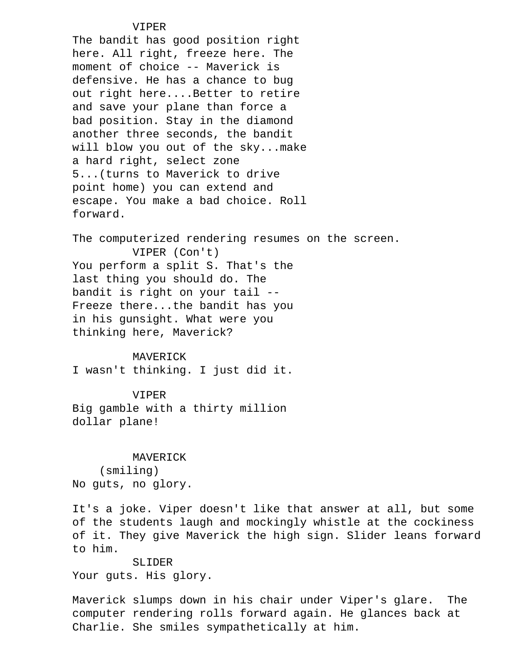## VIPER

 The bandit has good position right here. All right, freeze here. The moment of choice -- Maverick is defensive. He has a chance to bug out right here....Better to retire and save your plane than force a bad position. Stay in the diamond another three seconds, the bandit will blow you out of the sky...make a hard right, select zone 5...(turns to Maverick to drive point home) you can extend and escape. You make a bad choice. Roll forward.

 The computerized rendering resumes on the screen. VIPER (Con't) You perform a split S. That's the last thing you should do. The bandit is right on your tail -- Freeze there...the bandit has you in his gunsight. What were you thinking here, Maverick?

### MAVERICK

I wasn't thinking. I just did it.

### VIPER

 Big gamble with a thirty million dollar plane!

### MAVERICK

 (smiling) No guts, no glory.

 It's a joke. Viper doesn't like that answer at all, but some of the students laugh and mockingly whistle at the cockiness of it. They give Maverick the high sign. Slider leans forward to him.

# SLIDER

Your guts. His glory.

 Maverick slumps down in his chair under Viper's glare. The computer rendering rolls forward again. He glances back at Charlie. She smiles sympathetically at him.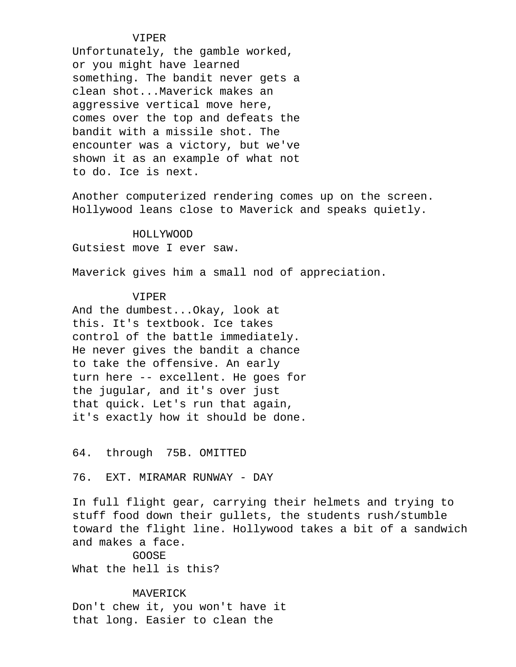### VIPER

 Unfortunately, the gamble worked, or you might have learned something. The bandit never gets a clean shot...Maverick makes an aggressive vertical move here, comes over the top and defeats the bandit with a missile shot. The encounter was a victory, but we've shown it as an example of what not to do. Ice is next.

 Another computerized rendering comes up on the screen. Hollywood leans close to Maverick and speaks quietly.

 HOLLYWOOD Gutsiest move I ever saw.

Maverick gives him a small nod of appreciation.

## VIPER

 And the dumbest...Okay, look at this. It's textbook. Ice takes control of the battle immediately. He never gives the bandit a chance to take the offensive. An early turn here -- excellent. He goes for the jugular, and it's over just that quick. Let's run that again, it's exactly how it should be done.

64. through 75B. OMITTED

76. EXT. MIRAMAR RUNWAY - DAY

 In full flight gear, carrying their helmets and trying to stuff food down their gullets, the students rush/stumble toward the flight line. Hollywood takes a bit of a sandwich and makes a face.

 GOOSE What the hell is this?

 MAVERICK Don't chew it, you won't have it that long. Easier to clean the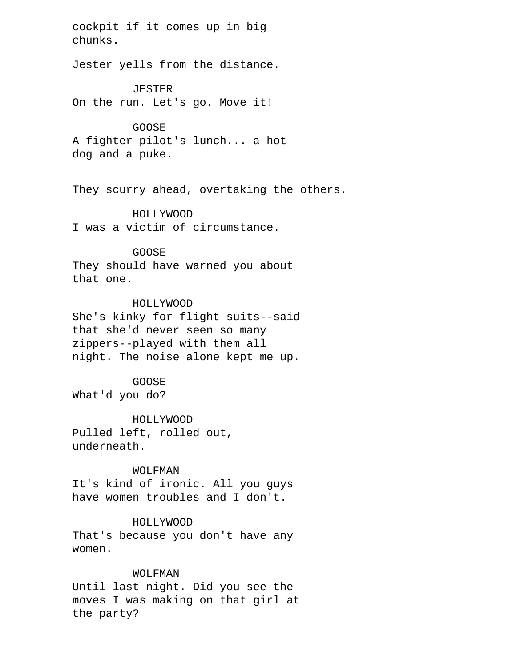cockpit if it comes up in big chunks.

Jester yells from the distance.

 JESTER On the run. Let's go. Move it!

 GOOSE A fighter pilot's lunch... a hot dog and a puke.

They scurry ahead, overtaking the others.

 HOLLYWOOD I was a victim of circumstance.

 GOOSE They should have warned you about that one.

## HOLLYWOOD

 She's kinky for flight suits--said that she'd never seen so many zippers--played with them all night. The noise alone kept me up.

## GOOSE

What'd you do?

 HOLLYWOOD Pulled left, rolled out, underneath.

### WOLFMAN

 It's kind of ironic. All you guys have women troubles and I don't.

### HOLLYWOOD

 That's because you don't have any women.

## WOLFMAN

 Until last night. Did you see the moves I was making on that girl at the party?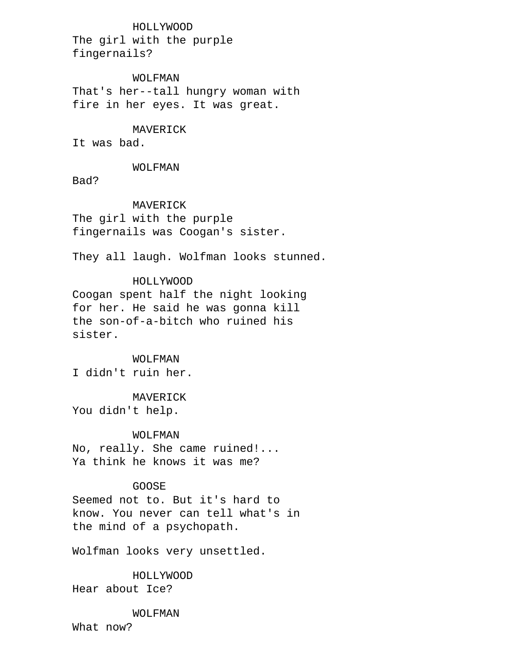HOLLYWOOD The girl with the purple fingernails?

 WOLFMAN That's her--tall hungry woman with fire in her eyes. It was great.

## MAVERICK

It was bad.

### WOLFMAN

Bad?

## MAVERICK

 The girl with the purple fingernails was Coogan's sister.

They all laugh. Wolfman looks stunned.

## HOLLYWOOD Coogan spent half the night looking for her. He said he was gonna kill the son-of-a-bitch who ruined his sister.

## WOLFMAN

I didn't ruin her.

 MAVERICK You didn't help.

### WOLFMAN

 No, really. She came ruined!... Ya think he knows it was me?

## GOOSE

 Seemed not to. But it's hard to know. You never can tell what's in the mind of a psychopath.

Wolfman looks very unsettled.

 HOLLYWOOD Hear about Ice?

### WOLFMAN

What now?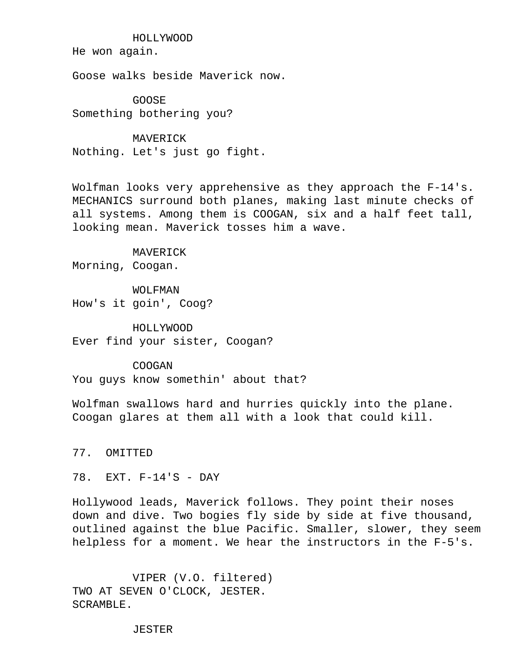HOLLYWOOD

He won again.

Goose walks beside Maverick now.

 GOOSE Something bothering you?

 MAVERICK Nothing. Let's just go fight.

Wolfman looks very apprehensive as they approach the F-14's. MECHANICS surround both planes, making last minute checks of all systems. Among them is COOGAN, six and a half feet tall, looking mean. Maverick tosses him a wave.

 MAVERICK Morning, Coogan.

 WOLFMAN How's it goin', Coog?

 HOLLYWOOD Ever find your sister, Coogan?

 COOGAN You guys know somethin' about that?

 Wolfman swallows hard and hurries quickly into the plane. Coogan glares at them all with a look that could kill.

77. OMITTED

78. EXT. F-14'S - DAY

 Hollywood leads, Maverick follows. They point their noses down and dive. Two bogies fly side by side at five thousand, outlined against the blue Pacific. Smaller, slower, they seem helpless for a moment. We hear the instructors in the F-5's.

 VIPER (V.O. filtered) TWO AT SEVEN O'CLOCK, JESTER. SCRAMBLE.

JESTER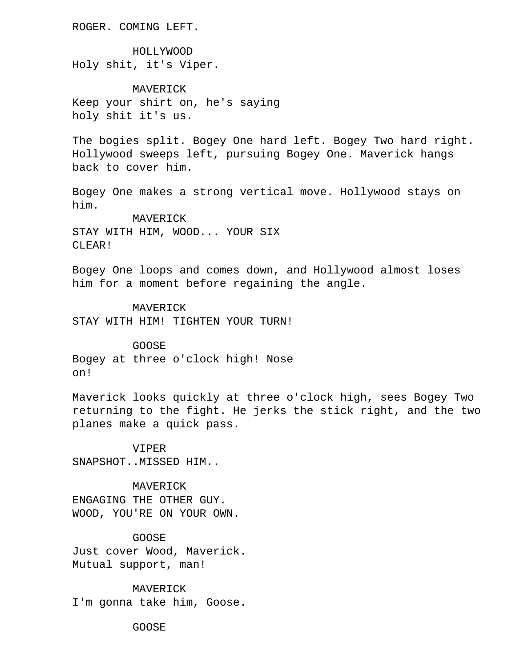ROGER. COMING LEFT.

 HOLLYWOOD Holy shit, it's Viper.

 MAVERICK Keep your shirt on, he's saying holy shit it's us.

 The bogies split. Bogey One hard left. Bogey Two hard right. Hollywood sweeps left, pursuing Bogey One. Maverick hangs back to cover him.

 Bogey One makes a strong vertical move. Hollywood stays on him.

 MAVERICK STAY WITH HIM, WOOD... YOUR SIX CLEAR!

 Bogey One loops and comes down, and Hollywood almost loses him for a moment before regaining the angle.

 MAVERICK STAY WITH HIM! TIGHTEN YOUR TURN!

 GOOSE Bogey at three o'clock high! Nose on!

 Maverick looks quickly at three o'clock high, sees Bogey Two returning to the fight. He jerks the stick right, and the two planes make a quick pass.

 VIPER SNAPSHOT..MISSED HIM..

 MAVERICK ENGAGING THE OTHER GUY. WOOD, YOU'RE ON YOUR OWN.

 GOOSE Just cover Wood, Maverick. Mutual support, man!

 MAVERICK I'm gonna take him, Goose.

GOOSE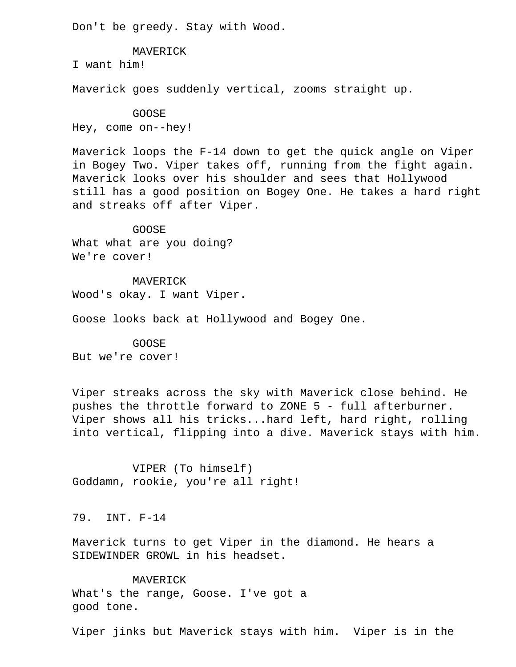Don't be greedy. Stay with Wood.

MAVERICK

I want him!

Maverick goes suddenly vertical, zooms straight up.

 GOOSE Hey, come on--hey!

 Maverick loops the F-14 down to get the quick angle on Viper in Bogey Two. Viper takes off, running from the fight again. Maverick looks over his shoulder and sees that Hollywood still has a good position on Bogey One. He takes a hard right and streaks off after Viper.

 GOOSE What what are you doing? We're cover!

 MAVERICK Wood's okay. I want Viper.

Goose looks back at Hollywood and Bogey One.

 GOOSE But we're cover!

 Viper streaks across the sky with Maverick close behind. He pushes the throttle forward to ZONE 5 - full afterburner. Viper shows all his tricks...hard left, hard right, rolling into vertical, flipping into a dive. Maverick stays with him.

 VIPER (To himself) Goddamn, rookie, you're all right!

79. INT. F-14

 Maverick turns to get Viper in the diamond. He hears a SIDEWINDER GROWL in his headset.

 MAVERICK What's the range, Goose. I've got a good tone.

Viper jinks but Maverick stays with him. Viper is in the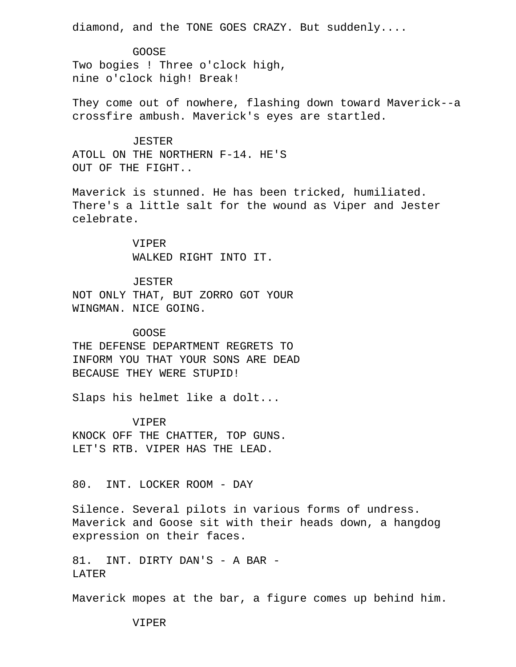diamond, and the TONE GOES CRAZY. But suddenly....

 GOOSE Two bogies ! Three o'clock high, nine o'clock high! Break!

 They come out of nowhere, flashing down toward Maverick--a crossfire ambush. Maverick's eyes are startled.

 JESTER ATOLL ON THE NORTHERN F-14. HE'S OUT OF THE FIGHT..

 Maverick is stunned. He has been tricked, humiliated. There's a little salt for the wound as Viper and Jester celebrate.

> VIPER WALKED RIGHT INTO IT.

JESTER

 NOT ONLY THAT, BUT ZORRO GOT YOUR WINGMAN. NICE GOING.

## GOOSE

 THE DEFENSE DEPARTMENT REGRETS TO INFORM YOU THAT YOUR SONS ARE DEAD BECAUSE THEY WERE STUPID!

Slaps his helmet like a dolt...

VIPER

 KNOCK OFF THE CHATTER, TOP GUNS. LET'S RTB. VIPER HAS THE LEAD.

80. INT. LOCKER ROOM - DAY

 Silence. Several pilots in various forms of undress. Maverick and Goose sit with their heads down, a hangdog expression on their faces.

 81. INT. DIRTY DAN'S - A BAR - **LATER** 

Maverick mopes at the bar, a figure comes up behind him.

VIPER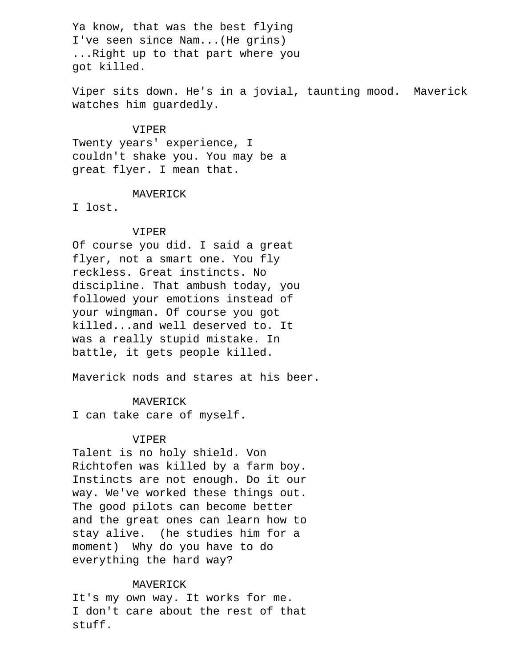Ya know, that was the best flying I've seen since Nam...(He grins) ...Right up to that part where you got killed.

 Viper sits down. He's in a jovial, taunting mood. Maverick watches him guardedly.

## VIPER

 Twenty years' experience, I couldn't shake you. You may be a great flyer. I mean that.

## MAVERICK

I lost.

### VIPER

 Of course you did. I said a great flyer, not a smart one. You fly reckless. Great instincts. No discipline. That ambush today, you followed your emotions instead of your wingman. Of course you got killed...and well deserved to. It was a really stupid mistake. In battle, it gets people killed.

Maverick nods and stares at his beer.

## MAVERICK

I can take care of myself.

### VIPER

 Talent is no holy shield. Von Richtofen was killed by a farm boy. Instincts are not enough. Do it our way. We've worked these things out. The good pilots can become better and the great ones can learn how to stay alive. (he studies him for a moment) Why do you have to do everything the hard way?

### MAVERICK

 It's my own way. It works for me. I don't care about the rest of that stuff.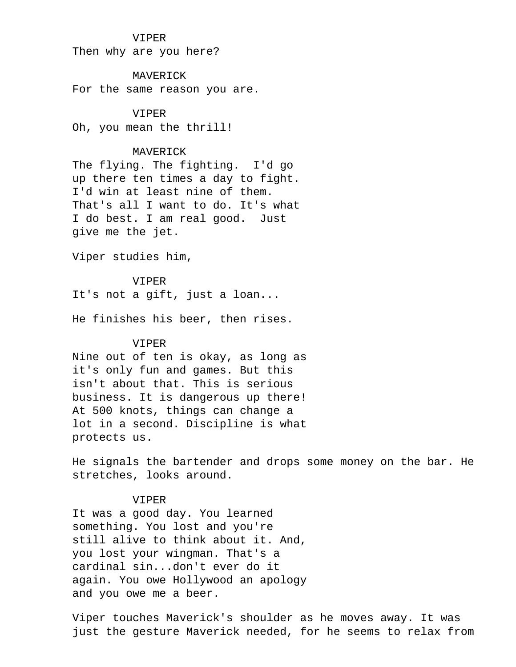### VIPER

Then why are you here?

 MAVERICK For the same reason you are.

### VIPER

Oh, you mean the thrill!

## MAVERICK

 The flying. The fighting. I'd go up there ten times a day to fight. I'd win at least nine of them. That's all I want to do. It's what I do best. I am real good. Just give me the jet.

Viper studies him,

#### VIPER

It's not a gift, just a loan...

He finishes his beer, then rises.

### VIPER

 Nine out of ten is okay, as long as it's only fun and games. But this isn't about that. This is serious business. It is dangerous up there! At 500 knots, things can change a lot in a second. Discipline is what protects us.

 He signals the bartender and drops some money on the bar. He stretches, looks around.

## VIPER

 It was a good day. You learned something. You lost and you're still alive to think about it. And, you lost your wingman. That's a cardinal sin...don't ever do it again. You owe Hollywood an apology and you owe me a beer.

 Viper touches Maverick's shoulder as he moves away. It was just the gesture Maverick needed, for he seems to relax from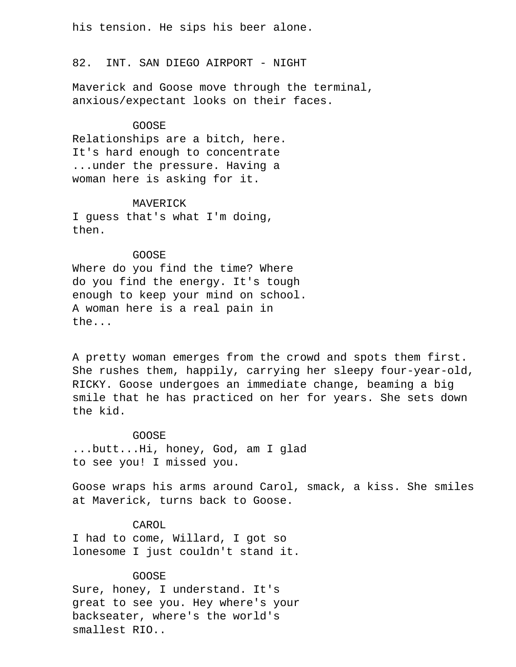his tension. He sips his beer alone.

82. INT. SAN DIEGO AIRPORT - NIGHT

 Maverick and Goose move through the terminal, anxious/expectant looks on their faces.

### GOOSE

 Relationships are a bitch, here. It's hard enough to concentrate ...under the pressure. Having a woman here is asking for it.

### MAVERICK

 I guess that's what I'm doing, then.

### GOOSE

 Where do you find the time? Where do you find the energy. It's tough enough to keep your mind on school. A woman here is a real pain in the...

 A pretty woman emerges from the crowd and spots them first. She rushes them, happily, carrying her sleepy four-year-old, RICKY. Goose undergoes an immediate change, beaming a big smile that he has practiced on her for years. She sets down the kid.

## GOOSE

 ...butt...Hi, honey, God, am I glad to see you! I missed you.

 Goose wraps his arms around Carol, smack, a kiss. She smiles at Maverick, turns back to Goose.

### CAROL

 I had to come, Willard, I got so lonesome I just couldn't stand it.

### GOOSE

 Sure, honey, I understand. It's great to see you. Hey where's your backseater, where's the world's smallest RIO..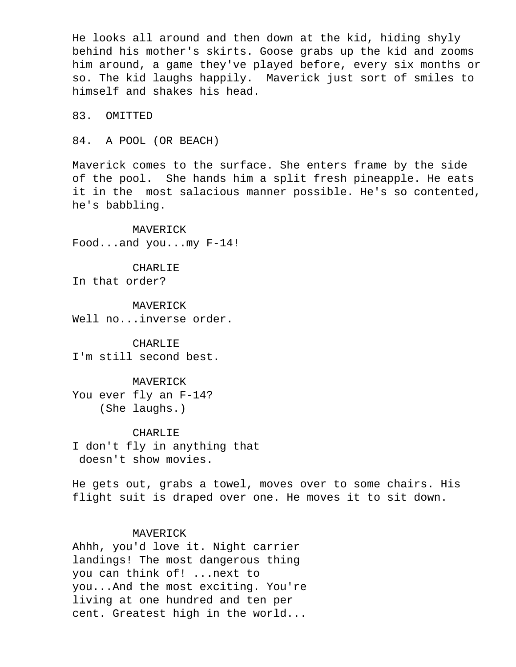He looks all around and then down at the kid, hiding shyly behind his mother's skirts. Goose grabs up the kid and zooms him around, a game they've played before, every six months or so. The kid laughs happily. Maverick just sort of smiles to himself and shakes his head.

83. OMITTED

84. A POOL (OR BEACH)

 Maverick comes to the surface. She enters frame by the side of the pool. She hands him a split fresh pineapple. He eats it in the most salacious manner possible. He's so contented, he's babbling.

 MAVERICK Food...and you...my F-14!

 CHARLIE In that order?

 MAVERICK Well no...inverse order.

 CHARLIE I'm still second best.

 MAVERICK You ever fly an F-14? (She laughs.)

 CHARLIE I don't fly in anything that doesn't show movies.

 He gets out, grabs a towel, moves over to some chairs. His flight suit is draped over one. He moves it to sit down.

## MAVERICK

 Ahhh, you'd love it. Night carrier landings! The most dangerous thing you can think of! ...next to you...And the most exciting. You're living at one hundred and ten per cent. Greatest high in the world...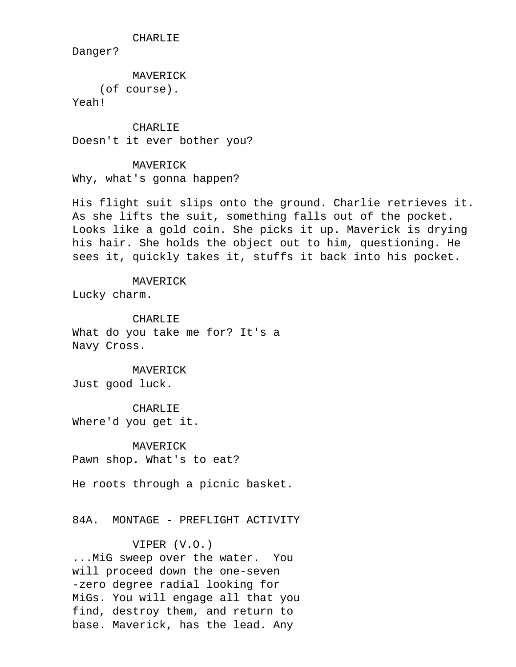CHARLIE

Danger?

 MAVERICK (of course).

Yeah!

**CHARLIE** Doesn't it ever bother you?

MAVERICK

Why, what's gonna happen?

 His flight suit slips onto the ground. Charlie retrieves it. As she lifts the suit, something falls out of the pocket. Looks like a gold coin. She picks it up. Maverick is drying his hair. She holds the object out to him, questioning. He sees it, quickly takes it, stuffs it back into his pocket.

MAVERICK

Lucky charm.

 CHARLIE What do you take me for? It's a Navy Cross.

 MAVERICK Just good luck.

 CHARLIE Where'd you get it.

 MAVERICK Pawn shop. What's to eat?

He roots through a picnic basket.

84A. MONTAGE - PREFLIGHT ACTIVITY

## VIPER (V.O.)

 ...MiG sweep over the water. You will proceed down the one-seven -zero degree radial looking for MiGs. You will engage all that you find, destroy them, and return to base. Maverick, has the lead. Any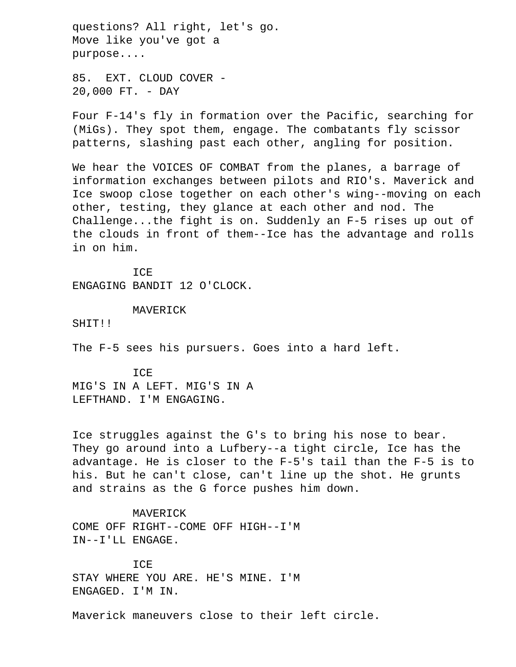questions? All right, let's go. Move like you've got a purpose....

 85. EXT. CLOUD COVER - 20,000 FT. - DAY

 Four F-14's fly in formation over the Pacific, searching for (MiGs). They spot them, engage. The combatants fly scissor patterns, slashing past each other, angling for position.

 We hear the VOICES OF COMBAT from the planes, a barrage of information exchanges between pilots and RIO's. Maverick and Ice swoop close together on each other's wing--moving on each other, testing, they glance at each other and nod. The Challenge...the fight is on. Suddenly an F-5 rises up out of the clouds in front of them--Ice has the advantage and rolls in on him.

 ICE ENGAGING BANDIT 12 O'CLOCK.

MAVERICK

SHIT!!

The F-5 sees his pursuers. Goes into a hard left.

 ICE MIG'S IN A LEFT. MIG'S IN A LEFTHAND. I'M ENGAGING.

 Ice struggles against the G's to bring his nose to bear. They go around into a Lufbery--a tight circle, Ice has the advantage. He is closer to the F-5's tail than the F-5 is to his. But he can't close, can't line up the shot. He grunts and strains as the G force pushes him down.

 MAVERICK COME OFF RIGHT--COME OFF HIGH--I'M IN--I'LL ENGAGE.

TCE. STAY WHERE YOU ARE. HE'S MINE. I'M ENGAGED. I'M IN.

Maverick maneuvers close to their left circle.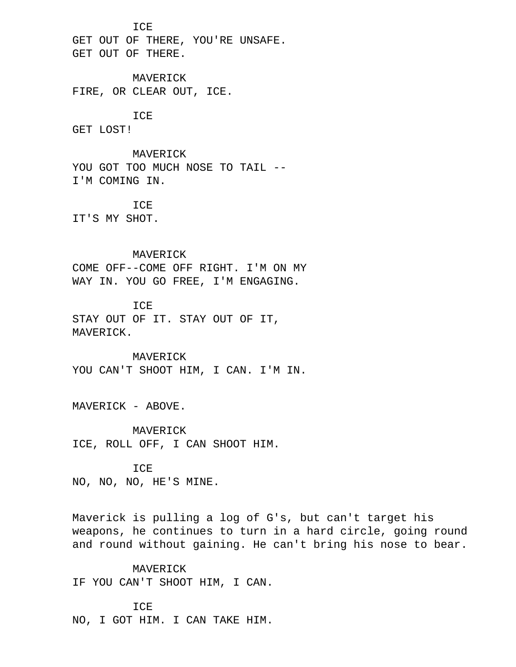ICE

 GET OUT OF THERE, YOU'RE UNSAFE. GET OUT OF THERE.

 MAVERICK FIRE, OR CLEAR OUT, ICE.

ICE

GET LOST!

 MAVERICK YOU GOT TOO MUCH NOSE TO TAIL --I'M COMING IN.

 ICE IT'S MY SHOT.

## MAVERICK

 COME OFF--COME OFF RIGHT. I'M ON MY WAY IN. YOU GO FREE, I'M ENGAGING.

 ICE STAY OUT OF IT. STAY OUT OF IT, MAVERICK.

 MAVERICK YOU CAN'T SHOOT HIM, I CAN. I'M IN.

MAVERICK - ABOVE.

 MAVERICK ICE, ROLL OFF, I CAN SHOOT HIM.

### ICE

NO, NO, NO, HE'S MINE.

 Maverick is pulling a log of G's, but can't target his weapons, he continues to turn in a hard circle, going round and round without gaining. He can't bring his nose to bear.

 MAVERICK IF YOU CAN'T SHOOT HIM, I CAN.

 ICE NO, I GOT HIM. I CAN TAKE HIM.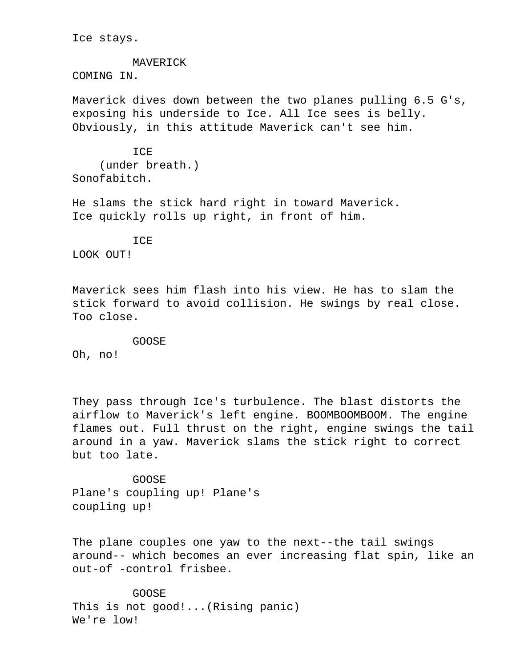Ice stays.

## MAVERICK COMING IN.

 Maverick dives down between the two planes pulling 6.5 G's, exposing his underside to Ice. All Ice sees is belly. Obviously, in this attitude Maverick can't see him.

**TCE**  (under breath.) Sonofabitch.

 He slams the stick hard right in toward Maverick. Ice quickly rolls up right, in front of him.

 ICE LOOK OUT!

 Maverick sees him flash into his view. He has to slam the stick forward to avoid collision. He swings by real close. Too close.

GOOSE

Oh, no!

 They pass through Ice's turbulence. The blast distorts the airflow to Maverick's left engine. BOOMBOOMBOOM. The engine flames out. Full thrust on the right, engine swings the tail around in a yaw. Maverick slams the stick right to correct but too late.

 GOOSE Plane's coupling up! Plane's coupling up!

 The plane couples one yaw to the next--the tail swings around-- which becomes an ever increasing flat spin, like an out-of -control frisbee.

 GOOSE This is not good!...(Rising panic) We're low!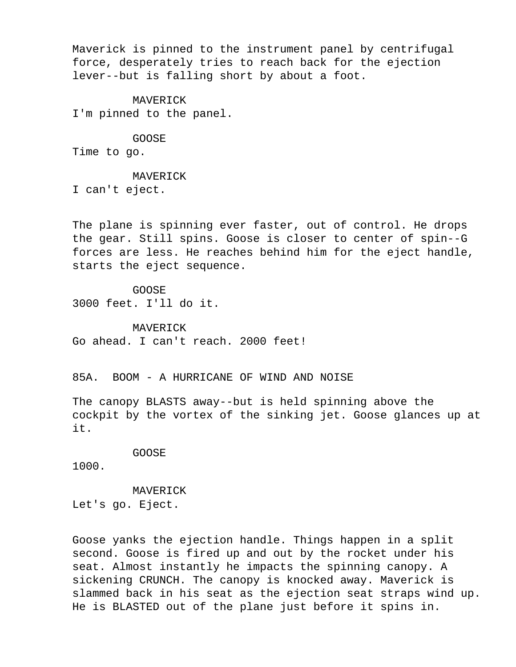Maverick is pinned to the instrument panel by centrifugal force, desperately tries to reach back for the ejection lever--but is falling short by about a foot.

 MAVERICK I'm pinned to the panel.

 GOOSE Time to go.

MAVERICK

I can't eject.

 The plane is spinning ever faster, out of control. He drops the gear. Still spins. Goose is closer to center of spin--G forces are less. He reaches behind him for the eject handle, starts the eject sequence.

 GOOSE 3000 feet. I'll do it.

 MAVERICK Go ahead. I can't reach. 2000 feet!

85A. BOOM - A HURRICANE OF WIND AND NOISE

 The canopy BLASTS away--but is held spinning above the cockpit by the vortex of the sinking jet. Goose glances up at it.

### GOOSE

1000.

MAVERICK

Let's go. Eject.

 Goose yanks the ejection handle. Things happen in a split second. Goose is fired up and out by the rocket under his seat. Almost instantly he impacts the spinning canopy. A sickening CRUNCH. The canopy is knocked away. Maverick is slammed back in his seat as the ejection seat straps wind up. He is BLASTED out of the plane just before it spins in.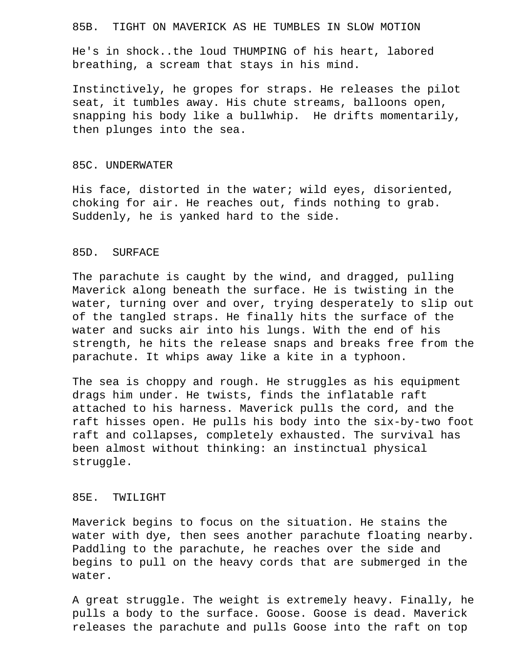### 85B. TIGHT ON MAVERICK AS HE TUMBLES IN SLOW MOTION

 He's in shock..the loud THUMPING of his heart, labored breathing, a scream that stays in his mind.

 Instinctively, he gropes for straps. He releases the pilot seat, it tumbles away. His chute streams, balloons open, snapping his body like a bullwhip. He drifts momentarily, then plunges into the sea.

### 85C. UNDERWATER

 His face, distorted in the water; wild eyes, disoriented, choking for air. He reaches out, finds nothing to grab. Suddenly, he is yanked hard to the side.

## 85D. SURFACE

 The parachute is caught by the wind, and dragged, pulling Maverick along beneath the surface. He is twisting in the water, turning over and over, trying desperately to slip out of the tangled straps. He finally hits the surface of the water and sucks air into his lungs. With the end of his strength, he hits the release snaps and breaks free from the parachute. It whips away like a kite in a typhoon.

 The sea is choppy and rough. He struggles as his equipment drags him under. He twists, finds the inflatable raft attached to his harness. Maverick pulls the cord, and the raft hisses open. He pulls his body into the six-by-two foot raft and collapses, completely exhausted. The survival has been almost without thinking: an instinctual physical struggle.

## 85E. TWILIGHT

 Maverick begins to focus on the situation. He stains the water with dye, then sees another parachute floating nearby. Paddling to the parachute, he reaches over the side and begins to pull on the heavy cords that are submerged in the water.

 A great struggle. The weight is extremely heavy. Finally, he pulls a body to the surface. Goose. Goose is dead. Maverick releases the parachute and pulls Goose into the raft on top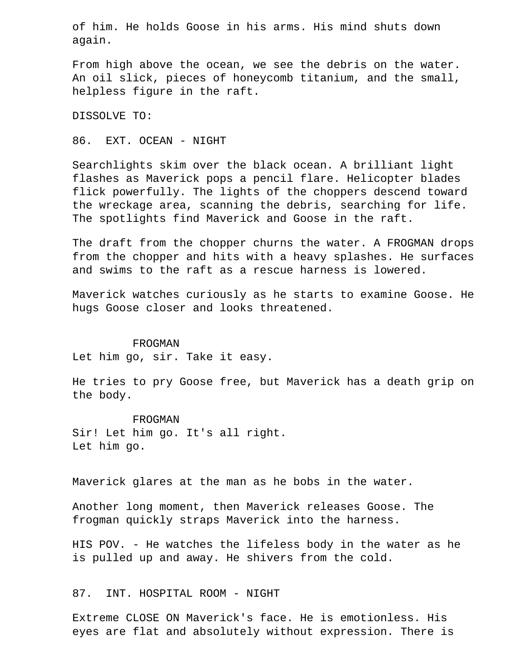of him. He holds Goose in his arms. His mind shuts down again.

 From high above the ocean, we see the debris on the water. An oil slick, pieces of honeycomb titanium, and the small, helpless figure in the raft.

DISSOLVE TO:

86. EXT. OCEAN - NIGHT

 Searchlights skim over the black ocean. A brilliant light flashes as Maverick pops a pencil flare. Helicopter blades flick powerfully. The lights of the choppers descend toward the wreckage area, scanning the debris, searching for life. The spotlights find Maverick and Goose in the raft.

 The draft from the chopper churns the water. A FROGMAN drops from the chopper and hits with a heavy splashes. He surfaces and swims to the raft as a rescue harness is lowered.

 Maverick watches curiously as he starts to examine Goose. He hugs Goose closer and looks threatened.

FROGMAN

Let him go, sir. Take it easy.

 He tries to pry Goose free, but Maverick has a death grip on the body.

 FROGMAN Sir! Let him go. It's all right. Let him go.

Maverick glares at the man as he bobs in the water.

 Another long moment, then Maverick releases Goose. The frogman quickly straps Maverick into the harness.

 HIS POV. - He watches the lifeless body in the water as he is pulled up and away. He shivers from the cold.

87. INT. HOSPITAL ROOM - NIGHT

 Extreme CLOSE ON Maverick's face. He is emotionless. His eyes are flat and absolutely without expression. There is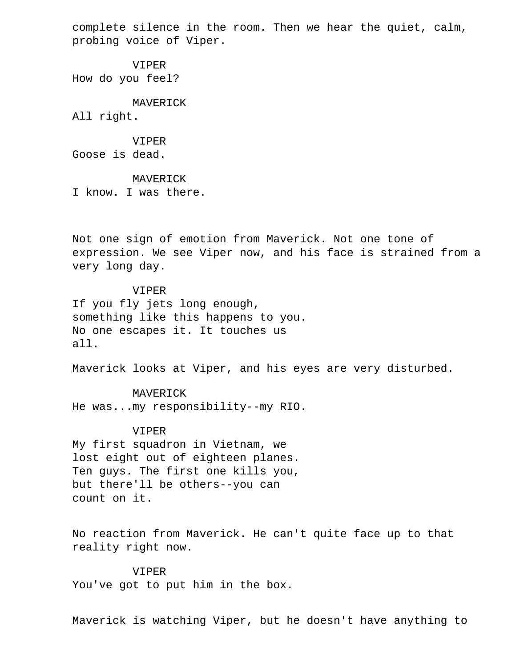complete silence in the room. Then we hear the quiet, calm, probing voice of Viper.

 VIPER How do you feel?

 MAVERICK All right.

 VIPER Goose is dead.

 MAVERICK I know. I was there.

 Not one sign of emotion from Maverick. Not one tone of expression. We see Viper now, and his face is strained from a very long day.

 VIPER If you fly jets long enough, something like this happens to you. No one escapes it. It touches us all.

Maverick looks at Viper, and his eyes are very disturbed.

 MAVERICK He was...my responsibility--my RIO.

 VIPER My first squadron in Vietnam, we lost eight out of eighteen planes. Ten guys. The first one kills you, but there'll be others--you can count on it.

 No reaction from Maverick. He can't quite face up to that reality right now.

 VIPER You've got to put him in the box.

Maverick is watching Viper, but he doesn't have anything to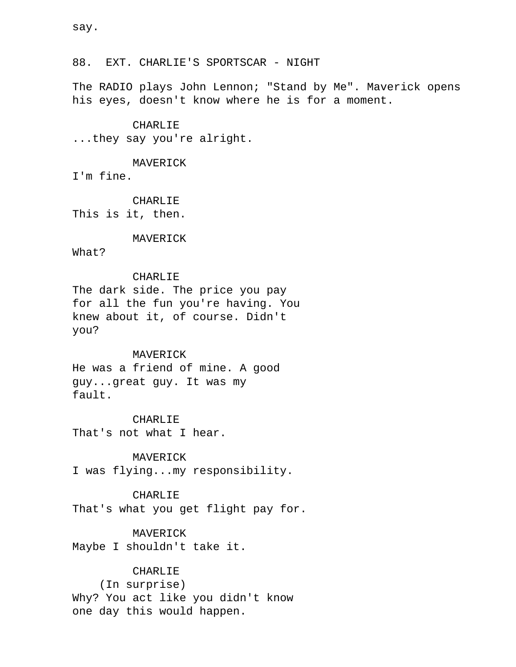88. EXT. CHARLIE'S SPORTSCAR - NIGHT

 The RADIO plays John Lennon; "Stand by Me". Maverick opens his eyes, doesn't know where he is for a moment.

### CHARLIE

...they say you're alright.

### MAVERICK

I'm fine.

 CHARLIE This is it, then.

### MAVERICK

What?

### CHARLIE

 The dark side. The price you pay for all the fun you're having. You knew about it, of course. Didn't you?

### MAVERICK

 He was a friend of mine. A good guy...great guy. It was my fault.

 CHARLIE That's not what I hear.

MAVERICK

I was flying...my responsibility.

## CHARLIE

That's what you get flight pay for.

## MAVERICK

Maybe I shouldn't take it.

## **CHARLIE**

 (In surprise) Why? You act like you didn't know one day this would happen.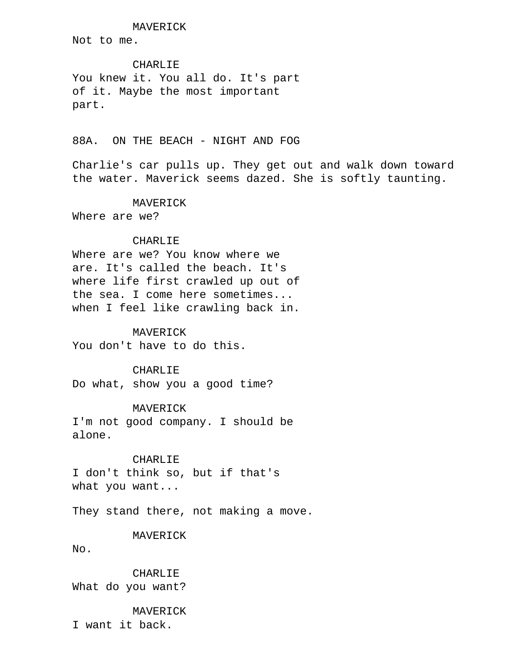MAVERICK

Not to me.

# CHARLIE

 You knew it. You all do. It's part of it. Maybe the most important part.

## 88A. ON THE BEACH - NIGHT AND FOG

 Charlie's car pulls up. They get out and walk down toward the water. Maverick seems dazed. She is softly taunting.

MAVERICK

Where are we?

## CHARLIE

 Where are we? You know where we are. It's called the beach. It's where life first crawled up out of the sea. I come here sometimes... when I feel like crawling back in.

### MAVERICK

You don't have to do this.

### CHARLIE

Do what, show you a good time?

## MAVERICK

 I'm not good company. I should be alone.

## CHARLIE

 I don't think so, but if that's what you want...

They stand there, not making a move.

### MAVERICK

No.

 CHARLIE What do you want?

## MAVERICK

I want it back.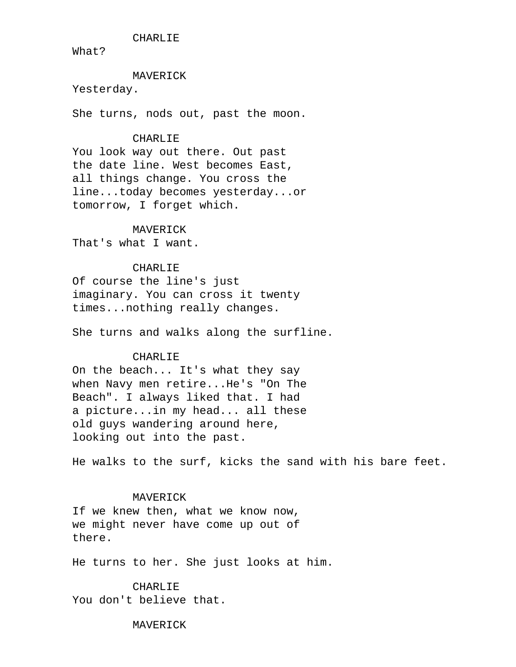CHARLIE

What?

### MAVERICK

Yesterday.

She turns, nods out, past the moon.

### CHARLIE

 You look way out there. Out past the date line. West becomes East, all things change. You cross the line...today becomes yesterday...or tomorrow, I forget which.

### MAVERICK

That's what I want.

## CHARLIE

 Of course the line's just imaginary. You can cross it twenty times...nothing really changes.

She turns and walks along the surfline.

### CHARLIE

 On the beach... It's what they say when Navy men retire...He's "On The Beach". I always liked that. I had a picture...in my head... all these old guys wandering around here, looking out into the past.

He walks to the surf, kicks the sand with his bare feet.

### MAVERICK

 If we knew then, what we know now, we might never have come up out of there.

He turns to her. She just looks at him.

 CHARLIE You don't believe that.

MAVERICK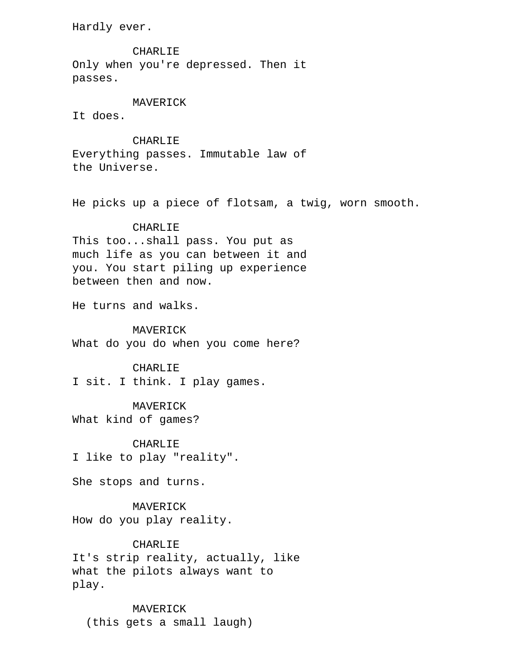Hardly ever.

 CHARLIE Only when you're depressed. Then it passes.

## MAVERICK

It does.

### CHARLIE

 Everything passes. Immutable law of the Universe.

He picks up a piece of flotsam, a twig, worn smooth.

### CHARLIE

 This too...shall pass. You put as much life as you can between it and you. You start piling up experience between then and now.

He turns and walks.

### MAVERICK

What do you do when you come here?

### CHARLIE

I sit. I think. I play games.

### MAVERICK

What kind of games?

 CHARLIE I like to play "reality".

She stops and turns.

 MAVERICK How do you play reality.

## CHARLIE

 It's strip reality, actually, like what the pilots always want to play.

 MAVERICK (this gets a small laugh)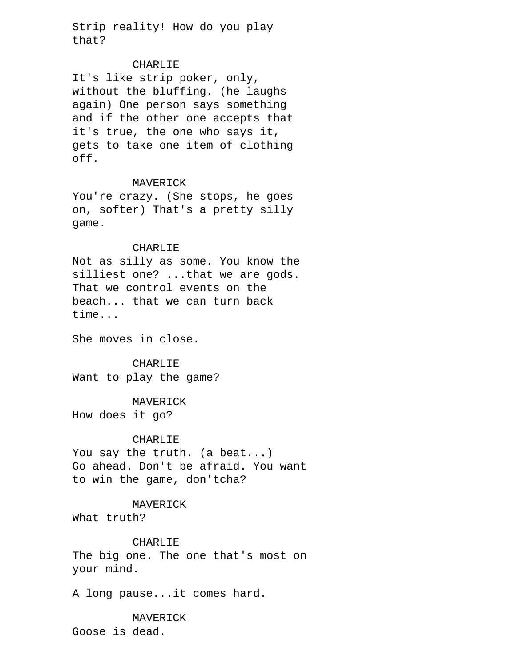Strip reality! How do you play that?

### CHARLIE

 It's like strip poker, only, without the bluffing. (he laughs again) One person says something and if the other one accepts that it's true, the one who says it, gets to take one item of clothing off.

### MAVERICK

 You're crazy. (She stops, he goes on, softer) That's a pretty silly game.

### CHARLIE

 Not as silly as some. You know the silliest one? ...that we are gods. That we control events on the beach... that we can turn back time...

She moves in close.

## CHARLIE

Want to play the game?

## MAVERICK

How does it go?

## CHARLIE

 You say the truth. (a beat...) Go ahead. Don't be afraid. You want to win the game, don'tcha?

### MAVERICK

What truth?

## CHARLIE

 The big one. The one that's most on your mind.

A long pause...it comes hard.

## MAVERICK Goose is dead.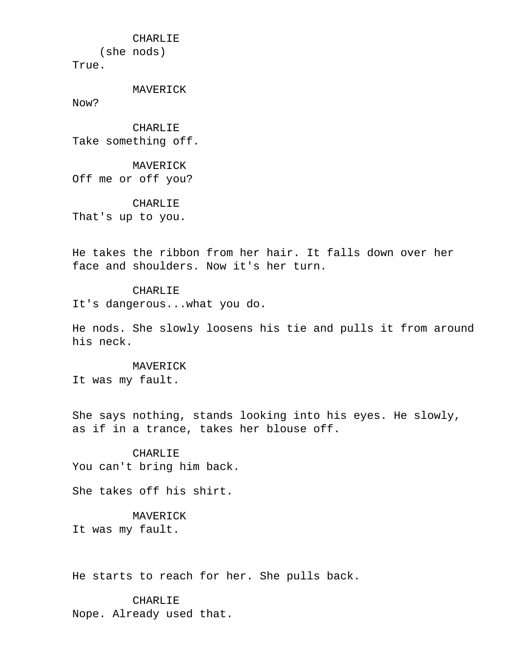CHARLIE

(she nods)

True.

MAVERICK

Now?

 CHARLIE Take something off.

 MAVERICK Off me or off you?

 CHARLIE That's up to you.

 He takes the ribbon from her hair. It falls down over her face and shoulders. Now it's her turn.

## CHARLIE

It's dangerous...what you do.

 He nods. She slowly loosens his tie and pulls it from around his neck.

### MAVERICK

It was my fault.

 She says nothing, stands looking into his eyes. He slowly, as if in a trance, takes her blouse off.

 CHARLIE You can't bring him back.

She takes off his shirt.

## MAVERICK

It was my fault.

He starts to reach for her. She pulls back.

 CHARLIE Nope. Already used that.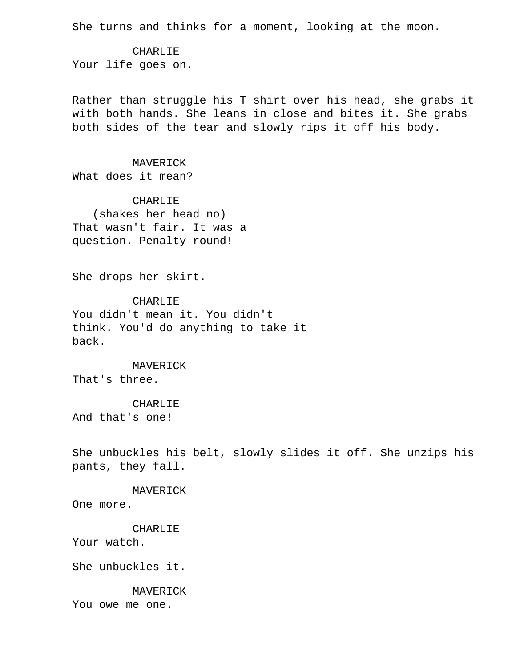She turns and thinks for a moment, looking at the moon.

 CHARLIE Your life goes on.

 Rather than struggle his T shirt over his head, she grabs it with both hands. She leans in close and bites it. She grabs both sides of the tear and slowly rips it off his body.

## MAVERICK

What does it mean?

 CHARLIE (shakes her head no) That wasn't fair. It was a question. Penalty round!

She drops her skirt.

### CHARLIE

 You didn't mean it. You didn't think. You'd do anything to take it back.

 MAVERICK That's three.

### CHARLIE

And that's one!

 She unbuckles his belt, slowly slides it off. She unzips his pants, they fall.

### MAVERICK

One more.

## CHARLIE

Your watch.

She unbuckles it.

### MAVERICK

You owe me one.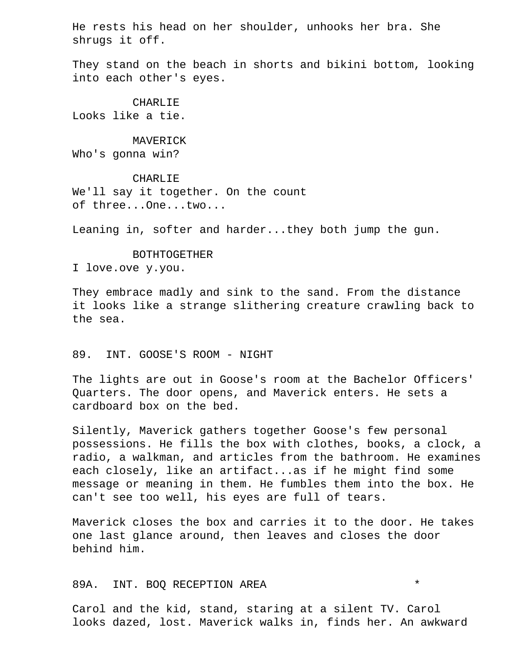He rests his head on her shoulder, unhooks her bra. She shrugs it off.

 They stand on the beach in shorts and bikini bottom, looking into each other's eyes.

 CHARLIE Looks like a tie.

 MAVERICK Who's gonna win?

 CHARLIE We'll say it together. On the count of three...One...two...

Leaning in, softer and harder...they both jump the gun.

 BOTHTOGETHER I love.ove y.you.

 They embrace madly and sink to the sand. From the distance it looks like a strange slithering creature crawling back to the sea.

### 89. INT. GOOSE'S ROOM - NIGHT

 The lights are out in Goose's room at the Bachelor Officers' Quarters. The door opens, and Maverick enters. He sets a cardboard box on the bed.

 Silently, Maverick gathers together Goose's few personal possessions. He fills the box with clothes, books, a clock, a radio, a walkman, and articles from the bathroom. He examines each closely, like an artifact...as if he might find some message or meaning in them. He fumbles them into the box. He can't see too well, his eyes are full of tears.

 Maverick closes the box and carries it to the door. He takes one last glance around, then leaves and closes the door behind him.

## 89A. INT. BOQ RECEPTION AREA \*

 Carol and the kid, stand, staring at a silent TV. Carol looks dazed, lost. Maverick walks in, finds her. An awkward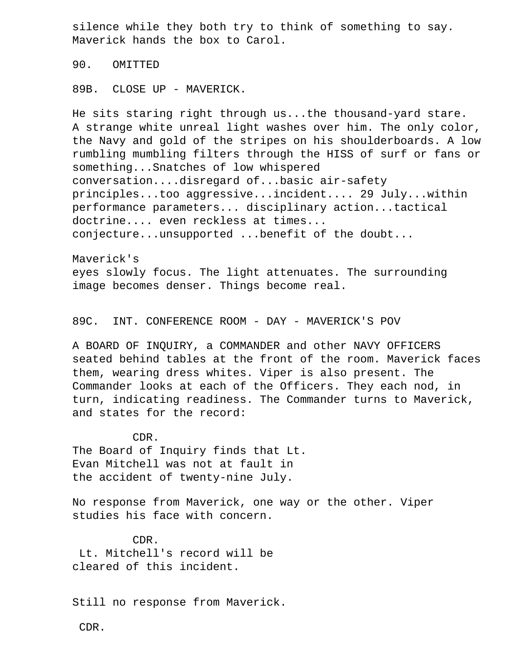silence while they both try to think of something to say. Maverick hands the box to Carol.

90. OMITTED

89B. CLOSE UP - MAVERICK.

 He sits staring right through us...the thousand-yard stare. A strange white unreal light washes over him. The only color, the Navy and gold of the stripes on his shoulderboards. A low rumbling mumbling filters through the HISS of surf or fans or something...Snatches of low whispered conversation....disregard of...basic air-safety principles...too aggressive...incident.... 29 July...within performance parameters... disciplinary action...tactical doctrine.... even reckless at times... conjecture...unsupported ...benefit of the doubt...

 Maverick's eyes slowly focus. The light attenuates. The surrounding image becomes denser. Things become real.

89C. INT. CONFERENCE ROOM - DAY - MAVERICK'S POV

 A BOARD OF INQUIRY, a COMMANDER and other NAVY OFFICERS seated behind tables at the front of the room. Maverick faces them, wearing dress whites. Viper is also present. The Commander looks at each of the Officers. They each nod, in turn, indicating readiness. The Commander turns to Maverick, and states for the record:

 CDR. The Board of Inquiry finds that Lt. Evan Mitchell was not at fault in the accident of twenty-nine July.

 No response from Maverick, one way or the other. Viper studies his face with concern.

 CDR. Lt. Mitchell's record will be cleared of this incident.

Still no response from Maverick.

CDR.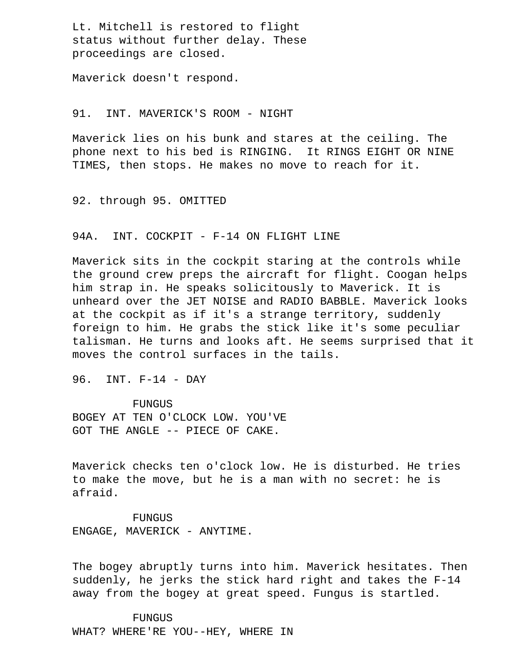Lt. Mitchell is restored to flight status without further delay. These proceedings are closed.

Maverick doesn't respond.

### 91. INT. MAVERICK'S ROOM - NIGHT

 Maverick lies on his bunk and stares at the ceiling. The phone next to his bed is RINGING. It RINGS EIGHT OR NINE TIMES, then stops. He makes no move to reach for it.

92. through 95. OMITTED

## 94A. INT. COCKPIT - F-14 ON FLIGHT LINE

 Maverick sits in the cockpit staring at the controls while the ground crew preps the aircraft for flight. Coogan helps him strap in. He speaks solicitously to Maverick. It is unheard over the JET NOISE and RADIO BABBLE. Maverick looks at the cockpit as if it's a strange territory, suddenly foreign to him. He grabs the stick like it's some peculiar talisman. He turns and looks aft. He seems surprised that it moves the control surfaces in the tails.

96. INT. F-14 - DAY

 FUNGUS BOGEY AT TEN O'CLOCK LOW. YOU'VE GOT THE ANGLE -- PIECE OF CAKE.

 Maverick checks ten o'clock low. He is disturbed. He tries to make the move, but he is a man with no secret: he is afraid.

 FUNGUS ENGAGE, MAVERICK - ANYTIME.

 The bogey abruptly turns into him. Maverick hesitates. Then suddenly, he jerks the stick hard right and takes the F-14 away from the bogey at great speed. Fungus is startled.

### **FUNGUS**

WHAT? WHERE'RE YOU--HEY, WHERE IN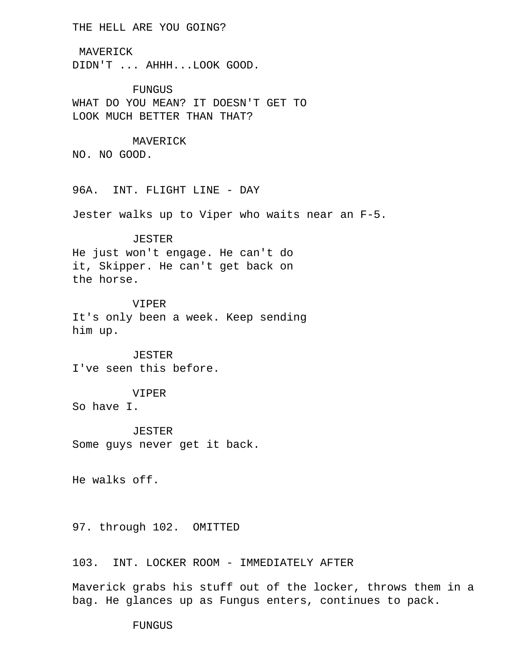## THE HELL ARE YOU GOING?

 MAVERICK DIDN'T ... AHHH...LOOK GOOD.

 FUNGUS WHAT DO YOU MEAN? IT DOESN'T GET TO LOOK MUCH BETTER THAN THAT?

 MAVERICK NO. NO GOOD.

96A. INT. FLIGHT LINE - DAY

Jester walks up to Viper who waits near an F-5.

### JESTER

 He just won't engage. He can't do it, Skipper. He can't get back on the horse.

### VIPER

 It's only been a week. Keep sending him up.

 JESTER I've seen this before.

# VIPER

So have I.

 JESTER Some guys never get it back.

He walks off.

97. through 102. OMITTED

103. INT. LOCKER ROOM - IMMEDIATELY AFTER

 Maverick grabs his stuff out of the locker, throws them in a bag. He glances up as Fungus enters, continues to pack.

FUNGUS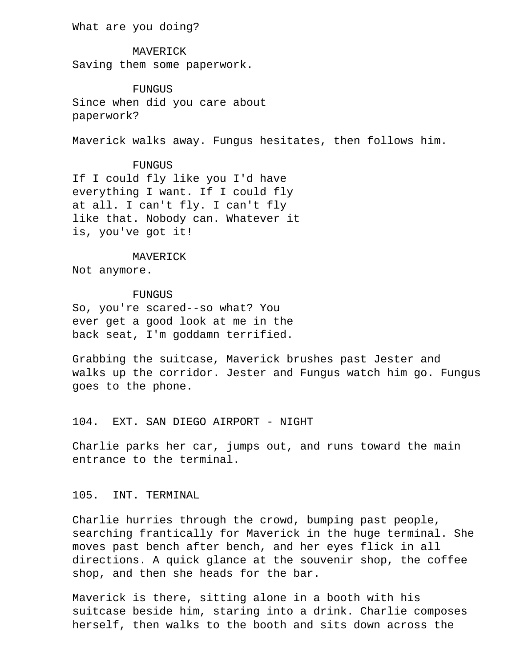What are you doing?

 MAVERICK Saving them some paperwork.

**FUNGUS**  Since when did you care about paperwork?

Maverick walks away. Fungus hesitates, then follows him.

 FUNGUS If I could fly like you I'd have everything I want. If I could fly at all. I can't fly. I can't fly like that. Nobody can. Whatever it is, you've got it!

### MAVERICK

Not anymore.

### FUNGUS

 So, you're scared--so what? You ever get a good look at me in the back seat, I'm goddamn terrified.

 Grabbing the suitcase, Maverick brushes past Jester and walks up the corridor. Jester and Fungus watch him go. Fungus goes to the phone.

## 104. EXT. SAN DIEGO AIRPORT - NIGHT

 Charlie parks her car, jumps out, and runs toward the main entrance to the terminal.

## 105. INT. TERMINAL

 Charlie hurries through the crowd, bumping past people, searching frantically for Maverick in the huge terminal. She moves past bench after bench, and her eyes flick in all directions. A quick glance at the souvenir shop, the coffee shop, and then she heads for the bar.

 Maverick is there, sitting alone in a booth with his suitcase beside him, staring into a drink. Charlie composes herself, then walks to the booth and sits down across the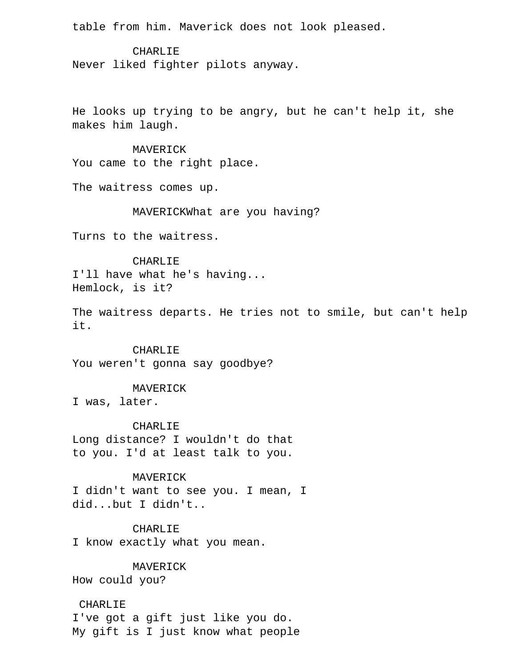table from him. Maverick does not look pleased.

**CHARLIE** 

Never liked fighter pilots anyway.

 He looks up trying to be angry, but he can't help it, she makes him laugh.

 MAVERICK You came to the right place.

The waitress comes up.

MAVERICKWhat are you having?

Turns to the waitress.

 CHARLIE I'll have what he's having... Hemlock, is it?

 The waitress departs. He tries not to smile, but can't help it.

 CHARLIE You weren't gonna say goodbye?

MAVERICK

I was, later.

CHARLIE

 Long distance? I wouldn't do that to you. I'd at least talk to you.

MAVERICK

 I didn't want to see you. I mean, I did...but I didn't..

 CHARLIE I know exactly what you mean.

MAVERICK

How could you?

# CHARLIE

 I've got a gift just like you do. My gift is I just know what people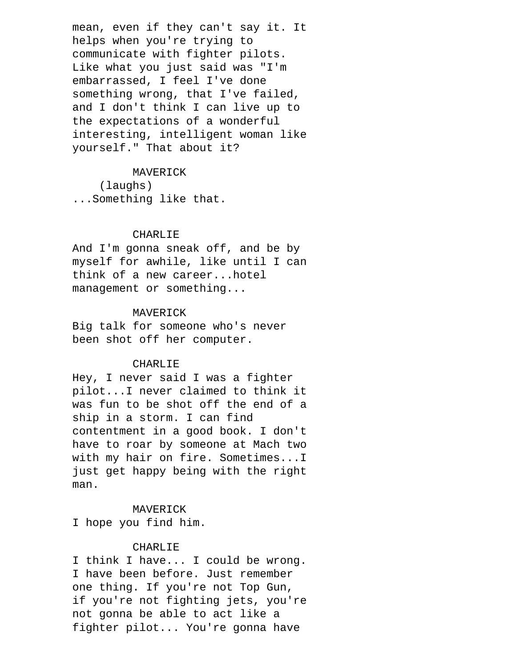mean, even if they can't say it. It helps when you're trying to communicate with fighter pilots. Like what you just said was "I'm embarrassed, I feel I've done something wrong, that I've failed, and I don't think I can live up to the expectations of a wonderful interesting, intelligent woman like yourself." That about it?

# MAVERICK

 (laughs) ...Something like that.

### CHARLIE

 And I'm gonna sneak off, and be by myself for awhile, like until I can think of a new career...hotel management or something...

### MAVERICK

 Big talk for someone who's never been shot off her computer.

#### CHARLIE

 Hey, I never said I was a fighter pilot...I never claimed to think it was fun to be shot off the end of a ship in a storm. I can find contentment in a good book. I don't have to roar by someone at Mach two with my hair on fire. Sometimes...I just get happy being with the right man.

# MAVERICK

I hope you find him.

# CHARLIE

 I think I have... I could be wrong. I have been before. Just remember one thing. If you're not Top Gun, if you're not fighting jets, you're not gonna be able to act like a fighter pilot... You're gonna have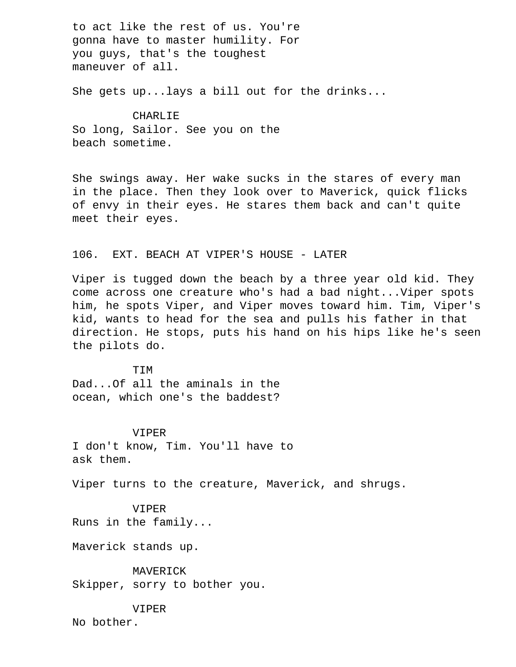to act like the rest of us. You're gonna have to master humility. For you guys, that's the toughest maneuver of all.

She gets up...lays a bill out for the drinks...

### CHARLIE

 So long, Sailor. See you on the beach sometime.

 She swings away. Her wake sucks in the stares of every man in the place. Then they look over to Maverick, quick flicks of envy in their eyes. He stares them back and can't quite meet their eyes.

# 106. EXT. BEACH AT VIPER'S HOUSE - LATER

 Viper is tugged down the beach by a three year old kid. They come across one creature who's had a bad night...Viper spots him, he spots Viper, and Viper moves toward him. Tim, Viper's kid, wants to head for the sea and pulls his father in that direction. He stops, puts his hand on his hips like he's seen the pilots do.

**TIM**  Dad...Of all the aminals in the ocean, which one's the baddest?

 VIPER I don't know, Tim. You'll have to ask them.

Viper turns to the creature, Maverick, and shrugs.

 VIPER Runs in the family...

Maverick stands up.

 MAVERICK Skipper, sorry to bother you.

VIPER

No bother.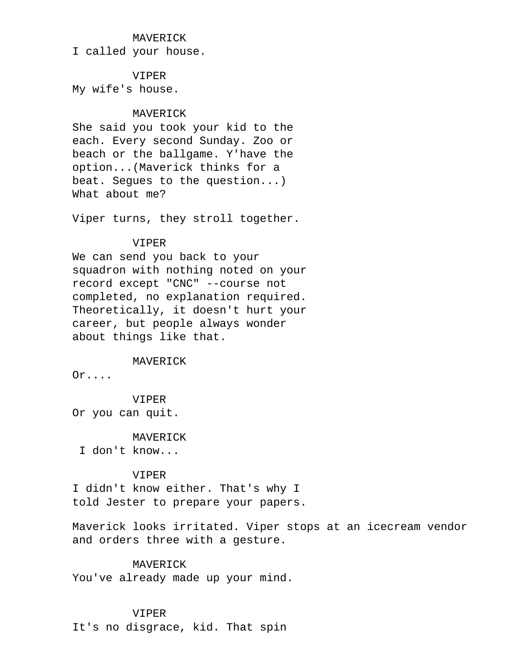### MAVERICK

I called your house.

### VIPER

My wife's house.

# MAVERICK

 She said you took your kid to the each. Every second Sunday. Zoo or beach or the ballgame. Y'have the option...(Maverick thinks for a beat. Segues to the question...) What about me?

Viper turns, they stroll together.

# VIPER

 We can send you back to your squadron with nothing noted on your record except "CNC" --course not completed, no explanation required. Theoretically, it doesn't hurt your career, but people always wonder about things like that.

MAVERICK

Or....

# VIPER

Or you can quit.

MAVERICK

I don't know...

### VIPER

 I didn't know either. That's why I told Jester to prepare your papers.

 Maverick looks irritated. Viper stops at an icecream vendor and orders three with a gesture.

# MAVERICK

You've already made up your mind.

### VIPER

It's no disgrace, kid. That spin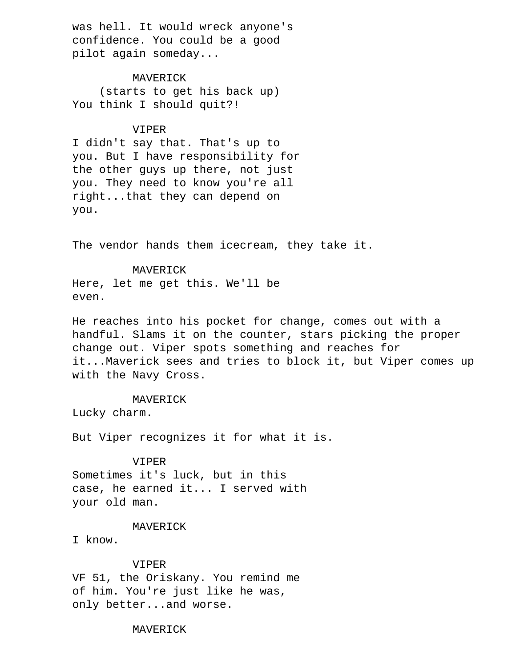was hell. It would wreck anyone's confidence. You could be a good pilot again someday...

 MAVERICK (starts to get his back up) You think I should quit?!

# VIPER

 I didn't say that. That's up to you. But I have responsibility for the other guys up there, not just you. They need to know you're all right...that they can depend on you.

The vendor hands them icecream, they take it.

 MAVERICK Here, let me get this. We'll be even.

 He reaches into his pocket for change, comes out with a handful. Slams it on the counter, stars picking the proper change out. Viper spots something and reaches for it...Maverick sees and tries to block it, but Viper comes up with the Navy Cross.

MAVERICK

Lucky charm.

But Viper recognizes it for what it is.

#### VIPER

 Sometimes it's luck, but in this case, he earned it... I served with your old man.

# MAVERICK

I know.

# VIPER

 VF 51, the Oriskany. You remind me of him. You're just like he was, only better...and worse.

# MAVERICK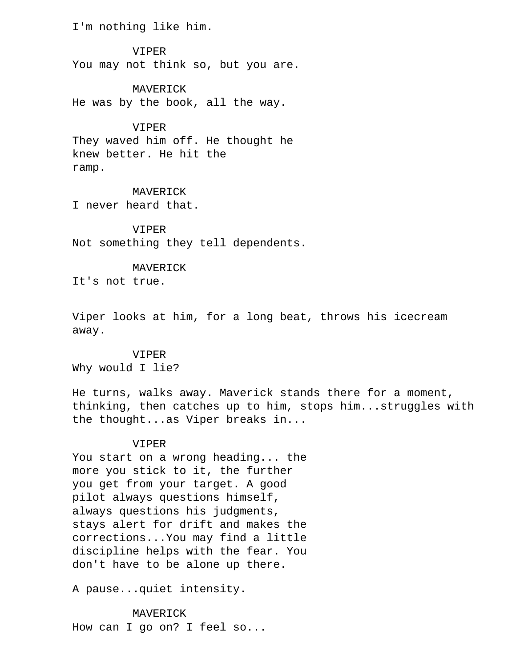I'm nothing like him.

 VIPER You may not think so, but you are.

 MAVERICK He was by the book, all the way.

 VIPER They waved him off. He thought he knew better. He hit the ramp.

 MAVERICK I never heard that.

 VIPER Not something they tell dependents.

#### MAVERICK

It's not true.

 Viper looks at him, for a long beat, throws his icecream away.

#### VIPER

Why would I lie?

 He turns, walks away. Maverick stands there for a moment, thinking, then catches up to him, stops him...struggles with the thought...as Viper breaks in...

### VIPER

 You start on a wrong heading... the more you stick to it, the further you get from your target. A good pilot always questions himself, always questions his judgments, stays alert for drift and makes the corrections...You may find a little discipline helps with the fear. You don't have to be alone up there.

A pause...quiet intensity.

 MAVERICK How can I go on? I feel so...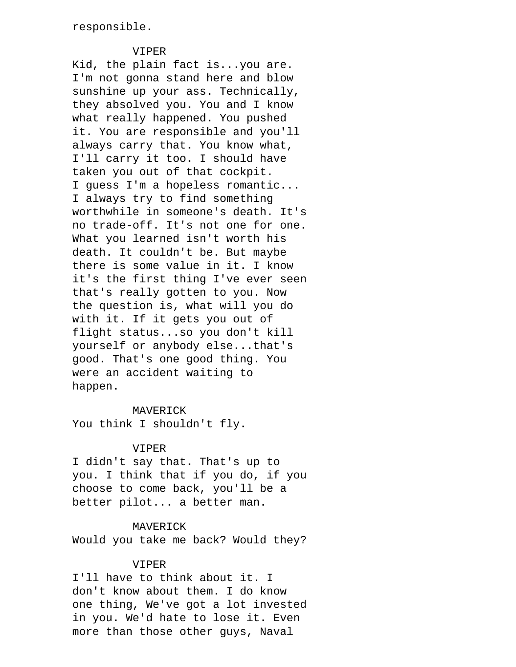# VIPER

 Kid, the plain fact is...you are. I'm not gonna stand here and blow sunshine up your ass. Technically, they absolved you. You and I know what really happened. You pushed it. You are responsible and you'll always carry that. You know what, I'll carry it too. I should have taken you out of that cockpit. I guess I'm a hopeless romantic... I always try to find something worthwhile in someone's death. It's no trade-off. It's not one for one. What you learned isn't worth his death. It couldn't be. But maybe there is some value in it. I know it's the first thing I've ever seen that's really gotten to you. Now the question is, what will you do with it. If it gets you out of flight status...so you don't kill yourself or anybody else...that's good. That's one good thing. You were an accident waiting to happen.

### MAVERICK

You think I shouldn't fly.

# VIPER

 I didn't say that. That's up to you. I think that if you do, if you choose to come back, you'll be a better pilot... a better man.

### MAVERICK

Would you take me back? Would they?

# VIPER

 I'll have to think about it. I don't know about them. I do know one thing, We've got a lot invested in you. We'd hate to lose it. Even more than those other guys, Naval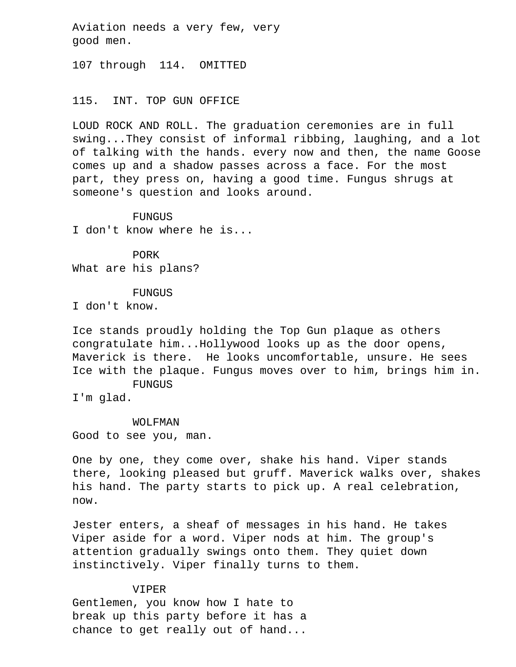Aviation needs a very few, very good men.

107 through 114. OMITTED

### 115. INT. TOP GUN OFFICE

 LOUD ROCK AND ROLL. The graduation ceremonies are in full swing...They consist of informal ribbing, laughing, and a lot of talking with the hands. every now and then, the name Goose comes up and a shadow passes across a face. For the most part, they press on, having a good time. Fungus shrugs at someone's question and looks around.

#### FUNGUS

I don't know where he is...

PORK

What are his plans?

#### FUNGUS

I don't know.

 Ice stands proudly holding the Top Gun plaque as others congratulate him...Hollywood looks up as the door opens, Maverick is there. He looks uncomfortable, unsure. He sees Ice with the plaque. Fungus moves over to him, brings him in. FUNGUS

I'm glad.

#### WOLFMAN

Good to see you, man.

 One by one, they come over, shake his hand. Viper stands there, looking pleased but gruff. Maverick walks over, shakes his hand. The party starts to pick up. A real celebration, now.

 Jester enters, a sheaf of messages in his hand. He takes Viper aside for a word. Viper nods at him. The group's attention gradually swings onto them. They quiet down instinctively. Viper finally turns to them.

# VIPER

 Gentlemen, you know how I hate to break up this party before it has a chance to get really out of hand...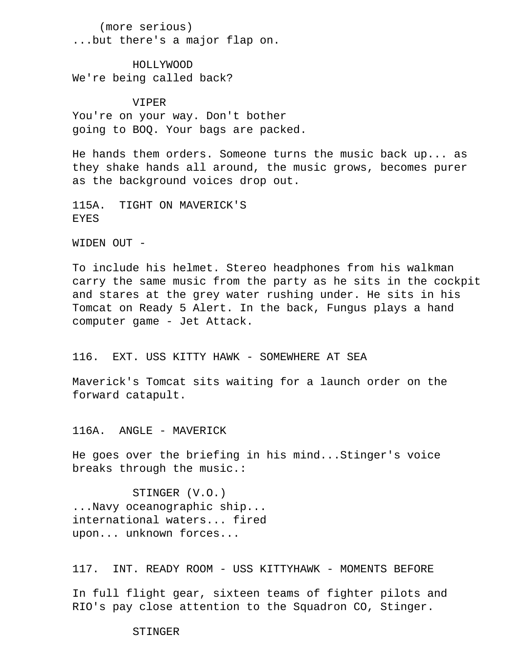(more serious) ...but there's a major flap on.

 HOLLYWOOD We're being called back?

 VIPER You're on your way. Don't bother going to BOQ. Your bags are packed.

 He hands them orders. Someone turns the music back up... as they shake hands all around, the music grows, becomes purer as the background voices drop out.

 115A. TIGHT ON MAVERICK'S EYES

WIDEN OUT -

 To include his helmet. Stereo headphones from his walkman carry the same music from the party as he sits in the cockpit and stares at the grey water rushing under. He sits in his Tomcat on Ready 5 Alert. In the back, Fungus plays a hand computer game - Jet Attack.

# 116. EXT. USS KITTY HAWK - SOMEWHERE AT SEA

 Maverick's Tomcat sits waiting for a launch order on the forward catapult.

116A. ANGLE - MAVERICK

 He goes over the briefing in his mind...Stinger's voice breaks through the music.:

 STINGER (V.O.) ...Navy oceanographic ship... international waters... fired upon... unknown forces...

117. INT. READY ROOM - USS KITTYHAWK - MOMENTS BEFORE

 In full flight gear, sixteen teams of fighter pilots and RIO's pay close attention to the Squadron CO, Stinger.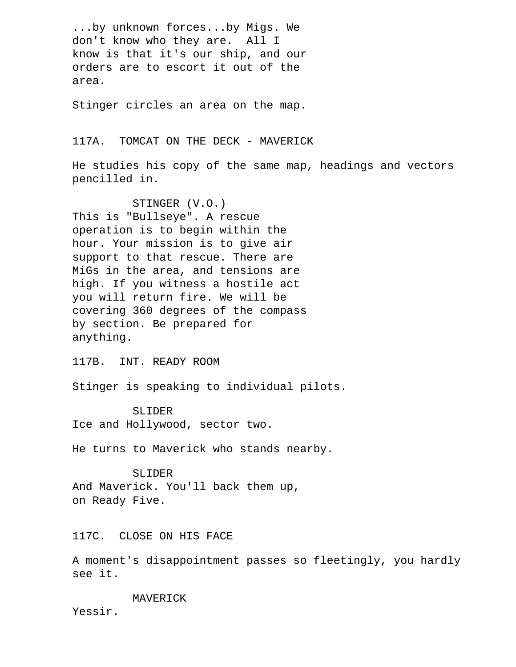...by unknown forces...by Migs. We don't know who they are. All I know is that it's our ship, and our orders are to escort it out of the area.

Stinger circles an area on the map.

117A. TOMCAT ON THE DECK - MAVERICK

 He studies his copy of the same map, headings and vectors pencilled in.

 STINGER (V.O.) This is "Bullseye". A rescue operation is to begin within the hour. Your mission is to give air support to that rescue. There are MiGs in the area, and tensions are high. If you witness a hostile act you will return fire. We will be covering 360 degrees of the compass by section. Be prepared for anything.

117B. INT. READY ROOM

Stinger is speaking to individual pilots.

 SLIDER Ice and Hollywood, sector two.

He turns to Maverick who stands nearby.

 SLIDER And Maverick. You'll back them up, on Ready Five.

117C. CLOSE ON HIS FACE

 A moment's disappointment passes so fleetingly, you hardly see it.

MAVERICK

Yessir.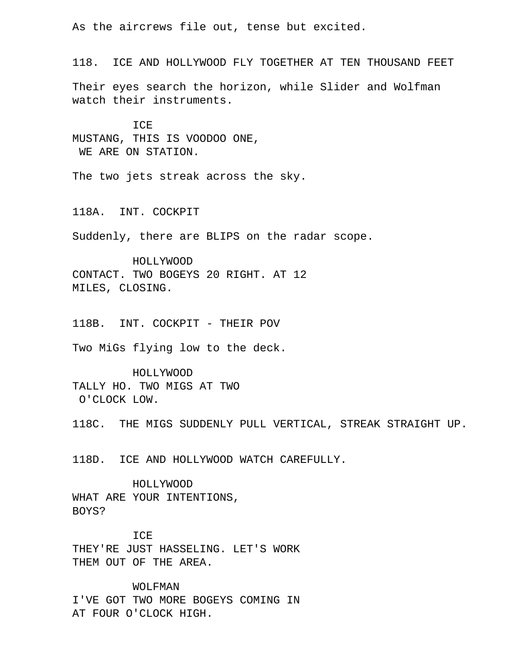As the aircrews file out, tense but excited.

 118. ICE AND HOLLYWOOD FLY TOGETHER AT TEN THOUSAND FEET Their eyes search the horizon, while Slider and Wolfman

watch their instruments.

 ICE MUSTANG, THIS IS VOODOO ONE, WE ARE ON STATION.

The two jets streak across the sky.

118A. INT. COCKPIT

Suddenly, there are BLIPS on the radar scope.

 HOLLYWOOD CONTACT. TWO BOGEYS 20 RIGHT. AT 12 MILES, CLOSING.

118B. INT. COCKPIT - THEIR POV

Two MiGs flying low to the deck.

 HOLLYWOOD TALLY HO. TWO MIGS AT TWO O'CLOCK LOW.

118C. THE MIGS SUDDENLY PULL VERTICAL, STREAK STRAIGHT UP.

118D. ICE AND HOLLYWOOD WATCH CAREFULLY.

 HOLLYWOOD WHAT ARE YOUR INTENTIONS, BOYS?

 ICE THEY'RE JUST HASSELING. LET'S WORK THEM OUT OF THE AREA.

 WOLFMAN I'VE GOT TWO MORE BOGEYS COMING IN AT FOUR O'CLOCK HIGH.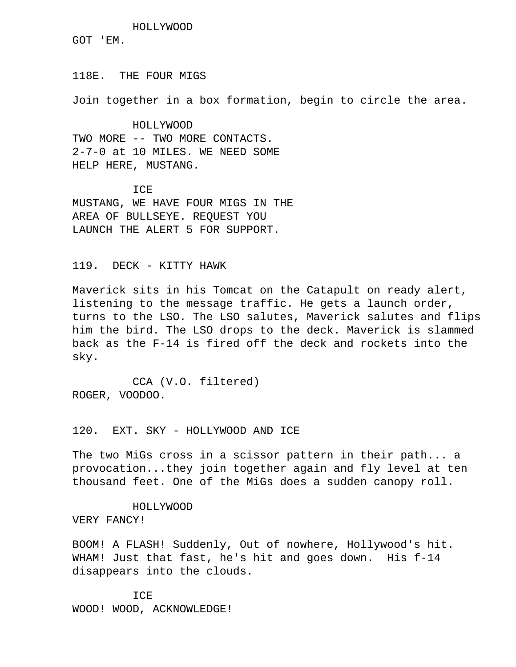HOLLYWOOD GOT 'EM.

118E. THE FOUR MIGS

Join together in a box formation, begin to circle the area.

 HOLLYWOOD TWO MORE -- TWO MORE CONTACTS. 2-7-0 at 10 MILES. WE NEED SOME HELP HERE, MUSTANG.

TCE. MUSTANG, WE HAVE FOUR MIGS IN THE AREA OF BULLSEYE. REQUEST YOU LAUNCH THE ALERT 5 FOR SUPPORT.

119. DECK - KITTY HAWK

 Maverick sits in his Tomcat on the Catapult on ready alert, listening to the message traffic. He gets a launch order, turns to the LSO. The LSO salutes, Maverick salutes and flips him the bird. The LSO drops to the deck. Maverick is slammed back as the F-14 is fired off the deck and rockets into the sky.

 CCA (V.O. filtered) ROGER, VOODOO.

120. EXT. SKY - HOLLYWOOD AND ICE

 The two MiGs cross in a scissor pattern in their path... a provocation...they join together again and fly level at ten thousand feet. One of the MiGs does a sudden canopy roll.

HOLLYWOOD

VERY FANCY!

 BOOM! A FLASH! Suddenly, Out of nowhere, Hollywood's hit. WHAM! Just that fast, he's hit and goes down. His f-14 disappears into the clouds.

**TCE** WOOD! WOOD, ACKNOWLEDGE!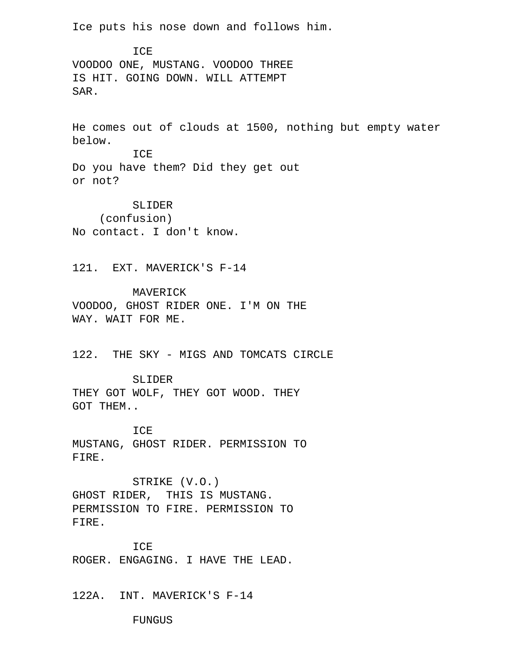Ice puts his nose down and follows him.

TCE. VOODOO ONE, MUSTANG. VOODOO THREE IS HIT. GOING DOWN. WILL ATTEMPT SAR.

 He comes out of clouds at 1500, nothing but empty water below.

 ICE Do you have them? Did they get out or not?

 SLIDER (confusion) No contact. I don't know.

121. EXT. MAVERICK'S F-14

 MAVERICK VOODOO, GHOST RIDER ONE. I'M ON THE WAY. WAIT FOR ME.

122. THE SKY - MIGS AND TOMCATS CIRCLE

 SLIDER THEY GOT WOLF, THEY GOT WOOD. THEY GOT THEM..

 ICE MUSTANG, GHOST RIDER. PERMISSION TO FIRE.

 STRIKE (V.O.) GHOST RIDER, THIS IS MUSTANG. PERMISSION TO FIRE. PERMISSION TO FIRE.

 ICE ROGER. ENGAGING. I HAVE THE LEAD.

122A. INT. MAVERICK'S F-14

FUNGUS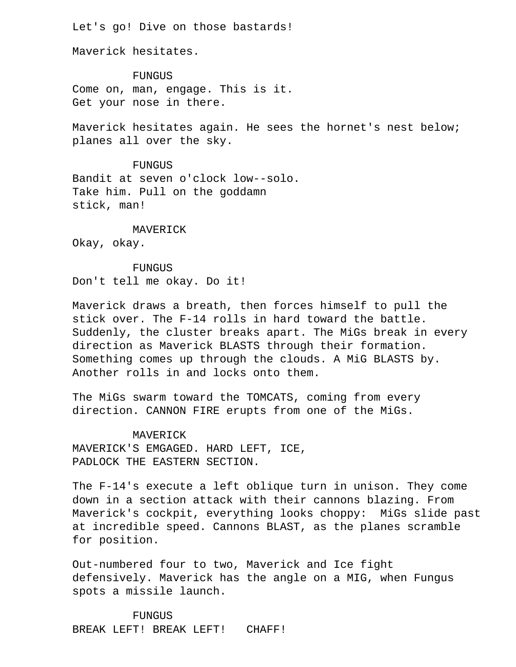Let's go! Dive on those bastards!

Maverick hesitates.

 FUNGUS Come on, man, engage. This is it. Get your nose in there.

 Maverick hesitates again. He sees the hornet's nest below; planes all over the sky.

 FUNGUS Bandit at seven o'clock low--solo. Take him. Pull on the goddamn stick, man!

MAVERICK

Okay, okay.

 FUNGUS Don't tell me okay. Do it!

 Maverick draws a breath, then forces himself to pull the stick over. The F-14 rolls in hard toward the battle. Suddenly, the cluster breaks apart. The MiGs break in every direction as Maverick BLASTS through their formation. Something comes up through the clouds. A MiG BLASTS by. Another rolls in and locks onto them.

 The MiGs swarm toward the TOMCATS, coming from every direction. CANNON FIRE erupts from one of the MiGs.

 MAVERICK MAVERICK'S EMGAGED. HARD LEFT, ICE, PADLOCK THE EASTERN SECTION.

 The F-14's execute a left oblique turn in unison. They come down in a section attack with their cannons blazing. From Maverick's cockpit, everything looks choppy: MiGs slide past at incredible speed. Cannons BLAST, as the planes scramble for position.

 Out-numbered four to two, Maverick and Ice fight defensively. Maverick has the angle on a MIG, when Fungus spots a missile launch.

 FUNGUS BREAK LEFT! BREAK LEFT! CHAFF!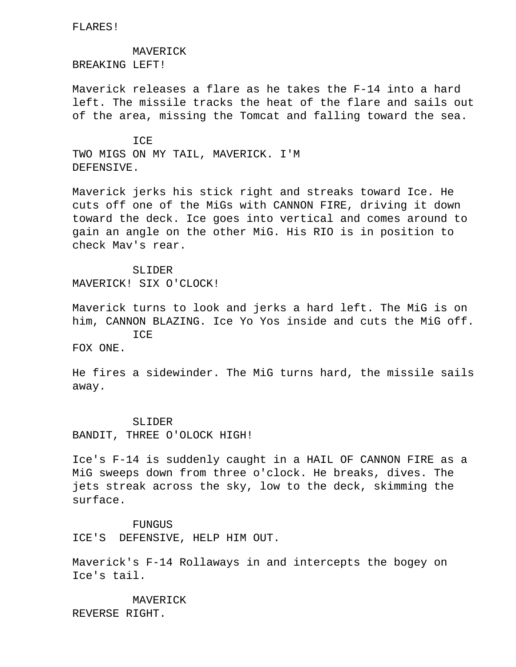FLARES!

MAVERICK

BREAKING LEFT!

 Maverick releases a flare as he takes the F-14 into a hard left. The missile tracks the heat of the flare and sails out of the area, missing the Tomcat and falling toward the sea.

**TCE**  TWO MIGS ON MY TAIL, MAVERICK. I'M DEFENSIVE.

 Maverick jerks his stick right and streaks toward Ice. He cuts off one of the MiGs with CANNON FIRE, driving it down toward the deck. Ice goes into vertical and comes around to gain an angle on the other MiG. His RIO is in position to check Mav's rear.

# SLIDER

MAVERICK! SIX O'CLOCK!

 Maverick turns to look and jerks a hard left. The MiG is on him, CANNON BLAZING. Ice Yo Yos inside and cuts the MiG off. ICE

FOX ONE.

 He fires a sidewinder. The MiG turns hard, the missile sails away.

 SLIDER BANDIT, THREE O'OLOCK HIGH!

 Ice's F-14 is suddenly caught in a HAIL OF CANNON FIRE as a MiG sweeps down from three o'clock. He breaks, dives. The jets streak across the sky, low to the deck, skimming the surface.

 FUNGUS ICE'S DEFENSIVE, HELP HIM OUT.

 Maverick's F-14 Rollaways in and intercepts the bogey on Ice's tail.

 MAVERICK REVERSE RIGHT.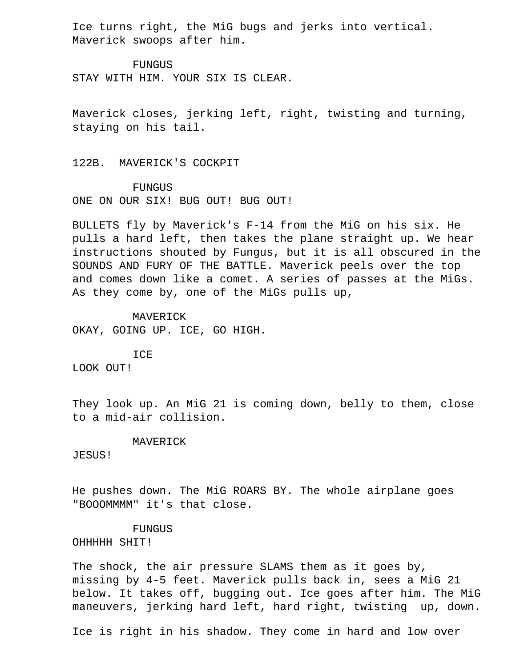Ice turns right, the MiG bugs and jerks into vertical. Maverick swoops after him.

 FUNGUS STAY WITH HIM. YOUR SIX IS CLEAR.

 Maverick closes, jerking left, right, twisting and turning, staying on his tail.

122B. MAVERICK'S COCKPIT

FUNGUS

ONE ON OUR SIX! BUG OUT! BUG OUT!

 BULLETS fly by Maverick's F-14 from the MiG on his six. He pulls a hard left, then takes the plane straight up. We hear instructions shouted by Fungus, but it is all obscured in the SOUNDS AND FURY OF THE BATTLE. Maverick peels over the top and comes down like a comet. A series of passes at the MiGs. As they come by, one of the MiGs pulls up,

 MAVERICK OKAY, GOING UP. ICE, GO HIGH.

ICE

LOOK OUT!

 They look up. An MiG 21 is coming down, belly to them, close to a mid-air collision.

#### MAVERICK

JESUS!

 He pushes down. The MiG ROARS BY. The whole airplane goes "BOOOMMMM" it's that close.

# FUNGUS

OHHHHH SHIT!

 The shock, the air pressure SLAMS them as it goes by, missing by 4-5 feet. Maverick pulls back in, sees a MiG 21 below. It takes off, bugging out. Ice goes after him. The MiG maneuvers, jerking hard left, hard right, twisting up, down.

Ice is right in his shadow. They come in hard and low over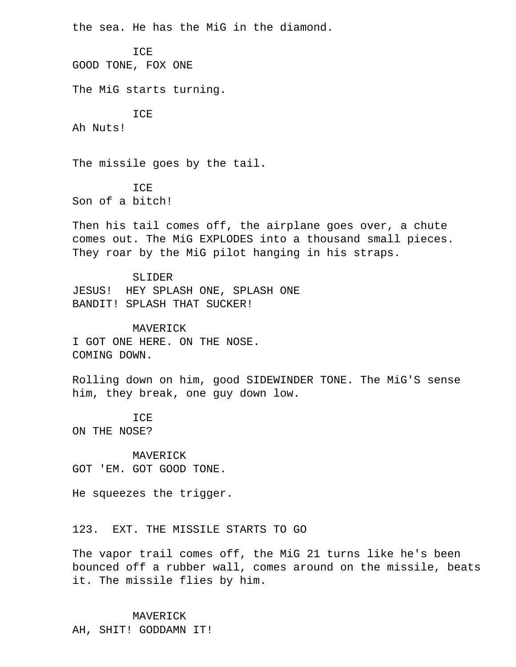the sea. He has the MiG in the diamond.

ICE

GOOD TONE, FOX ONE

The MiG starts turning.

ICE

Ah Nuts!

The missile goes by the tail.

 ICE Son of a bitch!

 Then his tail comes off, the airplane goes over, a chute comes out. The MiG EXPLODES into a thousand small pieces. They roar by the MiG pilot hanging in his straps.

 SLIDER JESUS! HEY SPLASH ONE, SPLASH ONE BANDIT! SPLASH THAT SUCKER!

 MAVERICK I GOT ONE HERE. ON THE NOSE. COMING DOWN.

 Rolling down on him, good SIDEWINDER TONE. The MiG'S sense him, they break, one guy down low.

ICE

ON THE NOSE?

 MAVERICK GOT 'EM. GOT GOOD TONE.

He squeezes the trigger.

123. EXT. THE MISSILE STARTS TO GO

 The vapor trail comes off, the MiG 21 turns like he's been bounced off a rubber wall, comes around on the missile, beats it. The missile flies by him.

MAVERICK

AH, SHIT! GODDAMN IT!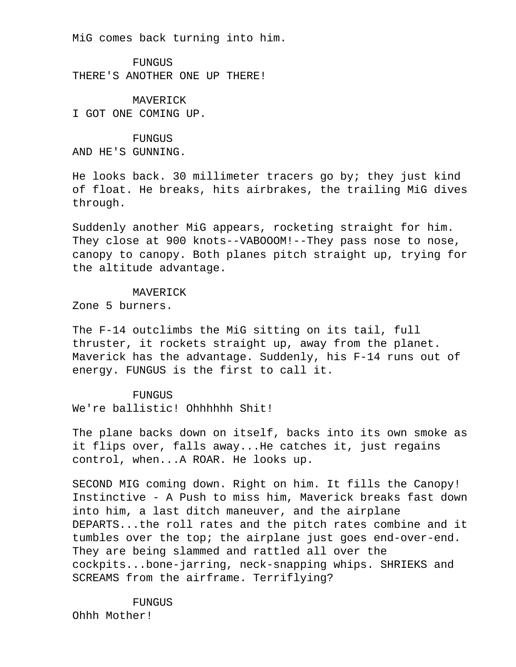MiG comes back turning into him.

 FUNGUS THERE'S ANOTHER ONE UP THERE!

 MAVERICK I GOT ONE COMING UP.

 FUNGUS AND HE'S GUNNING.

 He looks back. 30 millimeter tracers go by; they just kind of float. He breaks, hits airbrakes, the trailing MiG dives through.

 Suddenly another MiG appears, rocketing straight for him. They close at 900 knots--VABOOOM!--They pass nose to nose, canopy to canopy. Both planes pitch straight up, trying for the altitude advantage.

### MAVERICK

Zone 5 burners.

 The F-14 outclimbs the MiG sitting on its tail, full thruster, it rockets straight up, away from the planet. Maverick has the advantage. Suddenly, his F-14 runs out of energy. FUNGUS is the first to call it.

# FUNGUS

We're ballistic! Ohhhhhh Shit!

 The plane backs down on itself, backs into its own smoke as it flips over, falls away...He catches it, just regains control, when...A ROAR. He looks up.

 SECOND MIG coming down. Right on him. It fills the Canopy! Instinctive - A Push to miss him, Maverick breaks fast down into him, a last ditch maneuver, and the airplane DEPARTS...the roll rates and the pitch rates combine and it tumbles over the top; the airplane just goes end-over-end. They are being slammed and rattled all over the cockpits...bone-jarring, neck-snapping whips. SHRIEKS and SCREAMS from the airframe. Terriflying?

FUNGUS

Ohhh Mother!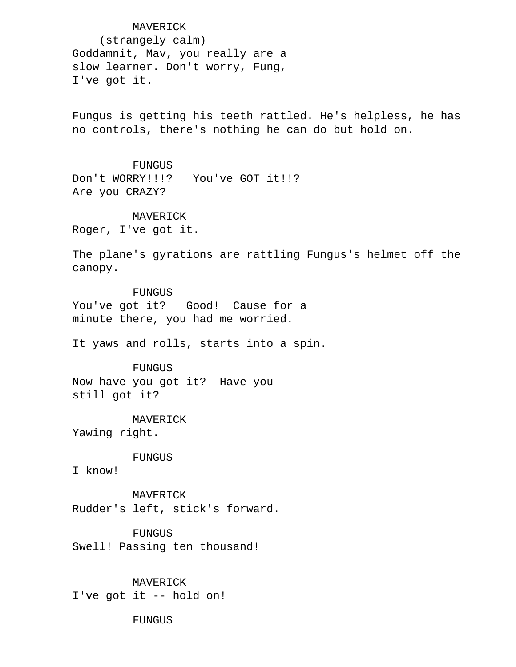MAVERICK (strangely calm) Goddamnit, Mav, you really are a slow learner. Don't worry, Fung, I've got it.

 Fungus is getting his teeth rattled. He's helpless, he has no controls, there's nothing he can do but hold on.

### FUNGUS

Don't WORRY!!!? You've GOT it!!? Are you CRAZY?

#### MAVERICK

Roger, I've got it.

 The plane's gyrations are rattling Fungus's helmet off the canopy.

 FUNGUS You've got it? Good! Cause for a minute there, you had me worried.

It yaws and rolls, starts into a spin.

#### FUNGUS

 Now have you got it? Have you still got it?

 MAVERICK Yawing right.

FUNGUS

I know!

 MAVERICK Rudder's left, stick's forward.

FUNGUS

Swell! Passing ten thousand!

 MAVERICK I've got it -- hold on!

FUNGUS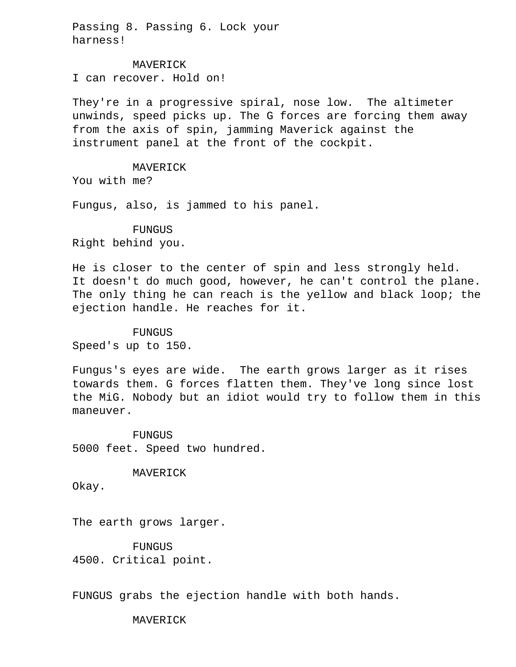Passing 8. Passing 6. Lock your harness!

 MAVERICK I can recover. Hold on!

 They're in a progressive spiral, nose low. The altimeter unwinds, speed picks up. The G forces are forcing them away from the axis of spin, jamming Maverick against the instrument panel at the front of the cockpit.

# MAVERICK

You with me?

Fungus, also, is jammed to his panel.

# FUNGUS

Right behind you.

 He is closer to the center of spin and less strongly held. It doesn't do much good, however, he can't control the plane. The only thing he can reach is the yellow and black loop; the ejection handle. He reaches for it.

# FUNGUS

Speed's up to 150.

 Fungus's eyes are wide. The earth grows larger as it rises towards them. G forces flatten them. They've long since lost the MiG. Nobody but an idiot would try to follow them in this maneuver.

 FUNGUS 5000 feet. Speed two hundred.

MAVERICK

Okay.

The earth grows larger.

 FUNGUS 4500. Critical point.

FUNGUS grabs the ejection handle with both hands.

MAVERICK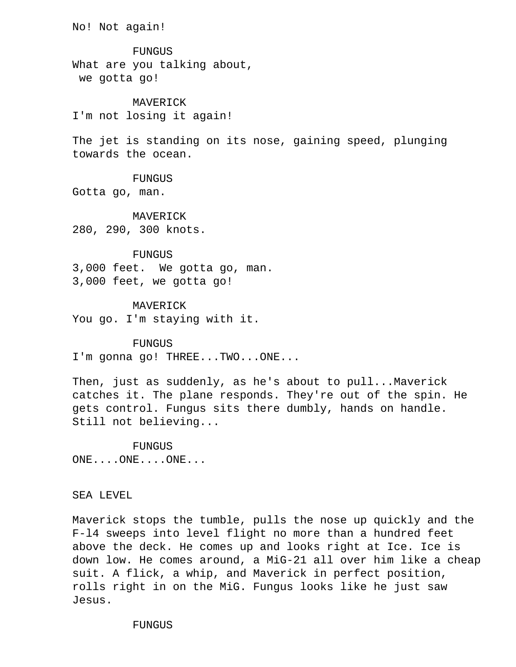No! Not again!

 FUNGUS What are you talking about, we gotta go!

 MAVERICK I'm not losing it again!

 The jet is standing on its nose, gaining speed, plunging towards the ocean.

### FUNGUS

Gotta go, man.

 MAVERICK 280, 290, 300 knots.

### FUNGUS

 3,000 feet. We gotta go, man. 3,000 feet, we gotta go!

 MAVERICK You go. I'm staying with it.

#### FUNGUS

I'm gonna go! THREE...TWO...ONE...

 Then, just as suddenly, as he's about to pull...Maverick catches it. The plane responds. They're out of the spin. He gets control. Fungus sits there dumbly, hands on handle. Still not believing...

 FUNGUS ONE....ONE....ONE...

# SEA LEVEL

 Maverick stops the tumble, pulls the nose up quickly and the F-l4 sweeps into level flight no more than a hundred feet above the deck. He comes up and looks right at Ice. Ice is down low. He comes around, a MiG-21 all over him like a cheap suit. A flick, a whip, and Maverick in perfect position, rolls right in on the MiG. Fungus looks like he just saw Jesus.

FUNGUS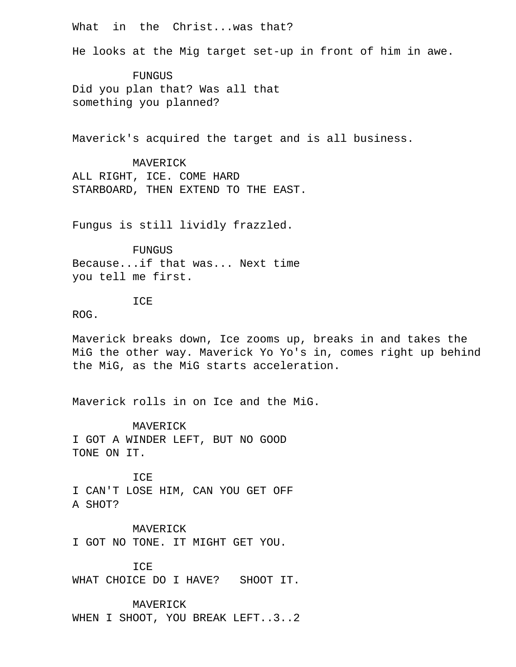What in the Christ...was that?

He looks at the Mig target set-up in front of him in awe.

 FUNGUS Did you plan that? Was all that something you planned?

Maverick's acquired the target and is all business.

 MAVERICK ALL RIGHT, ICE. COME HARD STARBOARD, THEN EXTEND TO THE EAST.

Fungus is still lividly frazzled.

 FUNGUS Because...if that was... Next time you tell me first.

ICE

ROG.

 Maverick breaks down, Ice zooms up, breaks in and takes the MiG the other way. Maverick Yo Yo's in, comes right up behind the MiG, as the MiG starts acceleration.

Maverick rolls in on Ice and the MiG.

 MAVERICK I GOT A WINDER LEFT, BUT NO GOOD TONE ON IT.

 ICE I CAN'T LOSE HIM, CAN YOU GET OFF A SHOT?

 MAVERICK I GOT NO TONE. IT MIGHT GET YOU.

TCE. WHAT CHOICE DO I HAVE? SHOOT IT.

 MAVERICK WHEN I SHOOT, YOU BREAK LEFT..3..2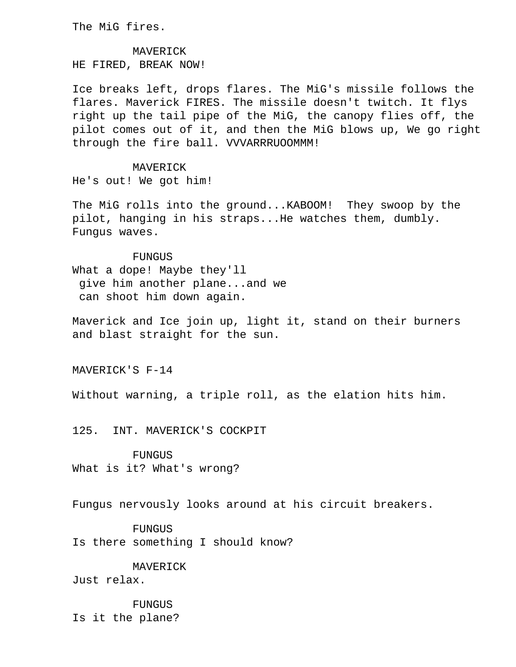The MiG fires.

 MAVERICK HE FIRED, BREAK NOW!

 Ice breaks left, drops flares. The MiG's missile follows the flares. Maverick FIRES. The missile doesn't twitch. It flys right up the tail pipe of the MiG, the canopy flies off, the pilot comes out of it, and then the MiG blows up, We go right through the fire ball. VVVARRRUOOMMM!

#### MAVERICK

He's out! We got him!

 The MiG rolls into the ground...KABOOM! They swoop by the pilot, hanging in his straps...He watches them, dumbly. Fungus waves.

### FUNGUS

 What a dope! Maybe they'll give him another plane...and we can shoot him down again.

 Maverick and Ice join up, light it, stand on their burners and blast straight for the sun.

MAVERICK'S F-14

Without warning, a triple roll, as the elation hits him.

125. INT. MAVERICK'S COCKPIT

 FUNGUS What is it? What's wrong?

Fungus nervously looks around at his circuit breakers.

 FUNGUS Is there something I should know?

 MAVERICK Just relax.

**FUNGUS** Is it the plane?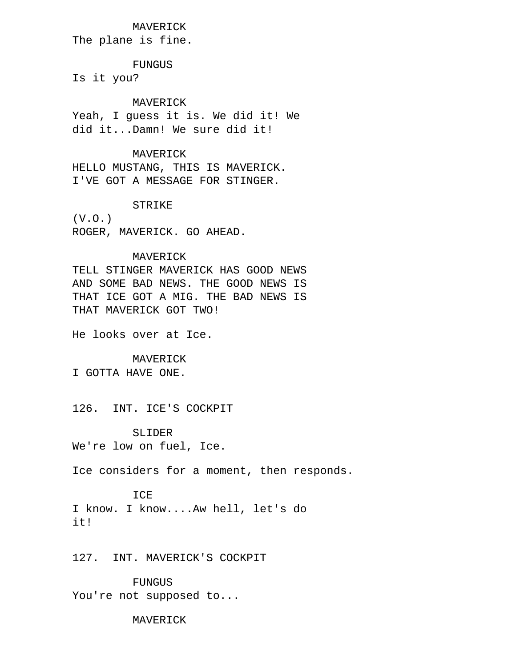# MAVERICK

The plane is fine.

FUNGUS

Is it you?

MAVERICK

 Yeah, I guess it is. We did it! We did it...Damn! We sure did it!

### MAVERICK

 HELLO MUSTANG, THIS IS MAVERICK. I'VE GOT A MESSAGE FOR STINGER.

### STRIKE

 (V.O.) ROGER, MAVERICK. GO AHEAD.

# MAVERICK

 TELL STINGER MAVERICK HAS GOOD NEWS AND SOME BAD NEWS. THE GOOD NEWS IS THAT ICE GOT A MIG. THE BAD NEWS IS THAT MAVERICK GOT TWO!

He looks over at Ice.

#### MAVERICK

I GOTTA HAVE ONE.

126. INT. ICE'S COCKPIT

 SLIDER We're low on fuel, Ice.

Ice considers for a moment, then responds.

### ICE

 I know. I know....Aw hell, let's do it!

127. INT. MAVERICK'S COCKPIT

 FUNGUS You're not supposed to...

MAVERICK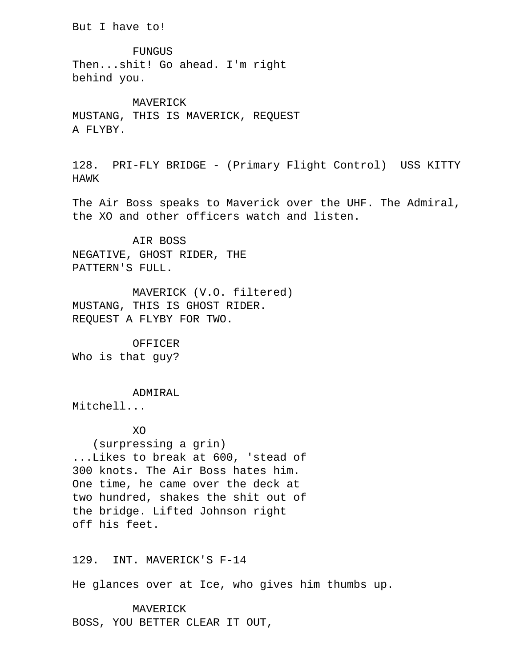But I have to!

 FUNGUS Then...shit! Go ahead. I'm right behind you.

 MAVERICK MUSTANG, THIS IS MAVERICK, REQUEST A FLYBY.

 128. PRI-FLY BRIDGE - (Primary Flight Control) USS KITTY HAWK

 The Air Boss speaks to Maverick over the UHF. The Admiral, the XO and other officers watch and listen.

 AIR BOSS NEGATIVE, GHOST RIDER, THE PATTERN'S FULL.

 MAVERICK (V.O. filtered) MUSTANG, THIS IS GHOST RIDER. REQUEST A FLYBY FOR TWO.

 OFFICER Who is that guy?

 ADMIRAL Mitchell...

**XO** 

 (surpressing a grin) ...Likes to break at 600, 'stead of 300 knots. The Air Boss hates him. One time, he came over the deck at two hundred, shakes the shit out of the bridge. Lifted Johnson right off his feet.

129. INT. MAVERICK'S F-14

He glances over at Ice, who gives him thumbs up.

 MAVERICK BOSS, YOU BETTER CLEAR IT OUT,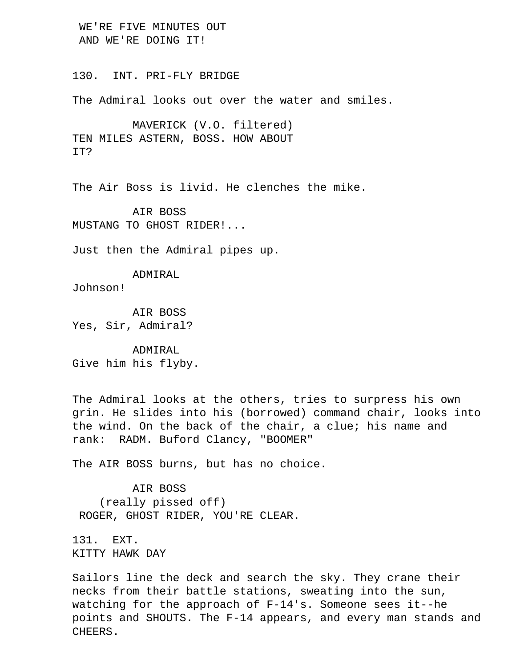WE'RE FIVE MINUTES OUT AND WE'RE DOING IT!

130. INT. PRI-FLY BRIDGE

The Admiral looks out over the water and smiles.

 MAVERICK (V.O. filtered) TEN MILES ASTERN, BOSS. HOW ABOUT IT?

The Air Boss is livid. He clenches the mike.

 AIR BOSS MUSTANG TO GHOST RIDER!...

Just then the Admiral pipes up.

 ADMIRAL Johnson!

 AIR BOSS Yes, Sir, Admiral?

 ADMIRAL Give him his flyby.

 The Admiral looks at the others, tries to surpress his own grin. He slides into his (borrowed) command chair, looks into the wind. On the back of the chair, a clue; his name and rank: RADM. Buford Clancy, "BOOMER"

The AIR BOSS burns, but has no choice.

 AIR BOSS (really pissed off) ROGER, GHOST RIDER, YOU'RE CLEAR.

 131. EXT. KITTY HAWK DAY

 Sailors line the deck and search the sky. They crane their necks from their battle stations, sweating into the sun, watching for the approach of F-14's. Someone sees it--he points and SHOUTS. The F-14 appears, and every man stands and CHEERS.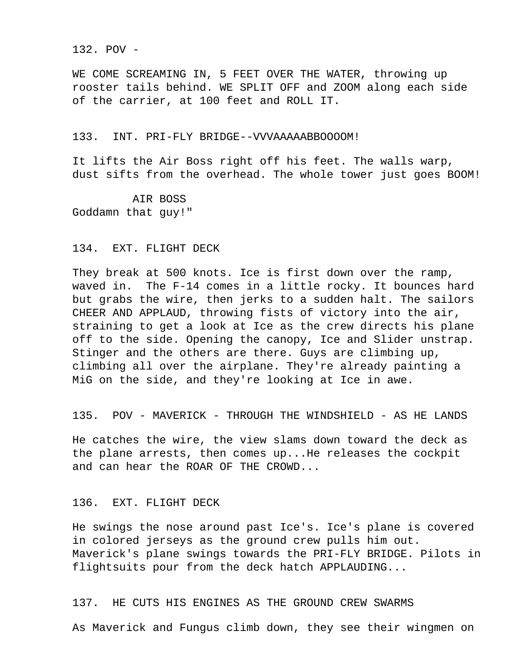132. POV -

WE COME SCREAMING IN, 5 FEET OVER THE WATER, throwing up rooster tails behind. WE SPLIT OFF and ZOOM along each side of the carrier, at 100 feet and ROLL IT.

### 133. INT. PRI-FLY BRIDGE--VVVAAAAABBOOOOM!

 It lifts the Air Boss right off his feet. The walls warp, dust sifts from the overhead. The whole tower just goes BOOM!

 AIR BOSS Goddamn that guy!"

### 134. EXT. FLIGHT DECK

 They break at 500 knots. Ice is first down over the ramp, waved in. The F-14 comes in a little rocky. It bounces hard but grabs the wire, then jerks to a sudden halt. The sailors CHEER AND APPLAUD, throwing fists of victory into the air, straining to get a look at Ice as the crew directs his plane off to the side. Opening the canopy, Ice and Slider unstrap. Stinger and the others are there. Guys are climbing up, climbing all over the airplane. They're already painting a MiG on the side, and they're looking at Ice in awe.

135. POV - MAVERICK - THROUGH THE WINDSHIELD - AS HE LANDS

 He catches the wire, the view slams down toward the deck as the plane arrests, then comes up...He releases the cockpit and can hear the ROAR OF THE CROWD...

# 136. EXT. FLIGHT DECK

 He swings the nose around past Ice's. Ice's plane is covered in colored jerseys as the ground crew pulls him out. Maverick's plane swings towards the PRI-FLY BRIDGE. Pilots in flightsuits pour from the deck hatch APPLAUDING...

# 137. HE CUTS HIS ENGINES AS THE GROUND CREW SWARMS

As Maverick and Fungus climb down, they see their wingmen on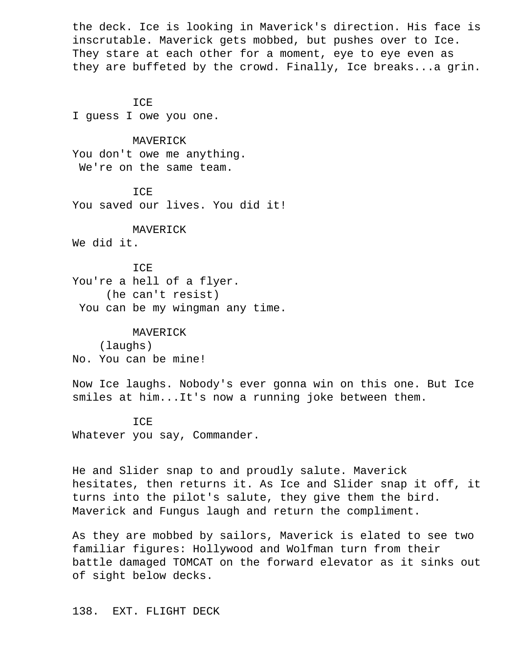the deck. Ice is looking in Maverick's direction. His face is inscrutable. Maverick gets mobbed, but pushes over to Ice. They stare at each other for a moment, eye to eye even as they are buffeted by the crowd. Finally, Ice breaks...a grin.

 ICE I guess I owe you one.

 MAVERICK You don't owe me anything. We're on the same team.

TCE. You saved our lives. You did it!

 MAVERICK We did it.

 ICE You're a hell of a flyer. (he can't resist) You can be my wingman any time.

 MAVERICK (laughs) No. You can be mine!

 Now Ice laughs. Nobody's ever gonna win on this one. But Ice smiles at him...It's now a running joke between them.

ICE

Whatever you say, Commander.

 He and Slider snap to and proudly salute. Maverick hesitates, then returns it. As Ice and Slider snap it off, it turns into the pilot's salute, they give them the bird. Maverick and Fungus laugh and return the compliment.

 As they are mobbed by sailors, Maverick is elated to see two familiar figures: Hollywood and Wolfman turn from their battle damaged TOMCAT on the forward elevator as it sinks out of sight below decks.

138. EXT. FLIGHT DECK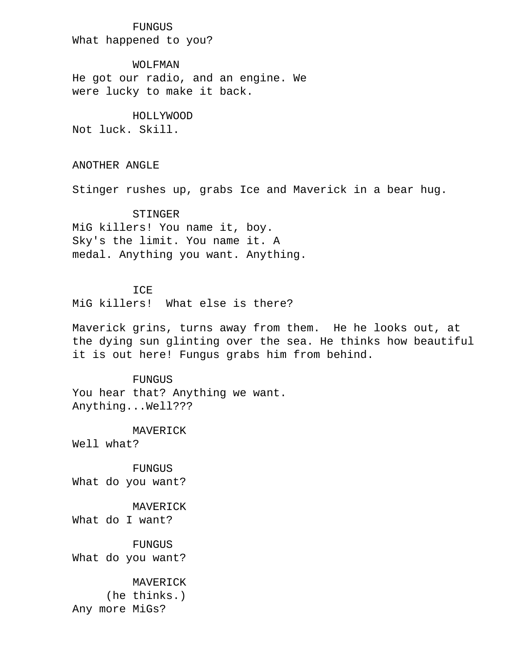# FUNGUS

What happened to you?

 WOLFMAN He got our radio, and an engine. We were lucky to make it back.

### HOLLYWOOD

Not luck. Skill.

ANOTHER ANGLE

Stinger rushes up, grabs Ice and Maverick in a bear hug.

### STINGER

 MiG killers! You name it, boy. Sky's the limit. You name it. A medal. Anything you want. Anything.

# ICE

MiG killers! What else is there?

 Maverick grins, turns away from them. He he looks out, at the dying sun glinting over the sea. He thinks how beautiful it is out here! Fungus grabs him from behind.

 FUNGUS You hear that? Anything we want. Anything...Well???

MAVERICK

Well what?

 FUNGUS What do you want?

 MAVERICK What do I want?

 FUNGUS What do you want?

> MAVERICK (he thinks.)

Any more MiGs?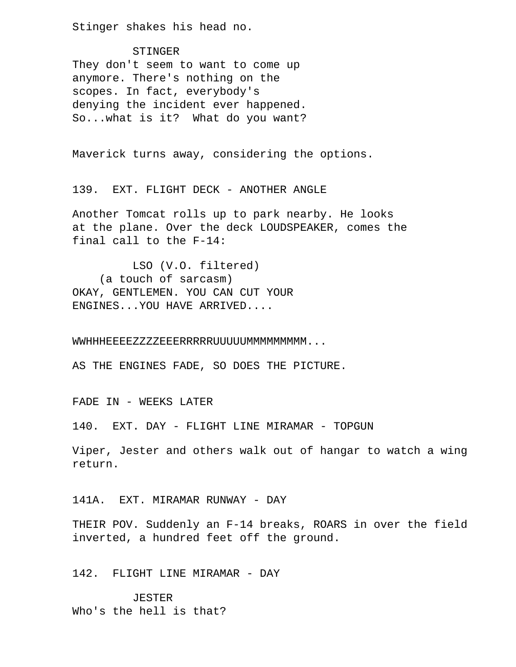Stinger shakes his head no.

 STINGER They don't seem to want to come up anymore. There's nothing on the scopes. In fact, everybody's denying the incident ever happened. So...what is it? What do you want?

Maverick turns away, considering the options.

139. EXT. FLIGHT DECK - ANOTHER ANGLE

 Another Tomcat rolls up to park nearby. He looks at the plane. Over the deck LOUDSPEAKER, comes the final call to the F-14:

 LSO (V.O. filtered) (a touch of sarcasm) OKAY, GENTLEMEN. YOU CAN CUT YOUR ENGINES...YOU HAVE ARRIVED....

WWHHHEEEEZZZZEEERRRRRUUUUUMMMMMMMMMM...

AS THE ENGINES FADE, SO DOES THE PICTURE.

FADE IN - WEEKS LATER

140. EXT. DAY - FLIGHT LINE MIRAMAR - TOPGUN

 Viper, Jester and others walk out of hangar to watch a wing return.

141A. EXT. MIRAMAR RUNWAY - DAY

 THEIR POV. Suddenly an F-14 breaks, ROARS in over the field inverted, a hundred feet off the ground.

# 142. FLIGHT LINE MIRAMAR - DAY

 JESTER Who's the hell is that?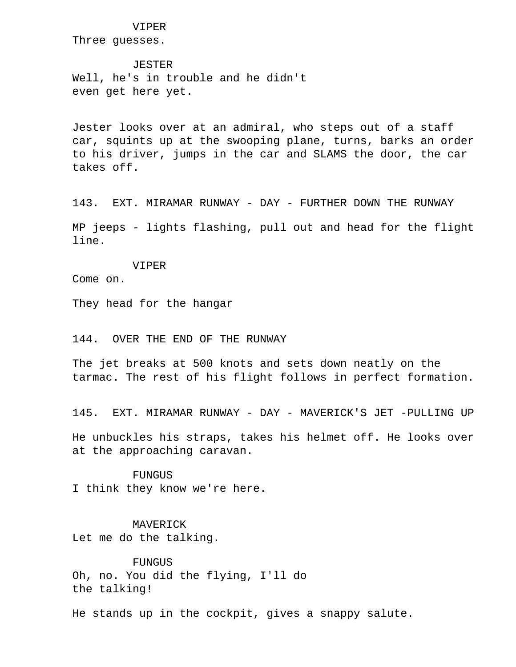#### VIPER

Three guesses.

**JESTER**  Well, he's in trouble and he didn't even get here yet.

 Jester looks over at an admiral, who steps out of a staff car, squints up at the swooping plane, turns, barks an order to his driver, jumps in the car and SLAMS the door, the car takes off.

 143. EXT. MIRAMAR RUNWAY - DAY - FURTHER DOWN THE RUNWAY MP jeeps - lights flashing, pull out and head for the flight line.

VIPER

Come on.

They head for the hangar

### 144. OVER THE END OF THE RUNWAY

 The jet breaks at 500 knots and sets down neatly on the tarmac. The rest of his flight follows in perfect formation.

145. EXT. MIRAMAR RUNWAY - DAY - MAVERICK'S JET -PULLING UP

 He unbuckles his straps, takes his helmet off. He looks over at the approaching caravan.

 FUNGUS I think they know we're here.

 MAVERICK Let me do the talking.

**FUNGUS**  Oh, no. You did the flying, I'll do the talking!

He stands up in the cockpit, gives a snappy salute.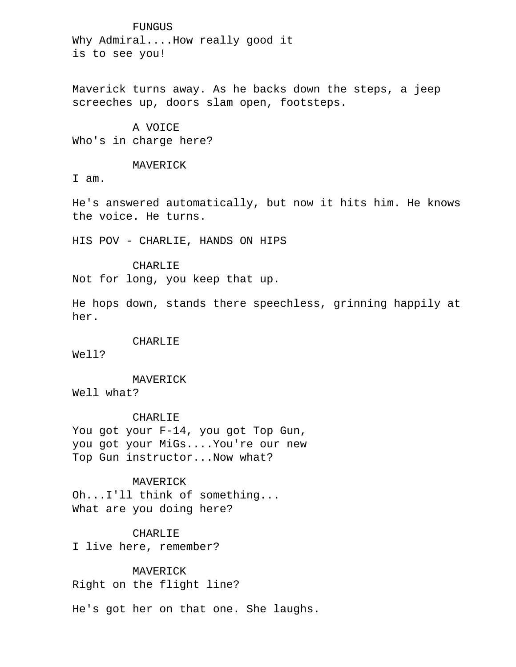FUNGUS Why Admiral....How really good it is to see you!

 Maverick turns away. As he backs down the steps, a jeep screeches up, doors slam open, footsteps.

 A VOICE Who's in charge here?

### MAVERICK

I am.

 He's answered automatically, but now it hits him. He knows the voice. He turns.

HIS POV - CHARLIE, HANDS ON HIPS

### CHARLIE

Not for long, you keep that up.

 He hops down, stands there speechless, grinning happily at her.

### CHARLIE

Well?

MAVERICK

Well what?

### CHARLIE

 You got your F-14, you got Top Gun, you got your MiGs....You're our new Top Gun instructor...Now what?

# MAVERICK

 Oh...I'll think of something... What are you doing here?

# CHARLIE

I live here, remember?

**MAVERICK** Right on the flight line?

He's got her on that one. She laughs.